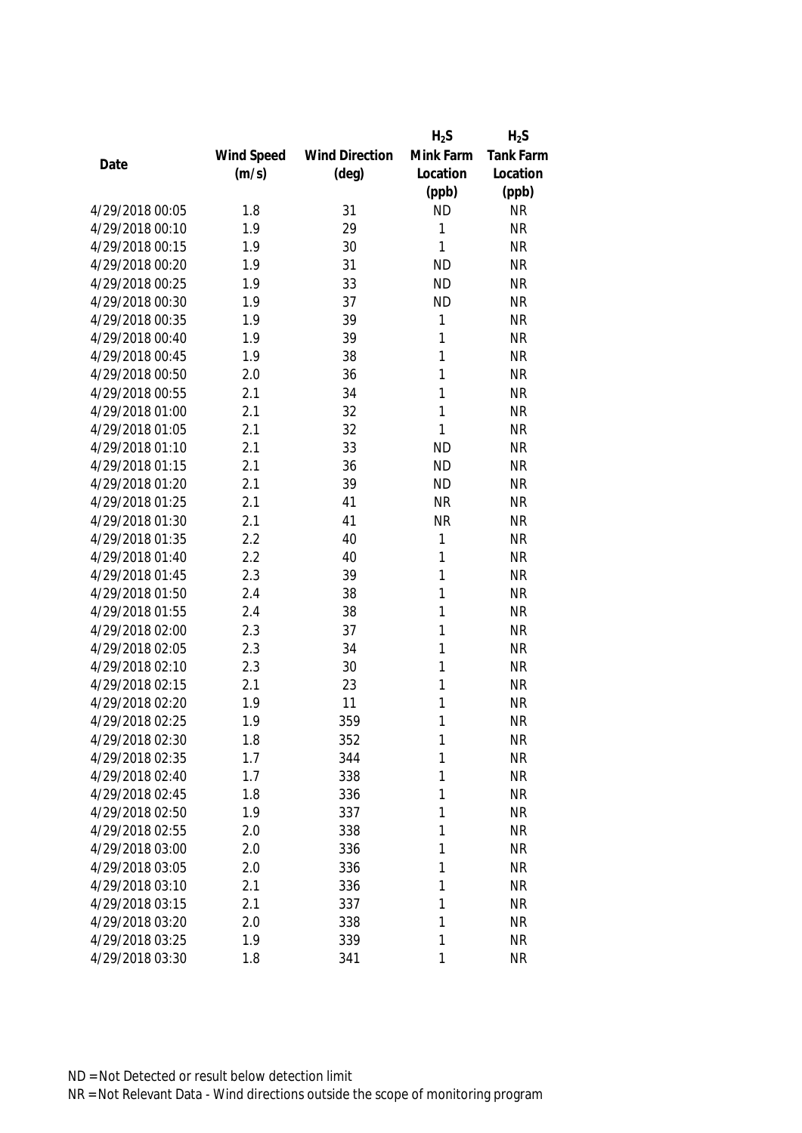|                 |            |                       | $H_2S$    | $H_2S$           |
|-----------------|------------|-----------------------|-----------|------------------|
|                 | Wind Speed | <b>Wind Direction</b> | Mink Farm | <b>Tank Farm</b> |
| Date            | (m/s)      | $(\text{deg})$        | Location  | Location         |
|                 |            |                       | (ppb)     | (ppb)            |
| 4/29/2018 00:05 | 1.8        | 31                    | <b>ND</b> | <b>NR</b>        |
| 4/29/2018 00:10 | 1.9        | 29                    | 1         | <b>NR</b>        |
| 4/29/2018 00:15 | 1.9        | 30                    | 1         | <b>NR</b>        |
| 4/29/2018 00:20 | 1.9        | 31                    | <b>ND</b> | <b>NR</b>        |
| 4/29/2018 00:25 | 1.9        | 33                    | <b>ND</b> | <b>NR</b>        |
| 4/29/2018 00:30 | 1.9        | 37                    | <b>ND</b> | <b>NR</b>        |
| 4/29/2018 00:35 | 1.9        | 39                    | 1         | <b>NR</b>        |
| 4/29/2018 00:40 | 1.9        | 39                    | 1         | <b>NR</b>        |
| 4/29/2018 00:45 | 1.9        | 38                    | 1         | <b>NR</b>        |
| 4/29/2018 00:50 | 2.0        | 36                    | 1         | <b>NR</b>        |
| 4/29/2018 00:55 | 2.1        | 34                    | 1         | <b>NR</b>        |
| 4/29/2018 01:00 | 2.1        | 32                    | 1         | <b>NR</b>        |
| 4/29/2018 01:05 | 2.1        | 32                    | 1         | <b>NR</b>        |
| 4/29/2018 01:10 | 2.1        | 33                    | <b>ND</b> | <b>NR</b>        |
| 4/29/2018 01:15 | 2.1        | 36                    | <b>ND</b> | <b>NR</b>        |
| 4/29/2018 01:20 | 2.1        | 39                    | <b>ND</b> | <b>NR</b>        |
| 4/29/2018 01:25 | 2.1        | 41                    | <b>NR</b> | <b>NR</b>        |
| 4/29/2018 01:30 | 2.1        | 41                    | <b>NR</b> | <b>NR</b>        |
| 4/29/2018 01:35 | 2.2        | 40                    | 1         | <b>NR</b>        |
| 4/29/2018 01:40 | 2.2        | 40                    | 1         | <b>NR</b>        |
| 4/29/2018 01:45 | 2.3        | 39                    | 1         | <b>NR</b>        |
| 4/29/2018 01:50 | 2.4        | 38                    | 1         | <b>NR</b>        |
| 4/29/2018 01:55 | 2.4        | 38                    | 1         | <b>NR</b>        |
| 4/29/2018 02:00 | 2.3        | 37                    | 1         | <b>NR</b>        |
| 4/29/2018 02:05 | 2.3        | 34                    | 1         | <b>NR</b>        |
| 4/29/2018 02:10 | 2.3        | 30                    | 1         | <b>NR</b>        |
| 4/29/2018 02:15 | 2.1        | 23                    | 1         | <b>NR</b>        |
| 4/29/2018 02:20 | 1.9        | 11                    | 1         | <b>NR</b>        |
| 4/29/2018 02:25 | 1.9        | 359                   | 1         | <b>NR</b>        |
| 4/29/2018 02:30 | 1.8        | 352                   | 1         | <b>NR</b>        |
| 4/29/2018 02:35 | 1.7        | 344                   | 1         | <b>NR</b>        |
| 4/29/2018 02:40 | 1.7        | 338                   | 1         | <b>NR</b>        |
| 4/29/2018 02:45 | 1.8        | 336                   | 1         | <b>NR</b>        |
| 4/29/2018 02:50 | 1.9        | 337                   | 1         | <b>NR</b>        |
| 4/29/2018 02:55 | 2.0        | 338                   | 1         | <b>NR</b>        |
| 4/29/2018 03:00 | 2.0        | 336                   | 1         | <b>NR</b>        |
| 4/29/2018 03:05 | 2.0        | 336                   | 1         | <b>NR</b>        |
| 4/29/2018 03:10 | 2.1        | 336                   | 1         | <b>NR</b>        |
| 4/29/2018 03:15 | 2.1        | 337                   | 1         | <b>NR</b>        |
| 4/29/2018 03:20 | 2.0        | 338                   | 1         | <b>NR</b>        |
| 4/29/2018 03:25 | 1.9        | 339                   | 1         | <b>NR</b>        |
| 4/29/2018 03:30 | 1.8        | 341                   | 1         | <b>NR</b>        |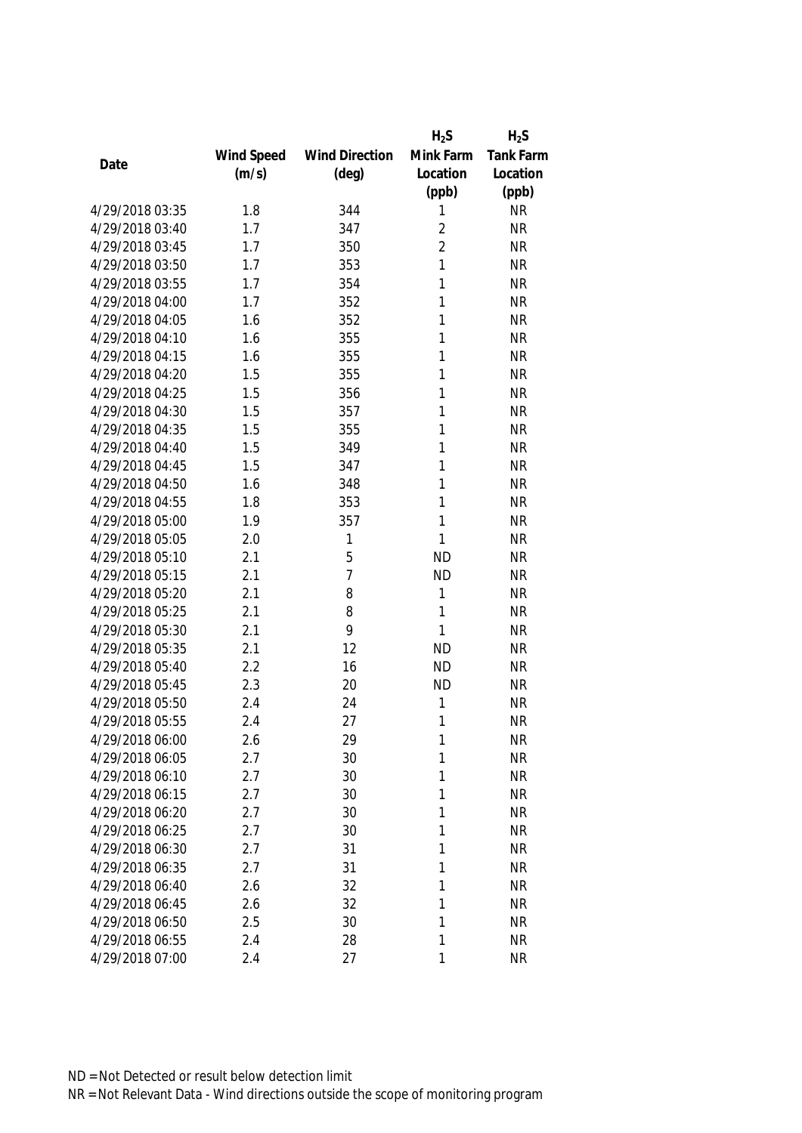|                 |            |                       | $H_2S$         | $H_2S$    |
|-----------------|------------|-----------------------|----------------|-----------|
|                 | Wind Speed | <b>Wind Direction</b> | Mink Farm      | Tank Farm |
| Date            | (m/s)      | $(\text{deg})$        | Location       | Location  |
|                 |            |                       | (ppb)          | (ppb)     |
| 4/29/2018 03:35 | 1.8        | 344                   | 1              | <b>NR</b> |
| 4/29/2018 03:40 | 1.7        | 347                   | $\overline{2}$ | <b>NR</b> |
| 4/29/2018 03:45 | 1.7        | 350                   | $\overline{2}$ | <b>NR</b> |
| 4/29/2018 03:50 | 1.7        | 353                   | 1              | <b>NR</b> |
| 4/29/2018 03:55 | 1.7        | 354                   | 1              | <b>NR</b> |
| 4/29/2018 04:00 | 1.7        | 352                   | 1              | <b>NR</b> |
| 4/29/2018 04:05 | 1.6        | 352                   | 1              | <b>NR</b> |
| 4/29/2018 04:10 | 1.6        | 355                   | 1              | <b>NR</b> |
| 4/29/2018 04:15 | 1.6        | 355                   | 1              | <b>NR</b> |
| 4/29/2018 04:20 | 1.5        | 355                   | 1              | <b>NR</b> |
| 4/29/2018 04:25 | 1.5        | 356                   | 1              | <b>NR</b> |
| 4/29/2018 04:30 | 1.5        | 357                   | 1              | <b>NR</b> |
| 4/29/2018 04:35 | 1.5        | 355                   | 1              | <b>NR</b> |
| 4/29/2018 04:40 | 1.5        | 349                   | 1              | <b>NR</b> |
| 4/29/2018 04:45 | 1.5        | 347                   | 1              | <b>NR</b> |
| 4/29/2018 04:50 | 1.6        | 348                   | 1              | <b>NR</b> |
| 4/29/2018 04:55 | 1.8        | 353                   | 1              | <b>NR</b> |
| 4/29/2018 05:00 | 1.9        | 357                   | 1              | <b>NR</b> |
| 4/29/2018 05:05 | 2.0        | 1                     | 1              | <b>NR</b> |
| 4/29/2018 05:10 | 2.1        | 5                     | <b>ND</b>      | <b>NR</b> |
| 4/29/2018 05:15 | 2.1        | 7                     | <b>ND</b>      | <b>NR</b> |
| 4/29/2018 05:20 | 2.1        | 8                     | 1              | <b>NR</b> |
| 4/29/2018 05:25 | 2.1        | 8                     | 1              | <b>NR</b> |
| 4/29/2018 05:30 | 2.1        | 9                     | 1              | <b>NR</b> |
| 4/29/2018 05:35 | 2.1        | 12                    | <b>ND</b>      | <b>NR</b> |
| 4/29/2018 05:40 | 2.2        | 16                    | <b>ND</b>      | <b>NR</b> |
| 4/29/2018 05:45 | 2.3        | 20                    | <b>ND</b>      | <b>NR</b> |
| 4/29/2018 05:50 | 2.4        | 24                    | 1              | <b>NR</b> |
| 4/29/2018 05:55 | 2.4        | 27                    | 1              | <b>NR</b> |
| 4/29/2018 06:00 | 2.6        | 29                    | 1              | <b>NR</b> |
| 4/29/2018 06:05 | 2.7        | 30                    | 1              | <b>NR</b> |
| 4/29/2018 06:10 | 2.7        | 30                    | 1              | <b>NR</b> |
| 4/29/2018 06:15 | 2.7        | 30                    | 1              | <b>NR</b> |
| 4/29/2018 06:20 | 2.7        | 30                    | 1              | <b>NR</b> |
| 4/29/2018 06:25 | 2.7        | 30                    | 1              | <b>NR</b> |
| 4/29/2018 06:30 | 2.7        | 31                    | 1              | <b>NR</b> |
| 4/29/2018 06:35 | 2.7        | 31                    | 1              | <b>NR</b> |
| 4/29/2018 06:40 | 2.6        | 32                    | 1              | <b>NR</b> |
| 4/29/2018 06:45 | 2.6        | 32                    | 1              | <b>NR</b> |
| 4/29/2018 06:50 | 2.5        | 30                    | 1              | <b>NR</b> |
| 4/29/2018 06:55 | 2.4        | 28                    | 1              | <b>NR</b> |
| 4/29/2018 07:00 | 2.4        | 27                    | 1              | <b>NR</b> |
|                 |            |                       |                |           |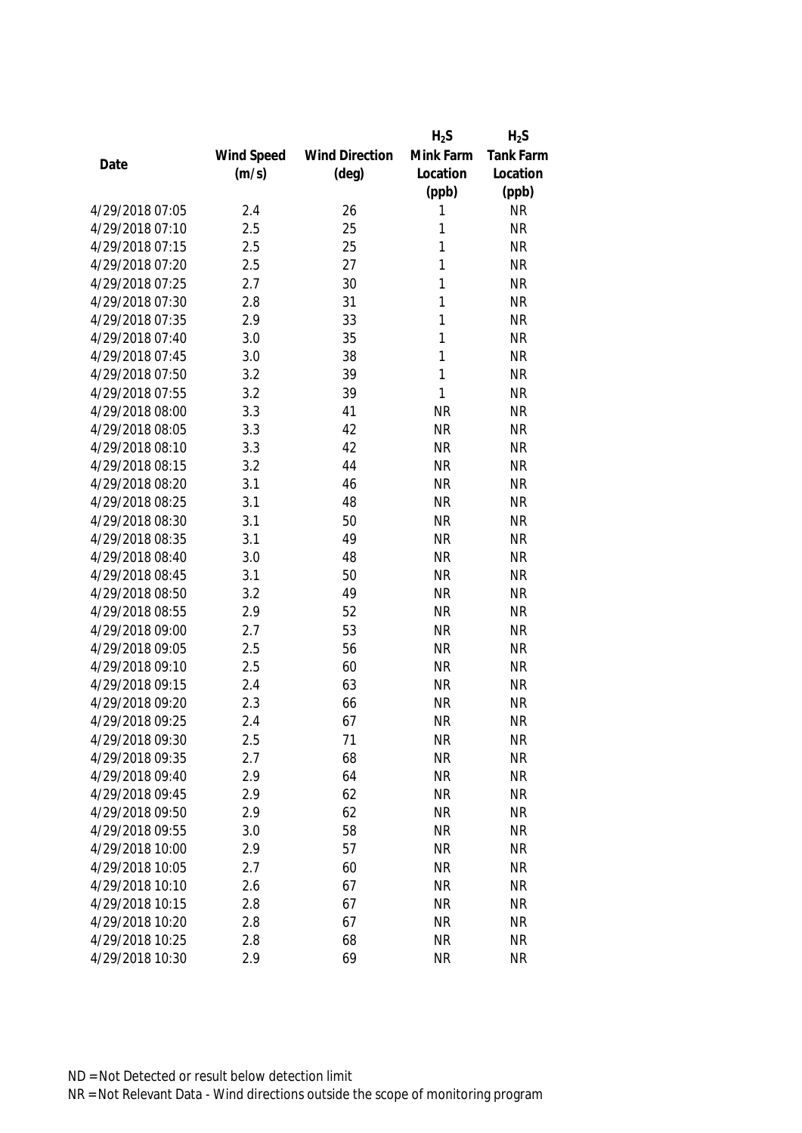|                 |            |                       | $H_2S$    | $H_2S$           |
|-----------------|------------|-----------------------|-----------|------------------|
|                 | Wind Speed | <b>Wind Direction</b> | Mink Farm | <b>Tank Farm</b> |
| Date            | (m/s)      | $(\text{deg})$        | Location  | Location         |
|                 |            |                       | (ppb)     | (ppb)            |
| 4/29/2018 07:05 | 2.4        | 26                    | 1         | <b>NR</b>        |
| 4/29/2018 07:10 | 2.5        | 25                    | 1         | <b>NR</b>        |
| 4/29/2018 07:15 | 2.5        | 25                    | 1         | <b>NR</b>        |
| 4/29/2018 07:20 | 2.5        | 27                    | 1         | <b>NR</b>        |
| 4/29/2018 07:25 | 2.7        | 30                    | 1         | <b>NR</b>        |
| 4/29/2018 07:30 | 2.8        | 31                    | 1         | <b>NR</b>        |
| 4/29/2018 07:35 | 2.9        | 33                    | 1         | <b>NR</b>        |
| 4/29/2018 07:40 | 3.0        | 35                    | 1         | <b>NR</b>        |
| 4/29/2018 07:45 | 3.0        | 38                    | 1         | <b>NR</b>        |
| 4/29/2018 07:50 | 3.2        | 39                    | 1         | <b>NR</b>        |
| 4/29/2018 07:55 | 3.2        | 39                    | 1         | <b>NR</b>        |
| 4/29/2018 08:00 | 3.3        | 41                    | <b>NR</b> | <b>NR</b>        |
| 4/29/2018 08:05 | 3.3        | 42                    | <b>NR</b> | <b>NR</b>        |
| 4/29/2018 08:10 | 3.3        | 42                    | <b>NR</b> | <b>NR</b>        |
| 4/29/2018 08:15 | 3.2        | 44                    | <b>NR</b> | <b>NR</b>        |
| 4/29/2018 08:20 | 3.1        | 46                    | <b>NR</b> | <b>NR</b>        |
| 4/29/2018 08:25 | 3.1        | 48                    | <b>NR</b> | <b>NR</b>        |
| 4/29/2018 08:30 | 3.1        | 50                    | <b>NR</b> | <b>NR</b>        |
| 4/29/2018 08:35 | 3.1        | 49                    | <b>NR</b> | <b>NR</b>        |
| 4/29/2018 08:40 | 3.0        | 48                    | <b>NR</b> | <b>NR</b>        |
| 4/29/2018 08:45 | 3.1        | 50                    | <b>NR</b> | <b>NR</b>        |
| 4/29/2018 08:50 | 3.2        | 49                    | <b>NR</b> | <b>NR</b>        |
| 4/29/2018 08:55 | 2.9        | 52                    | <b>NR</b> | <b>NR</b>        |
| 4/29/2018 09:00 | 2.7        | 53                    | <b>NR</b> | <b>NR</b>        |
| 4/29/2018 09:05 | 2.5        | 56                    | <b>NR</b> | <b>NR</b>        |
| 4/29/2018 09:10 | 2.5        | 60                    | <b>NR</b> | <b>NR</b>        |
| 4/29/2018 09:15 | 2.4        | 63                    | <b>NR</b> | <b>NR</b>        |
| 4/29/2018 09:20 | 2.3        | 66                    | <b>NR</b> | <b>NR</b>        |
| 4/29/2018 09:25 | 2.4        | 67                    | <b>NR</b> | <b>NR</b>        |
| 4/29/2018 09:30 | 2.5        | 71                    | <b>NR</b> | <b>NR</b>        |
| 4/29/2018 09:35 | 2.7        | 68                    | <b>NR</b> | <b>NR</b>        |
| 4/29/2018 09:40 | 2.9        | 64                    | <b>NR</b> | <b>NR</b>        |
| 4/29/2018 09:45 | 2.9        | 62                    | <b>NR</b> | <b>NR</b>        |
| 4/29/2018 09:50 | 2.9        | 62                    | <b>NR</b> | <b>NR</b>        |
| 4/29/2018 09:55 | 3.0        | 58                    | <b>NR</b> | <b>NR</b>        |
| 4/29/2018 10:00 | 2.9        | 57                    | <b>NR</b> | <b>NR</b>        |
| 4/29/2018 10:05 | 2.7        | 60                    | <b>NR</b> | <b>NR</b>        |
| 4/29/2018 10:10 | 2.6        | 67                    | <b>NR</b> | <b>NR</b>        |
| 4/29/2018 10:15 | 2.8        | 67                    | <b>NR</b> | <b>NR</b>        |
| 4/29/2018 10:20 | 2.8        | 67                    | <b>NR</b> | <b>NR</b>        |
| 4/29/2018 10:25 | 2.8        | 68                    | <b>NR</b> | <b>NR</b>        |
|                 |            | 69                    |           |                  |
| 4/29/2018 10:30 | 2.9        |                       | <b>NR</b> | <b>NR</b>        |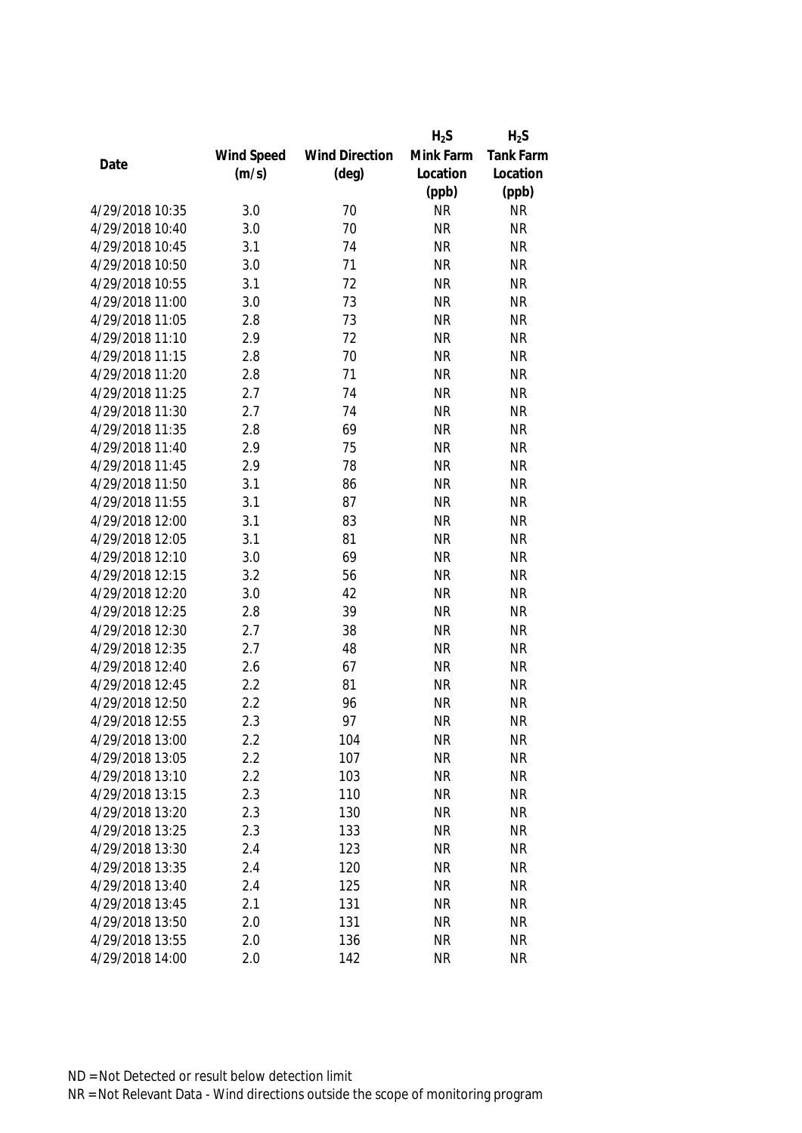|                 |            |                       | $H_2S$    | $H_2S$           |
|-----------------|------------|-----------------------|-----------|------------------|
|                 | Wind Speed | <b>Wind Direction</b> | Mink Farm | <b>Tank Farm</b> |
| Date            | (m/s)      | $(\text{deg})$        | Location  | Location         |
|                 |            |                       | (ppb)     | (ppb)            |
| 4/29/2018 10:35 | 3.0        | 70                    | <b>NR</b> | <b>NR</b>        |
| 4/29/2018 10:40 | 3.0        | 70                    | <b>NR</b> | <b>NR</b>        |
| 4/29/2018 10:45 | 3.1        | 74                    | <b>NR</b> | <b>NR</b>        |
| 4/29/2018 10:50 | 3.0        | 71                    | <b>NR</b> | <b>NR</b>        |
| 4/29/2018 10:55 | 3.1        | 72                    | <b>NR</b> | <b>NR</b>        |
| 4/29/2018 11:00 | 3.0        | 73                    | <b>NR</b> | <b>NR</b>        |
| 4/29/2018 11:05 | 2.8        | 73                    | <b>NR</b> | <b>NR</b>        |
| 4/29/2018 11:10 | 2.9        | 72                    | <b>NR</b> | <b>NR</b>        |
| 4/29/2018 11:15 | 2.8        | 70                    | <b>NR</b> | <b>NR</b>        |
| 4/29/2018 11:20 | 2.8        | 71                    | <b>NR</b> | <b>NR</b>        |
| 4/29/2018 11:25 | 2.7        | 74                    | <b>NR</b> | <b>NR</b>        |
| 4/29/2018 11:30 | 2.7        | 74                    | <b>NR</b> | <b>NR</b>        |
| 4/29/2018 11:35 | 2.8        | 69                    | <b>NR</b> | <b>NR</b>        |
| 4/29/2018 11:40 | 2.9        | 75                    | <b>NR</b> | <b>NR</b>        |
| 4/29/2018 11:45 | 2.9        | 78                    | <b>NR</b> | <b>NR</b>        |
| 4/29/2018 11:50 | 3.1        | 86                    | <b>NR</b> | <b>NR</b>        |
| 4/29/2018 11:55 | 3.1        | 87                    | <b>NR</b> | <b>NR</b>        |
| 4/29/2018 12:00 | 3.1        | 83                    | <b>NR</b> | <b>NR</b>        |
| 4/29/2018 12:05 | 3.1        | 81                    | <b>NR</b> | <b>NR</b>        |
| 4/29/2018 12:10 | 3.0        | 69                    | <b>NR</b> | <b>NR</b>        |
| 4/29/2018 12:15 | 3.2        | 56                    | <b>NR</b> | <b>NR</b>        |
| 4/29/2018 12:20 | 3.0        | 42                    | <b>NR</b> | <b>NR</b>        |
| 4/29/2018 12:25 | 2.8        | 39                    | <b>NR</b> | <b>NR</b>        |
| 4/29/2018 12:30 | 2.7        | 38                    | <b>NR</b> | <b>NR</b>        |
| 4/29/2018 12:35 | 2.7        | 48                    | <b>NR</b> | <b>NR</b>        |
| 4/29/2018 12:40 | 2.6        | 67                    | <b>NR</b> | <b>NR</b>        |
| 4/29/2018 12:45 | 2.2        | 81                    | <b>NR</b> | <b>NR</b>        |
| 4/29/2018 12:50 | 2.2        | 96                    | <b>NR</b> | <b>NR</b>        |
| 4/29/2018 12:55 | 2.3        | 97                    | <b>NR</b> | <b>NR</b>        |
| 4/29/2018 13:00 | 2.2        | 104                   | <b>NR</b> | <b>NR</b>        |
| 4/29/2018 13:05 | 2.2        | 107                   | <b>NR</b> | <b>NR</b>        |
| 4/29/2018 13:10 | 2.2        | 103                   | <b>NR</b> | <b>NR</b>        |
| 4/29/2018 13:15 | 2.3        | 110                   | <b>NR</b> | <b>NR</b>        |
| 4/29/2018 13:20 | 2.3        | 130                   | <b>NR</b> | <b>NR</b>        |
| 4/29/2018 13:25 | 2.3        | 133                   | <b>NR</b> | <b>NR</b>        |
| 4/29/2018 13:30 | 2.4        | 123                   | <b>NR</b> | <b>NR</b>        |
| 4/29/2018 13:35 | 2.4        | 120                   | <b>NR</b> | <b>NR</b>        |
| 4/29/2018 13:40 | 2.4        | 125                   | <b>NR</b> | <b>NR</b>        |
| 4/29/2018 13:45 | 2.1        | 131                   | <b>NR</b> | <b>NR</b>        |
| 4/29/2018 13:50 | 2.0        | 131                   | <b>NR</b> | <b>NR</b>        |
| 4/29/2018 13:55 | 2.0        | 136                   | <b>NR</b> | <b>NR</b>        |
| 4/29/2018 14:00 | 2.0        | 142                   | <b>NR</b> | <b>NR</b>        |
|                 |            |                       |           |                  |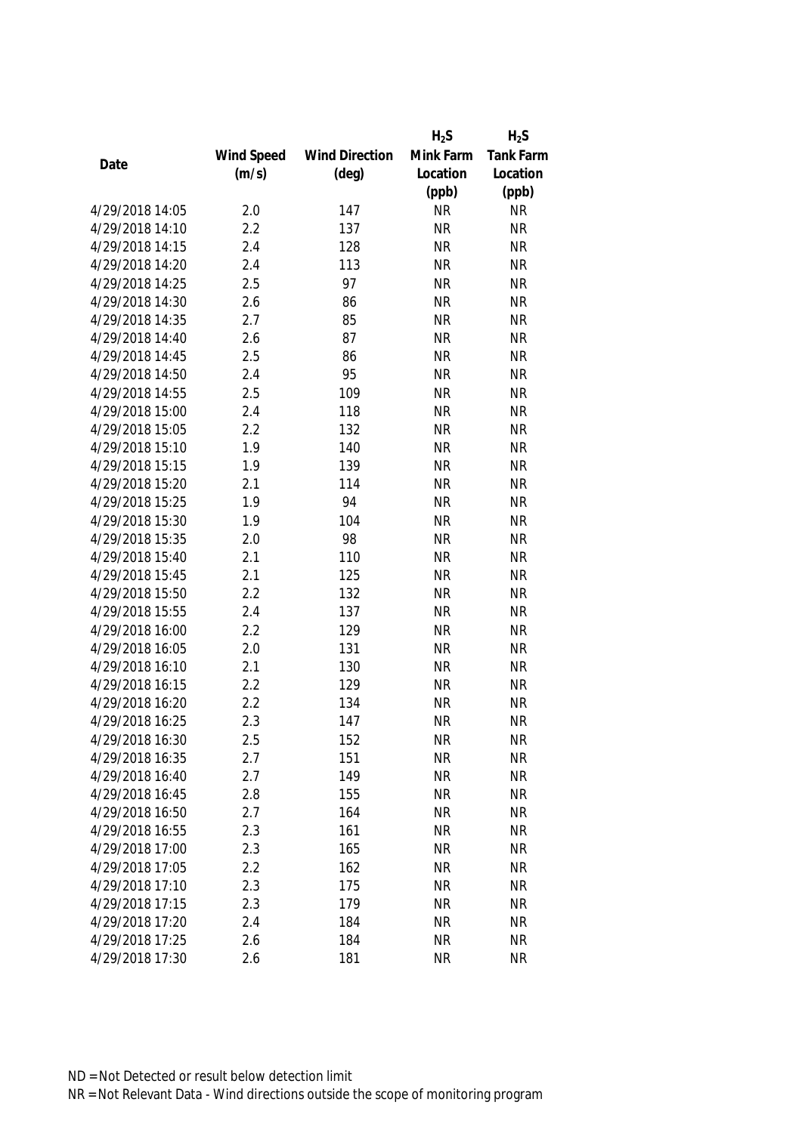|                 |            |                       | $H_2S$    | $H_2S$    |
|-----------------|------------|-----------------------|-----------|-----------|
|                 | Wind Speed | <b>Wind Direction</b> | Mink Farm | Tank Farm |
| Date            | (m/s)      | $(\text{deg})$        | Location  | Location  |
|                 |            |                       | (ppb)     | (ppb)     |
| 4/29/2018 14:05 | 2.0        | 147                   | <b>NR</b> | <b>NR</b> |
| 4/29/2018 14:10 | 2.2        | 137                   | <b>NR</b> | <b>NR</b> |
| 4/29/2018 14:15 | 2.4        | 128                   | <b>NR</b> | <b>NR</b> |
| 4/29/2018 14:20 | 2.4        | 113                   | <b>NR</b> | <b>NR</b> |
| 4/29/2018 14:25 | 2.5        | 97                    | <b>NR</b> | <b>NR</b> |
| 4/29/2018 14:30 | 2.6        | 86                    | <b>NR</b> | <b>NR</b> |
| 4/29/2018 14:35 | 2.7        | 85                    | <b>NR</b> | <b>NR</b> |
| 4/29/2018 14:40 | 2.6        | 87                    | <b>NR</b> | <b>NR</b> |
| 4/29/2018 14:45 | 2.5        | 86                    | <b>NR</b> | <b>NR</b> |
| 4/29/2018 14:50 | 2.4        | 95                    | <b>NR</b> | <b>NR</b> |
| 4/29/2018 14:55 | 2.5        | 109                   | <b>NR</b> | <b>NR</b> |
| 4/29/2018 15:00 | 2.4        | 118                   | <b>NR</b> | <b>NR</b> |
| 4/29/2018 15:05 | 2.2        | 132                   | <b>NR</b> | <b>NR</b> |
| 4/29/2018 15:10 | 1.9        | 140                   | <b>NR</b> | <b>NR</b> |
| 4/29/2018 15:15 | 1.9        | 139                   | <b>NR</b> | <b>NR</b> |
| 4/29/2018 15:20 | 2.1        | 114                   | <b>NR</b> | <b>NR</b> |
| 4/29/2018 15:25 | 1.9        | 94                    | <b>NR</b> | <b>NR</b> |
| 4/29/2018 15:30 | 1.9        | 104                   | <b>NR</b> | <b>NR</b> |
| 4/29/2018 15:35 | 2.0        | 98                    | <b>NR</b> | <b>NR</b> |
| 4/29/2018 15:40 | 2.1        | 110                   | <b>NR</b> | <b>NR</b> |
| 4/29/2018 15:45 | 2.1        | 125                   | <b>NR</b> | <b>NR</b> |
| 4/29/2018 15:50 | 2.2        | 132                   | <b>NR</b> | <b>NR</b> |
| 4/29/2018 15:55 | 2.4        | 137                   | <b>NR</b> | <b>NR</b> |
| 4/29/2018 16:00 | 2.2        | 129                   | <b>NR</b> | <b>NR</b> |
| 4/29/2018 16:05 | 2.0        | 131                   | <b>NR</b> | <b>NR</b> |
| 4/29/2018 16:10 | 2.1        | 130                   | <b>NR</b> | <b>NR</b> |
| 4/29/2018 16:15 | 2.2        | 129                   | <b>NR</b> | <b>NR</b> |
| 4/29/2018 16:20 | 2.2        | 134                   | <b>NR</b> | <b>NR</b> |
| 4/29/2018 16:25 | 2.3        | 147                   | <b>NR</b> | <b>NR</b> |
| 4/29/2018 16:30 | 2.5        | 152                   | <b>NR</b> | <b>NR</b> |
| 4/29/2018 16:35 | 2.7        | 151                   | <b>NR</b> | <b>NR</b> |
| 4/29/2018 16:40 | 2.7        | 149                   | <b>NR</b> | <b>NR</b> |
| 4/29/2018 16:45 | 2.8        | 155                   | <b>NR</b> | <b>NR</b> |
| 4/29/2018 16:50 | 2.7        | 164                   | <b>NR</b> | <b>NR</b> |
| 4/29/2018 16:55 | 2.3        | 161                   | <b>NR</b> | <b>NR</b> |
| 4/29/2018 17:00 | 2.3        | 165                   | <b>NR</b> | <b>NR</b> |
| 4/29/2018 17:05 | 2.2        | 162                   | <b>NR</b> | <b>NR</b> |
| 4/29/2018 17:10 | 2.3        | 175                   | <b>NR</b> | <b>NR</b> |
| 4/29/2018 17:15 | 2.3        | 179                   | <b>NR</b> | <b>NR</b> |
| 4/29/2018 17:20 | 2.4        | 184                   | <b>NR</b> | <b>NR</b> |
| 4/29/2018 17:25 | 2.6        | 184                   | <b>NR</b> | <b>NR</b> |
| 4/29/2018 17:30 | 2.6        | 181                   | <b>NR</b> | <b>NR</b> |
|                 |            |                       |           |           |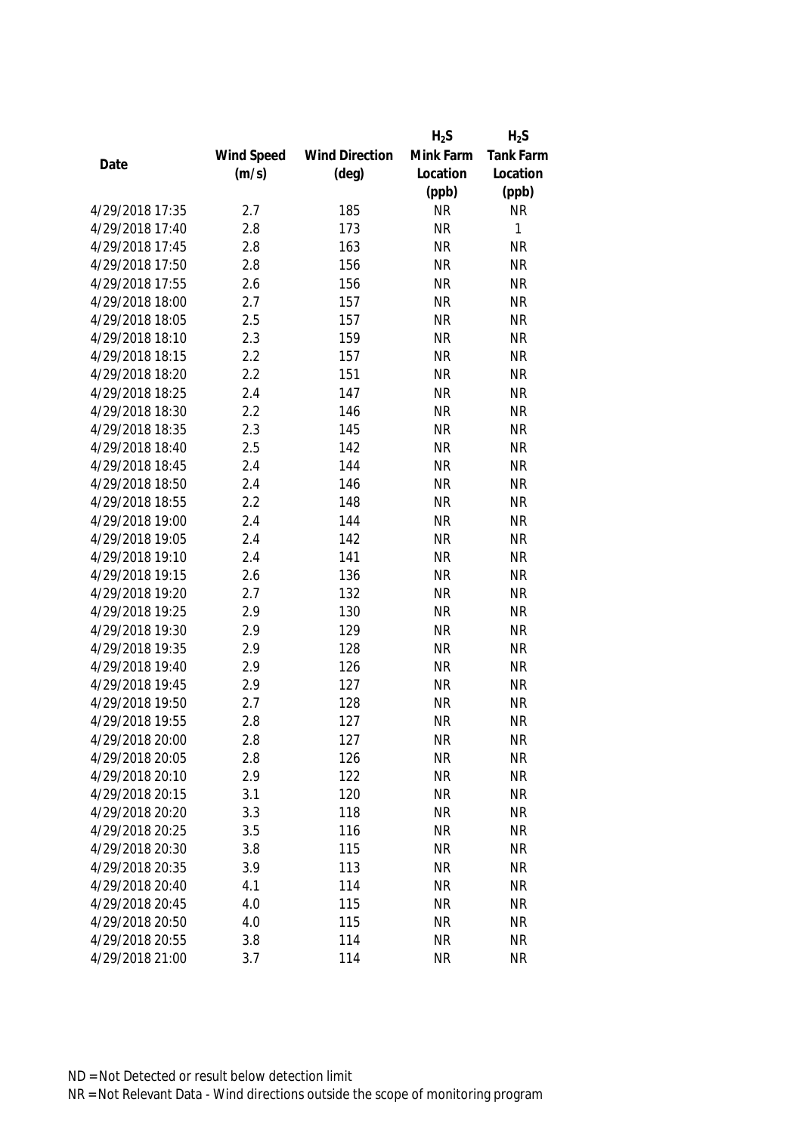|                 |            |                       | $H_2S$    | $H_2S$    |
|-----------------|------------|-----------------------|-----------|-----------|
|                 | Wind Speed | <b>Wind Direction</b> | Mink Farm | Tank Farm |
| Date            | (m/s)      | $(\text{deg})$        | Location  | Location  |
|                 |            |                       | (ppb)     | (ppb)     |
| 4/29/2018 17:35 | 2.7        | 185                   | <b>NR</b> | <b>NR</b> |
| 4/29/2018 17:40 | 2.8        | 173                   | <b>NR</b> | 1         |
| 4/29/2018 17:45 | 2.8        | 163                   | <b>NR</b> | <b>NR</b> |
| 4/29/2018 17:50 | 2.8        | 156                   | <b>NR</b> | <b>NR</b> |
| 4/29/2018 17:55 | 2.6        | 156                   | <b>NR</b> | <b>NR</b> |
| 4/29/2018 18:00 | 2.7        | 157                   | <b>NR</b> | <b>NR</b> |
| 4/29/2018 18:05 | 2.5        | 157                   | <b>NR</b> | <b>NR</b> |
| 4/29/2018 18:10 | 2.3        | 159                   | <b>NR</b> | <b>NR</b> |
| 4/29/2018 18:15 | 2.2        | 157                   | <b>NR</b> | <b>NR</b> |
| 4/29/2018 18:20 | 2.2        | 151                   | <b>NR</b> | <b>NR</b> |
| 4/29/2018 18:25 | 2.4        | 147                   | <b>NR</b> | <b>NR</b> |
| 4/29/2018 18:30 | 2.2        | 146                   | <b>NR</b> | <b>NR</b> |
| 4/29/2018 18:35 | 2.3        | 145                   | <b>NR</b> | <b>NR</b> |
| 4/29/2018 18:40 | 2.5        | 142                   | <b>NR</b> | <b>NR</b> |
| 4/29/2018 18:45 | 2.4        | 144                   | <b>NR</b> | <b>NR</b> |
| 4/29/2018 18:50 | 2.4        | 146                   | <b>NR</b> | <b>NR</b> |
| 4/29/2018 18:55 | 2.2        | 148                   | <b>NR</b> | <b>NR</b> |
| 4/29/2018 19:00 | 2.4        | 144                   | <b>NR</b> | <b>NR</b> |
| 4/29/2018 19:05 | 2.4        | 142                   | <b>NR</b> | <b>NR</b> |
| 4/29/2018 19:10 | 2.4        | 141                   | <b>NR</b> | <b>NR</b> |
| 4/29/2018 19:15 | 2.6        | 136                   | <b>NR</b> | <b>NR</b> |
| 4/29/2018 19:20 | 2.7        | 132                   | <b>NR</b> | <b>NR</b> |
| 4/29/2018 19:25 | 2.9        | 130                   | <b>NR</b> | <b>NR</b> |
| 4/29/2018 19:30 | 2.9        | 129                   | <b>NR</b> | <b>NR</b> |
| 4/29/2018 19:35 | 2.9        | 128                   | <b>NR</b> | <b>NR</b> |
| 4/29/2018 19:40 | 2.9        | 126                   | <b>NR</b> | <b>NR</b> |
| 4/29/2018 19:45 | 2.9        | 127                   | <b>NR</b> | <b>NR</b> |
| 4/29/2018 19:50 | 2.7        | 128                   | <b>NR</b> | <b>NR</b> |
| 4/29/2018 19:55 | 2.8        | 127                   | <b>NR</b> | <b>NR</b> |
| 4/29/2018 20:00 | 2.8        | 127                   | <b>NR</b> | <b>NR</b> |
| 4/29/2018 20:05 | 2.8        | 126                   | <b>NR</b> | <b>NR</b> |
| 4/29/2018 20:10 | 2.9        | 122                   | <b>NR</b> | <b>NR</b> |
| 4/29/2018 20:15 | 3.1        | 120                   | <b>NR</b> | <b>NR</b> |
| 4/29/2018 20:20 | 3.3        | 118                   | <b>NR</b> | <b>NR</b> |
| 4/29/2018 20:25 | 3.5        | 116                   | <b>NR</b> | <b>NR</b> |
| 4/29/2018 20:30 | 3.8        | 115                   | <b>NR</b> | <b>NR</b> |
| 4/29/2018 20:35 | 3.9        | 113                   | <b>NR</b> | <b>NR</b> |
| 4/29/2018 20:40 | 4.1        | 114                   | <b>NR</b> | <b>NR</b> |
| 4/29/2018 20:45 | 4.0        | 115                   | <b>NR</b> | <b>NR</b> |
| 4/29/2018 20:50 | 4.0        | 115                   | <b>NR</b> | <b>NR</b> |
| 4/29/2018 20:55 | 3.8        | 114                   | <b>NR</b> | <b>NR</b> |
| 4/29/2018 21:00 | 3.7        | 114                   | <b>NR</b> | <b>NR</b> |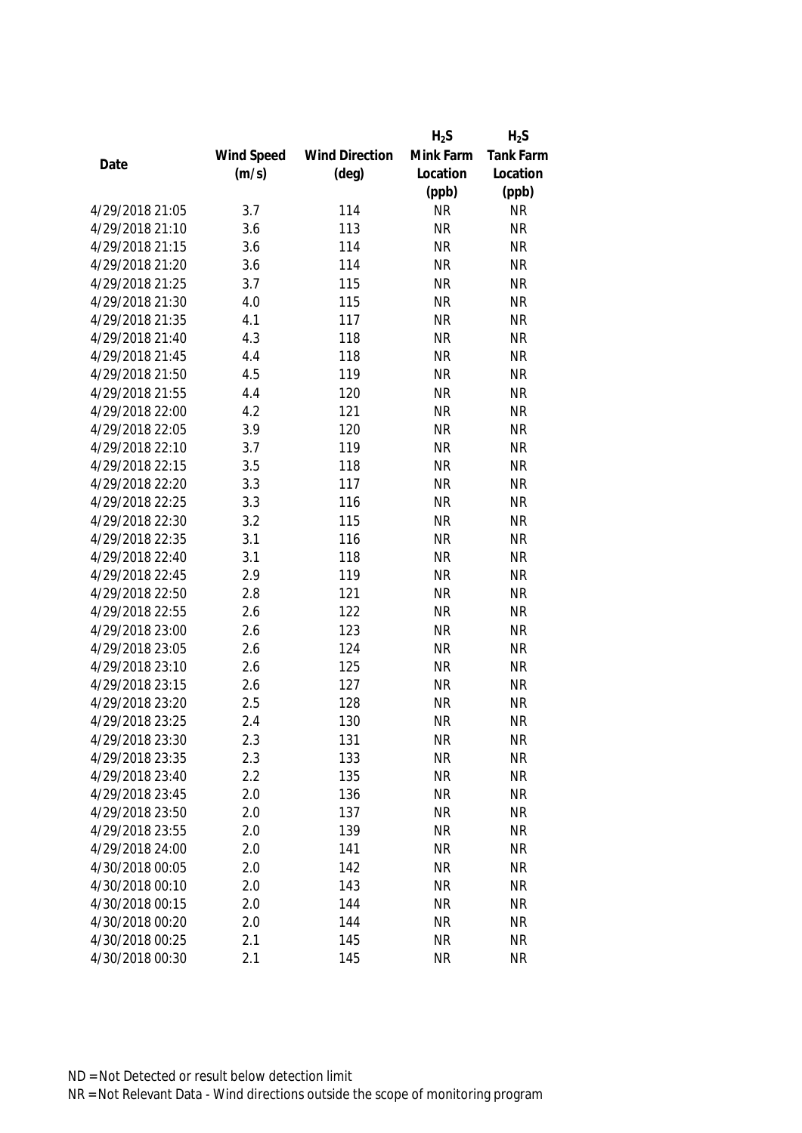|                 |            |                       | $H_2S$    | $H_2S$    |
|-----------------|------------|-----------------------|-----------|-----------|
|                 | Wind Speed | <b>Wind Direction</b> | Mink Farm | Tank Farm |
| Date            | (m/s)      | $(\text{deg})$        | Location  | Location  |
|                 |            |                       | (ppb)     | (ppb)     |
| 4/29/2018 21:05 | 3.7        | 114                   | <b>NR</b> | <b>NR</b> |
| 4/29/2018 21:10 | 3.6        | 113                   | <b>NR</b> | <b>NR</b> |
| 4/29/2018 21:15 | 3.6        | 114                   | <b>NR</b> | <b>NR</b> |
| 4/29/2018 21:20 | 3.6        | 114                   | <b>NR</b> | <b>NR</b> |
| 4/29/2018 21:25 | 3.7        | 115                   | <b>NR</b> | <b>NR</b> |
| 4/29/2018 21:30 | 4.0        | 115                   | <b>NR</b> | <b>NR</b> |
| 4/29/2018 21:35 | 4.1        | 117                   | <b>NR</b> | <b>NR</b> |
| 4/29/2018 21:40 | 4.3        | 118                   | <b>NR</b> | <b>NR</b> |
| 4/29/2018 21:45 | 4.4        | 118                   | <b>NR</b> | <b>NR</b> |
| 4/29/2018 21:50 | 4.5        | 119                   | <b>NR</b> | <b>NR</b> |
| 4/29/2018 21:55 | 4.4        | 120                   | <b>NR</b> | <b>NR</b> |
| 4/29/2018 22:00 | 4.2        | 121                   | <b>NR</b> | <b>NR</b> |
| 4/29/2018 22:05 | 3.9        | 120                   | <b>NR</b> | <b>NR</b> |
| 4/29/2018 22:10 | 3.7        | 119                   | <b>NR</b> | <b>NR</b> |
| 4/29/2018 22:15 | 3.5        | 118                   | <b>NR</b> | <b>NR</b> |
| 4/29/2018 22:20 | 3.3        | 117                   | <b>NR</b> | <b>NR</b> |
| 4/29/2018 22:25 | 3.3        | 116                   | <b>NR</b> | <b>NR</b> |
| 4/29/2018 22:30 | 3.2        | 115                   | <b>NR</b> | <b>NR</b> |
| 4/29/2018 22:35 | 3.1        | 116                   | <b>NR</b> | <b>NR</b> |
| 4/29/2018 22:40 | 3.1        | 118                   | <b>NR</b> | <b>NR</b> |
| 4/29/2018 22:45 | 2.9        | 119                   | <b>NR</b> | <b>NR</b> |
| 4/29/2018 22:50 | 2.8        | 121                   | <b>NR</b> | <b>NR</b> |
| 4/29/2018 22:55 | 2.6        | 122                   | <b>NR</b> | <b>NR</b> |
| 4/29/2018 23:00 | 2.6        | 123                   | <b>NR</b> | <b>NR</b> |
| 4/29/2018 23:05 | 2.6        | 124                   | <b>NR</b> | <b>NR</b> |
| 4/29/2018 23:10 | 2.6        | 125                   | <b>NR</b> | <b>NR</b> |
| 4/29/2018 23:15 | 2.6        | 127                   | <b>NR</b> | <b>NR</b> |
| 4/29/2018 23:20 | 2.5        | 128                   | <b>NR</b> | <b>NR</b> |
| 4/29/2018 23:25 | 2.4        | 130                   | <b>NR</b> | <b>NR</b> |
| 4/29/2018 23:30 | 2.3        | 131                   | <b>NR</b> | <b>NR</b> |
| 4/29/2018 23:35 | 2.3        | 133                   | <b>NR</b> | <b>NR</b> |
| 4/29/2018 23:40 | 2.2        | 135                   | <b>NR</b> | <b>NR</b> |
| 4/29/2018 23:45 | 2.0        | 136                   | <b>NR</b> | <b>NR</b> |
| 4/29/2018 23:50 | 2.0        | 137                   | <b>NR</b> | <b>NR</b> |
| 4/29/2018 23:55 | 2.0        | 139                   | <b>NR</b> | <b>NR</b> |
| 4/29/2018 24:00 | 2.0        | 141                   | <b>NR</b> | <b>NR</b> |
| 4/30/2018 00:05 | 2.0        | 142                   | <b>NR</b> | <b>NR</b> |
| 4/30/2018 00:10 | 2.0        | 143                   | <b>NR</b> | <b>NR</b> |
| 4/30/2018 00:15 | 2.0        | 144                   | <b>NR</b> | <b>NR</b> |
| 4/30/2018 00:20 | 2.0        | 144                   | <b>NR</b> | <b>NR</b> |
| 4/30/2018 00:25 | 2.1        | 145                   | <b>NR</b> | <b>NR</b> |
| 4/30/2018 00:30 | 2.1        | 145                   | <b>NR</b> | <b>NR</b> |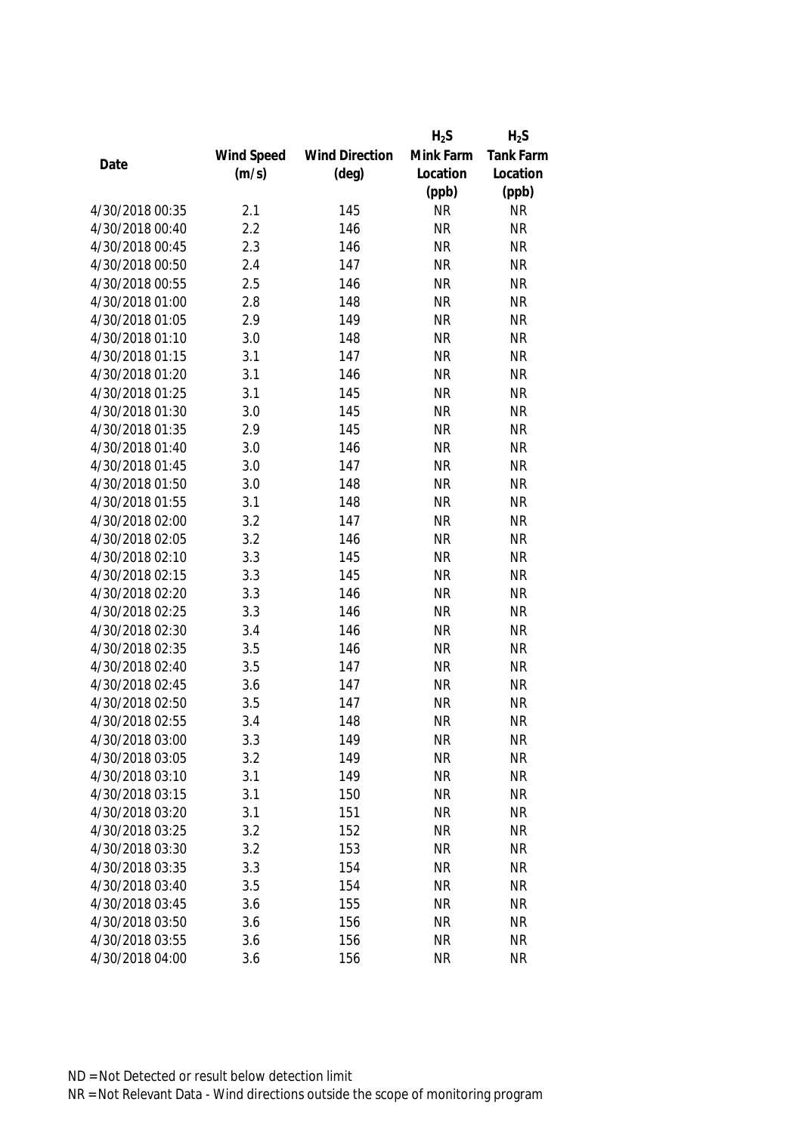| Mink Farm<br>Wind Speed<br><b>Wind Direction</b><br>Date<br>(m/s)<br>$(\text{deg})$<br>Location | <b>Tank Farm</b><br>Location |
|-------------------------------------------------------------------------------------------------|------------------------------|
|                                                                                                 |                              |
|                                                                                                 |                              |
| (ppb)                                                                                           | (ppb)                        |
| 4/30/2018 00:35<br>2.1<br>145<br><b>NR</b>                                                      | <b>NR</b>                    |
| 4/30/2018 00:40<br>2.2<br>146<br><b>NR</b>                                                      | <b>NR</b>                    |
| 2.3<br>4/30/2018 00:45<br>146<br><b>NR</b>                                                      | <b>NR</b>                    |
| 4/30/2018 00:50<br>2.4<br><b>NR</b><br>147                                                      | <b>NR</b>                    |
| <b>NR</b><br>4/30/2018 00:55<br>2.5<br>146                                                      | <b>NR</b>                    |
| 2.8<br>148<br><b>NR</b><br>4/30/2018 01:00                                                      | <b>NR</b>                    |
| 2.9<br>149<br><b>NR</b><br>4/30/2018 01:05                                                      | <b>NR</b>                    |
| 4/30/2018 01:10<br><b>NR</b><br>3.0<br>148                                                      | <b>NR</b>                    |
| 4/30/2018 01:15<br>147<br><b>NR</b><br>3.1                                                      | <b>NR</b>                    |
| 4/30/2018 01:20<br>3.1<br>146<br><b>NR</b>                                                      | <b>NR</b>                    |
| 3.1<br>145<br>4/30/2018 01:25<br><b>NR</b>                                                      | <b>NR</b>                    |
| 3.0<br><b>NR</b><br>4/30/2018 01:30<br>145                                                      | <b>NR</b>                    |
| 145<br>4/30/2018 01:35<br>2.9<br><b>NR</b>                                                      | <b>NR</b>                    |
| 3.0<br>146<br><b>NR</b><br>4/30/2018 01:40                                                      | <b>NR</b>                    |
| 3.0<br>147<br>4/30/2018 01:45<br><b>NR</b>                                                      | <b>NR</b>                    |
| 4/30/2018 01:50<br><b>NR</b><br>3.0<br>148                                                      | <b>NR</b>                    |
| 4/30/2018 01:55<br><b>NR</b><br>3.1<br>148                                                      | <b>NR</b>                    |
| 3.2<br>147<br><b>NR</b><br>4/30/2018 02:00                                                      | <b>NR</b>                    |
| 4/30/2018 02:05<br>3.2<br><b>NR</b><br>146                                                      | <b>NR</b>                    |
| 4/30/2018 02:10<br><b>NR</b><br>3.3<br>145                                                      | <b>NR</b>                    |
| 145<br><b>NR</b><br>4/30/2018 02:15<br>3.3                                                      | <b>NR</b>                    |
| 3.3<br>146<br><b>NR</b><br>4/30/2018 02:20                                                      | <b>NR</b>                    |
| 3.3<br>146<br>4/30/2018 02:25<br><b>NR</b>                                                      | <b>NR</b>                    |
| 4/30/2018 02:30<br><b>NR</b><br>3.4<br>146                                                      | <b>NR</b>                    |
| 4/30/2018 02:35<br>3.5<br>146<br><b>NR</b>                                                      | <b>NR</b>                    |
| 3.5<br><b>NR</b><br>4/30/2018 02:40<br>147                                                      | <b>NR</b>                    |
| 4/30/2018 02:45<br>3.6<br><b>NR</b><br>147                                                      | <b>NR</b>                    |
| 4/30/2018 02:50<br>3.5<br>147<br><b>NR</b>                                                      | <b>NR</b>                    |
| <b>NR</b><br>4/30/2018 02:55<br>3.4<br>148                                                      | <b>NR</b>                    |
| <b>NR</b><br>4/30/2018 03:00<br>3.3<br>149                                                      | <b>NR</b>                    |
| 4/30/2018 03:05<br>3.2<br>149<br><b>NR</b>                                                      | <b>NR</b>                    |
| 4/30/2018 03:10<br>3.1<br>149<br><b>NR</b>                                                      | <b>NR</b>                    |
| 4/30/2018 03:15<br>3.1<br>150<br><b>NR</b>                                                      | <b>NR</b>                    |
| 151<br>4/30/2018 03:20<br>3.1<br><b>NR</b>                                                      | <b>NR</b>                    |
| 4/30/2018 03:25<br>152<br><b>NR</b><br>3.2                                                      | <b>NR</b>                    |
| 4/30/2018 03:30<br>153<br><b>NR</b><br>3.2                                                      | <b>NR</b>                    |
| 4/30/2018 03:35<br>3.3<br>154<br><b>NR</b>                                                      | <b>NR</b>                    |
| 4/30/2018 03:40<br>3.5<br>154<br><b>NR</b>                                                      | <b>NR</b>                    |
| 4/30/2018 03:45<br>3.6<br>155<br><b>NR</b>                                                      | <b>NR</b>                    |
| 4/30/2018 03:50<br>156<br><b>NR</b><br>3.6                                                      | <b>NR</b>                    |
| 4/30/2018 03:55<br>3.6<br>156<br><b>NR</b>                                                      | <b>NR</b>                    |
| 4/30/2018 04:00<br>3.6<br>156<br><b>NR</b>                                                      | <b>NR</b>                    |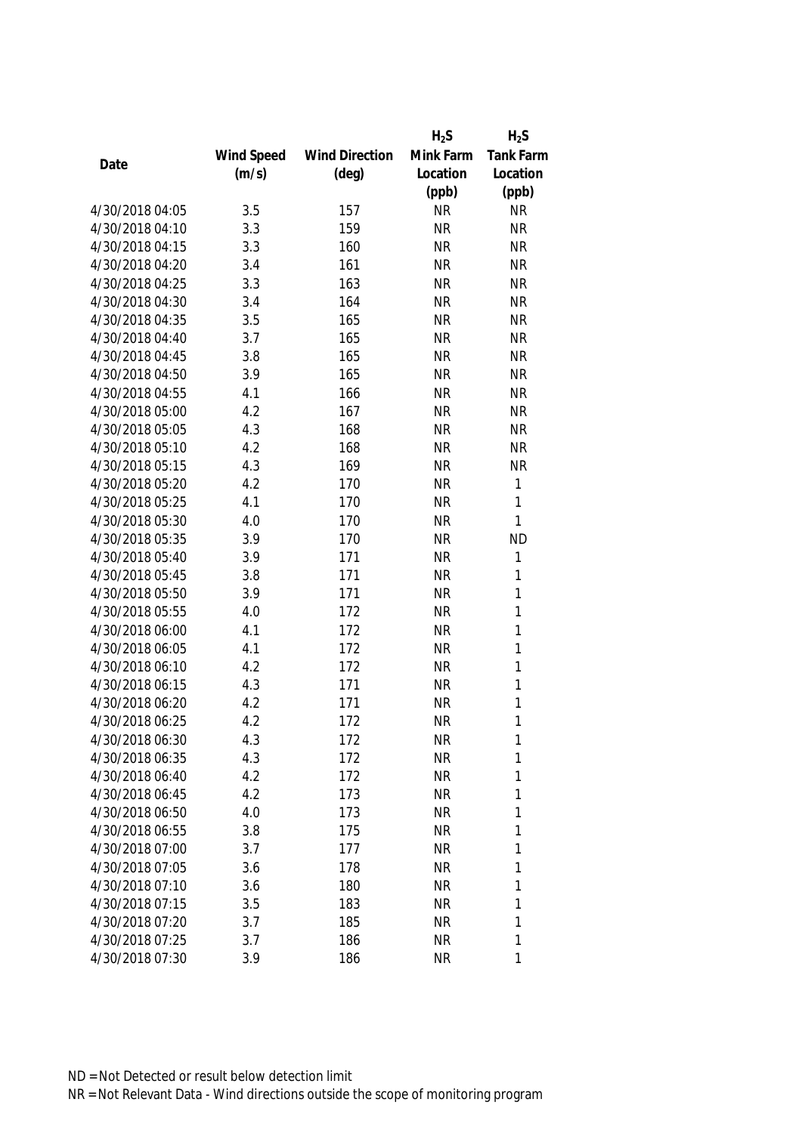|                 |            |                       | $H_2S$    | $H_2S$       |
|-----------------|------------|-----------------------|-----------|--------------|
|                 | Wind Speed | <b>Wind Direction</b> | Mink Farm | Tank Farm    |
| Date            | (m/s)      | $(\text{deg})$        | Location  | Location     |
|                 |            |                       | (ppb)     | (ppb)        |
| 4/30/2018 04:05 | 3.5        | 157                   | <b>NR</b> | <b>NR</b>    |
| 4/30/2018 04:10 | 3.3        | 159                   | <b>NR</b> | <b>NR</b>    |
| 4/30/2018 04:15 | 3.3        | 160                   | <b>NR</b> | <b>NR</b>    |
| 4/30/2018 04:20 | 3.4        | 161                   | <b>NR</b> | <b>NR</b>    |
| 4/30/2018 04:25 | 3.3        | 163                   | <b>NR</b> | <b>NR</b>    |
| 4/30/2018 04:30 | 3.4        | 164                   | <b>NR</b> | <b>NR</b>    |
| 4/30/2018 04:35 | 3.5        | 165                   | <b>NR</b> | <b>NR</b>    |
| 4/30/2018 04:40 | 3.7        | 165                   | <b>NR</b> | <b>NR</b>    |
| 4/30/2018 04:45 | 3.8        | 165                   | <b>NR</b> | <b>NR</b>    |
| 4/30/2018 04:50 | 3.9        | 165                   | <b>NR</b> | <b>NR</b>    |
| 4/30/2018 04:55 | 4.1        | 166                   | <b>NR</b> | <b>NR</b>    |
| 4/30/2018 05:00 | 4.2        | 167                   | <b>NR</b> | <b>NR</b>    |
| 4/30/2018 05:05 | 4.3        | 168                   | <b>NR</b> | <b>NR</b>    |
| 4/30/2018 05:10 | 4.2        | 168                   | <b>NR</b> | <b>NR</b>    |
| 4/30/2018 05:15 | 4.3        | 169                   | <b>NR</b> | <b>NR</b>    |
| 4/30/2018 05:20 | 4.2        | 170                   | <b>NR</b> | $\mathbf{1}$ |
| 4/30/2018 05:25 | 4.1        | 170                   | <b>NR</b> | 1            |
| 4/30/2018 05:30 | 4.0        | 170                   | <b>NR</b> | $\mathbf{1}$ |
| 4/30/2018 05:35 | 3.9        | 170                   | <b>NR</b> | <b>ND</b>    |
| 4/30/2018 05:40 | 3.9        | 171                   | <b>NR</b> | 1            |
| 4/30/2018 05:45 | 3.8        | 171                   | <b>NR</b> | $\mathbf{1}$ |
| 4/30/2018 05:50 | 3.9        | 171                   | <b>NR</b> | $\mathbf{1}$ |
| 4/30/2018 05:55 | 4.0        | 172                   | <b>NR</b> | $\mathbf{1}$ |
| 4/30/2018 06:00 | 4.1        | 172                   | <b>NR</b> | $\mathbf{1}$ |
| 4/30/2018 06:05 | 4.1        | 172                   | <b>NR</b> | $\mathbf{1}$ |
| 4/30/2018 06:10 | 4.2        | 172                   | <b>NR</b> | 1            |
| 4/30/2018 06:15 | 4.3        | 171                   | <b>NR</b> | 1            |
| 4/30/2018 06:20 | 4.2        | 171                   | <b>NR</b> | 1            |
| 4/30/2018 06:25 | 4.2        | 172                   | <b>NR</b> | 1            |
| 4/30/2018 06:30 | 4.3        | 172                   | <b>NR</b> | 1            |
| 4/30/2018 06:35 | 4.3        | 172                   | <b>NR</b> | 1            |
| 4/30/2018 06:40 | 4.2        | 172                   | <b>NR</b> | 1            |
| 4/30/2018 06:45 | 4.2        | 173                   | <b>NR</b> | 1            |
| 4/30/2018 06:50 | 4.0        | 173                   | <b>NR</b> | 1            |
| 4/30/2018 06:55 | 3.8        | 175                   | <b>NR</b> | 1            |
| 4/30/2018 07:00 | 3.7        | 177                   | <b>NR</b> | 1            |
| 4/30/2018 07:05 | 3.6        | 178                   | <b>NR</b> | 1            |
| 4/30/2018 07:10 | 3.6        | 180                   | <b>NR</b> | 1            |
| 4/30/2018 07:15 | 3.5        | 183                   | <b>NR</b> | 1            |
| 4/30/2018 07:20 | 3.7        | 185                   | <b>NR</b> | 1            |
| 4/30/2018 07:25 | 3.7        | 186                   | <b>NR</b> | 1            |
| 4/30/2018 07:30 | 3.9        | 186                   | <b>NR</b> | 1            |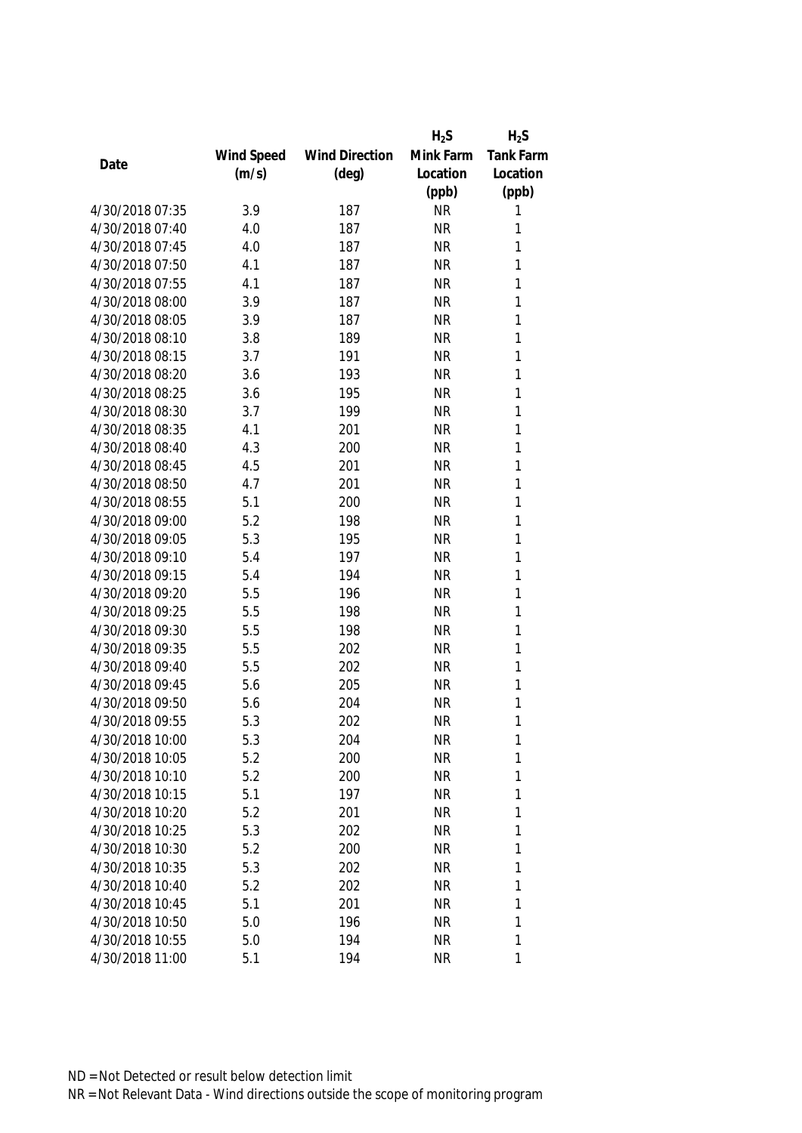|                 |            |                       | $H_2S$    | $H_2S$           |
|-----------------|------------|-----------------------|-----------|------------------|
|                 | Wind Speed | <b>Wind Direction</b> | Mink Farm | <b>Tank Farm</b> |
| Date            | (m/s)      | $(\text{deg})$        | Location  | Location         |
|                 |            |                       | (ppb)     | (ppb)            |
| 4/30/2018 07:35 | 3.9        | 187                   | <b>NR</b> | 1                |
| 4/30/2018 07:40 | 4.0        | 187                   | <b>NR</b> | 1                |
| 4/30/2018 07:45 | 4.0        | 187                   | <b>NR</b> | 1                |
| 4/30/2018 07:50 | 4.1        | 187                   | <b>NR</b> | 1                |
| 4/30/2018 07:55 | 4.1        | 187                   | <b>NR</b> | 1                |
| 4/30/2018 08:00 | 3.9        | 187                   | <b>NR</b> | 1                |
| 4/30/2018 08:05 | 3.9        | 187                   | <b>NR</b> | 1                |
| 4/30/2018 08:10 | 3.8        | 189                   | <b>NR</b> | 1                |
| 4/30/2018 08:15 | 3.7        | 191                   | <b>NR</b> | 1                |
| 4/30/2018 08:20 | 3.6        | 193                   | <b>NR</b> | 1                |
| 4/30/2018 08:25 | 3.6        | 195                   | <b>NR</b> | 1                |
| 4/30/2018 08:30 | 3.7        | 199                   | <b>NR</b> | 1                |
| 4/30/2018 08:35 | 4.1        | 201                   | <b>NR</b> | 1                |
| 4/30/2018 08:40 | 4.3        | 200                   | <b>NR</b> | 1                |
| 4/30/2018 08:45 | 4.5        | 201                   | <b>NR</b> | 1                |
| 4/30/2018 08:50 | 4.7        | 201                   | <b>NR</b> | $\mathbf{1}$     |
| 4/30/2018 08:55 | 5.1        | 200                   | <b>NR</b> | 1                |
| 4/30/2018 09:00 | 5.2        | 198                   | <b>NR</b> | 1                |
| 4/30/2018 09:05 | 5.3        | 195                   | <b>NR</b> | 1                |
| 4/30/2018 09:10 | 5.4        | 197                   | <b>NR</b> | 1                |
| 4/30/2018 09:15 | 5.4        | 194                   | <b>NR</b> | 1                |
| 4/30/2018 09:20 | 5.5        | 196                   | <b>NR</b> | $\mathbf{1}$     |
| 4/30/2018 09:25 | 5.5        | 198                   | <b>NR</b> | 1                |
| 4/30/2018 09:30 | 5.5        | 198                   | <b>NR</b> | 1                |
| 4/30/2018 09:35 | 5.5        | 202                   | <b>NR</b> | 1                |
| 4/30/2018 09:40 | 5.5        | 202                   | <b>NR</b> | 1                |
| 4/30/2018 09:45 | 5.6        | 205                   | <b>NR</b> | 1                |
| 4/30/2018 09:50 | 5.6        | 204                   | <b>NR</b> | 1                |
| 4/30/2018 09:55 | 5.3        | 202                   | <b>NR</b> | 1                |
| 4/30/2018 10:00 | 5.3        | 204                   | <b>NR</b> | 1                |
| 4/30/2018 10:05 | 5.2        | 200                   | <b>NR</b> | 1                |
| 4/30/2018 10:10 | 5.2        | 200                   | <b>NR</b> | 1                |
| 4/30/2018 10:15 | 5.1        | 197                   | <b>NR</b> | 1                |
| 4/30/2018 10:20 | 5.2        | 201                   | <b>NR</b> | 1                |
| 4/30/2018 10:25 | 5.3        | 202                   | <b>NR</b> | 1                |
| 4/30/2018 10:30 | 5.2        | 200                   | <b>NR</b> | 1                |
| 4/30/2018 10:35 | 5.3        | 202                   | <b>NR</b> | 1                |
| 4/30/2018 10:40 | 5.2        | 202                   | <b>NR</b> | 1                |
| 4/30/2018 10:45 | 5.1        | 201                   | <b>NR</b> | 1                |
| 4/30/2018 10:50 | 5.0        | 196                   | <b>NR</b> | 1                |
| 4/30/2018 10:55 | 5.0        | 194                   | <b>NR</b> | 1                |
| 4/30/2018 11:00 | 5.1        | 194                   | <b>NR</b> | 1                |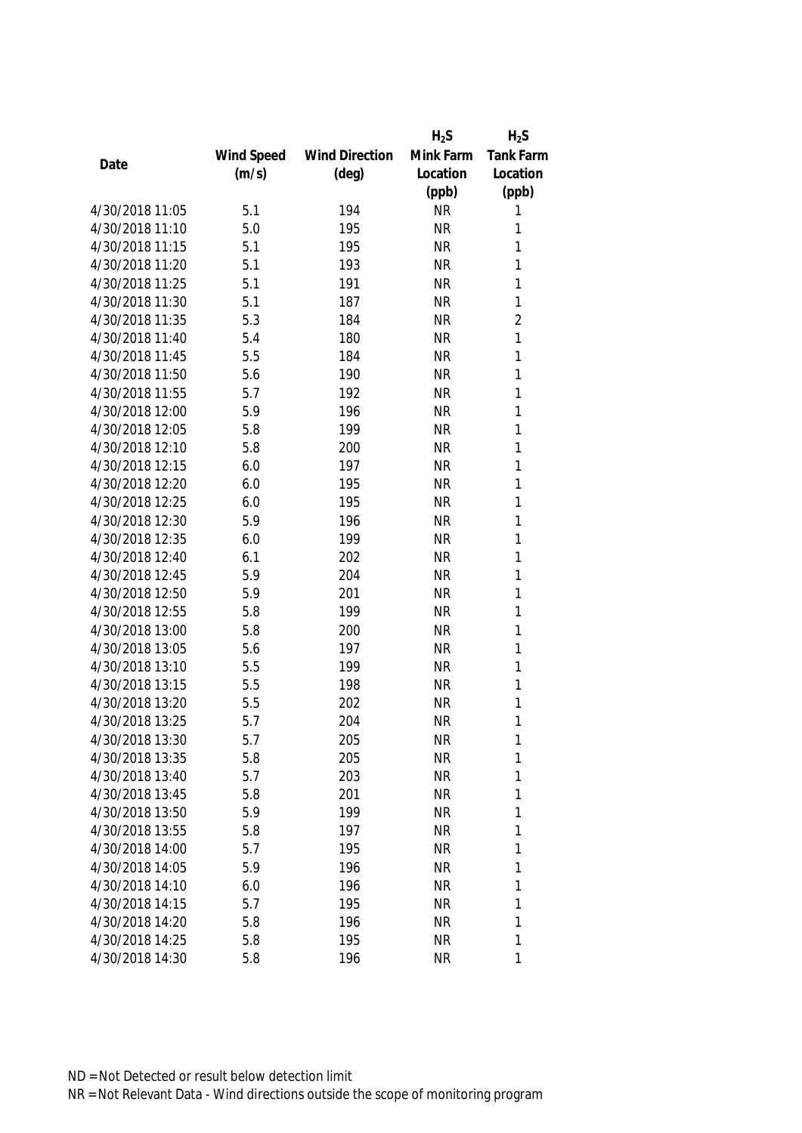|                 |            |                       | $H_2S$    | $H_2S$         |
|-----------------|------------|-----------------------|-----------|----------------|
|                 | Wind Speed | <b>Wind Direction</b> | Mink Farm | Tank Farm      |
| Date            | (m/s)      | $(\text{deg})$        | Location  | Location       |
|                 |            |                       | (ppb)     | (ppb)          |
| 4/30/2018 11:05 | 5.1        | 194                   | <b>NR</b> | 1              |
| 4/30/2018 11:10 | 5.0        | 195                   | <b>NR</b> | 1              |
| 4/30/2018 11:15 | 5.1        | 195                   | <b>NR</b> | 1              |
| 4/30/2018 11:20 | 5.1        | 193                   | <b>NR</b> | 1              |
| 4/30/2018 11:25 | 5.1        | 191                   | <b>NR</b> | 1              |
| 4/30/2018 11:30 | 5.1        | 187                   | <b>NR</b> | 1              |
| 4/30/2018 11:35 | 5.3        | 184                   | <b>NR</b> | $\overline{2}$ |
| 4/30/2018 11:40 | 5.4        | 180                   | <b>NR</b> | $\mathbf{1}$   |
| 4/30/2018 11:45 | 5.5        | 184                   | <b>NR</b> | 1              |
| 4/30/2018 11:50 | 5.6        | 190                   | <b>NR</b> | 1              |
| 4/30/2018 11:55 | 5.7        | 192                   | <b>NR</b> | 1              |
| 4/30/2018 12:00 | 5.9        | 196                   | <b>NR</b> | 1              |
| 4/30/2018 12:05 | 5.8        | 199                   | <b>NR</b> | 1              |
| 4/30/2018 12:10 | 5.8        | 200                   | <b>NR</b> | 1              |
| 4/30/2018 12:15 | 6.0        | 197                   | <b>NR</b> | 1              |
| 4/30/2018 12:20 | 6.0        | 195                   | <b>NR</b> | $\mathbf{1}$   |
| 4/30/2018 12:25 | 6.0        | 195                   | <b>NR</b> | 1              |
| 4/30/2018 12:30 | 5.9        | 196                   | <b>NR</b> | 1              |
| 4/30/2018 12:35 | 6.0        | 199                   | <b>NR</b> | 1              |
| 4/30/2018 12:40 | 6.1        | 202                   | <b>NR</b> | 1              |
| 4/30/2018 12:45 | 5.9        | 204                   | <b>NR</b> | 1              |
| 4/30/2018 12:50 | 5.9        | 201                   | <b>NR</b> | 1              |
| 4/30/2018 12:55 | 5.8        | 199                   | <b>NR</b> | 1              |
| 4/30/2018 13:00 | 5.8        | 200                   | <b>NR</b> | 1              |
| 4/30/2018 13:05 | 5.6        | 197                   | <b>NR</b> | 1              |
| 4/30/2018 13:10 | 5.5        | 199                   | <b>NR</b> | 1              |
| 4/30/2018 13:15 | 5.5        | 198                   | <b>NR</b> | 1              |
| 4/30/2018 13:20 | 5.5        | 202                   | <b>NR</b> | 1              |
| 4/30/2018 13:25 | 5.7        | 204                   | <b>NR</b> | 1              |
| 4/30/2018 13:30 | 5.7        | 205                   | <b>NR</b> | 1              |
| 4/30/2018 13:35 | 5.8        | 205                   | <b>NR</b> | 1              |
| 4/30/2018 13:40 | 5.7        | 203                   | <b>NR</b> | 1              |
| 4/30/2018 13:45 | 5.8        | 201                   | <b>NR</b> | 1              |
| 4/30/2018 13:50 | 5.9        | 199                   | NR        | 1              |
| 4/30/2018 13:55 | 5.8        | 197                   | <b>NR</b> | 1              |
| 4/30/2018 14:00 | 5.7        | 195                   | <b>NR</b> | 1              |
| 4/30/2018 14:05 | 5.9        | 196                   | <b>NR</b> | 1              |
| 4/30/2018 14:10 | 6.0        | 196                   | <b>NR</b> | 1              |
| 4/30/2018 14:15 | 5.7        | 195                   | <b>NR</b> | 1              |
| 4/30/2018 14:20 | 5.8        | 196                   | <b>NR</b> | 1              |
| 4/30/2018 14:25 | 5.8        | 195                   | <b>NR</b> | 1              |
| 4/30/2018 14:30 | 5.8        | 196                   | <b>NR</b> | 1              |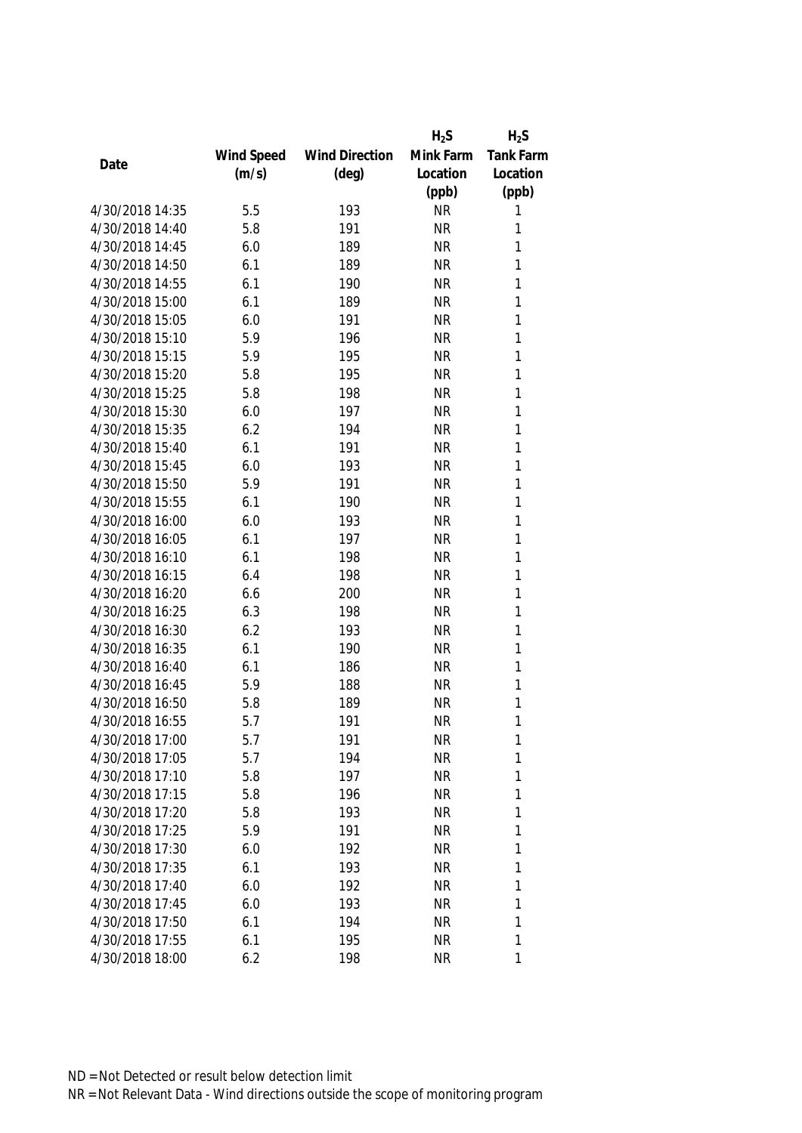|                 |            |                       | $H_2S$    | $H_2S$           |
|-----------------|------------|-----------------------|-----------|------------------|
|                 | Wind Speed | <b>Wind Direction</b> | Mink Farm | <b>Tank Farm</b> |
| Date            | (m/s)      | $(\text{deg})$        | Location  | Location         |
|                 |            |                       | (ppb)     | (ppb)            |
| 4/30/2018 14:35 | 5.5        | 193                   | <b>NR</b> | 1                |
| 4/30/2018 14:40 | 5.8        | 191                   | <b>NR</b> | 1                |
| 4/30/2018 14:45 | 6.0        | 189                   | <b>NR</b> | 1                |
| 4/30/2018 14:50 | 6.1        | 189                   | <b>NR</b> | 1                |
| 4/30/2018 14:55 | 6.1        | 190                   | <b>NR</b> | 1                |
| 4/30/2018 15:00 | 6.1        | 189                   | <b>NR</b> | 1                |
| 4/30/2018 15:05 | 6.0        | 191                   | <b>NR</b> | 1                |
| 4/30/2018 15:10 | 5.9        | 196                   | <b>NR</b> | 1                |
| 4/30/2018 15:15 | 5.9        | 195                   | <b>NR</b> | 1                |
| 4/30/2018 15:20 | 5.8        | 195                   | <b>NR</b> | 1                |
| 4/30/2018 15:25 | 5.8        | 198                   | <b>NR</b> | 1                |
| 4/30/2018 15:30 | 6.0        | 197                   | <b>NR</b> | 1                |
| 4/30/2018 15:35 | 6.2        | 194                   | <b>NR</b> | 1                |
| 4/30/2018 15:40 | 6.1        | 191                   | <b>NR</b> | 1                |
| 4/30/2018 15:45 | 6.0        | 193                   | <b>NR</b> | 1                |
| 4/30/2018 15:50 | 5.9        | 191                   | <b>NR</b> | $\mathbf{1}$     |
| 4/30/2018 15:55 | 6.1        | 190                   | <b>NR</b> | 1                |
| 4/30/2018 16:00 | 6.0        | 193                   | <b>NR</b> | 1                |
| 4/30/2018 16:05 | 6.1        | 197                   | <b>NR</b> | $\mathbf{1}$     |
| 4/30/2018 16:10 | 6.1        | 198                   | <b>NR</b> | 1                |
| 4/30/2018 16:15 | 6.4        | 198                   | <b>NR</b> | 1                |
| 4/30/2018 16:20 | 6.6        | 200                   | <b>NR</b> | 1                |
| 4/30/2018 16:25 | 6.3        | 198                   | <b>NR</b> | $\mathbf{1}$     |
| 4/30/2018 16:30 | 6.2        | 193                   | <b>NR</b> | 1                |
| 4/30/2018 16:35 | 6.1        | 190                   | <b>NR</b> | 1                |
| 4/30/2018 16:40 | 6.1        | 186                   | <b>NR</b> | 1                |
| 4/30/2018 16:45 | 5.9        | 188                   | <b>NR</b> | 1                |
| 4/30/2018 16:50 | 5.8        | 189                   | <b>NR</b> | 1                |
| 4/30/2018 16:55 | 5.7        | 191                   | <b>NR</b> | 1                |
| 4/30/2018 17:00 | 5.7        | 191                   | <b>NR</b> | 1                |
| 4/30/2018 17:05 | 5.7        | 194                   | <b>NR</b> | 1                |
| 4/30/2018 17:10 | 5.8        | 197                   | <b>NR</b> | 1                |
| 4/30/2018 17:15 | 5.8        | 196                   | <b>NR</b> | 1                |
| 4/30/2018 17:20 | 5.8        | 193                   | NR        | 1                |
| 4/30/2018 17:25 | 5.9        | 191                   | <b>NR</b> | 1                |
| 4/30/2018 17:30 | 6.0        | 192                   | <b>NR</b> | 1                |
| 4/30/2018 17:35 | 6.1        | 193                   | <b>NR</b> | 1                |
| 4/30/2018 17:40 | 6.0        | 192                   | <b>NR</b> | 1                |
| 4/30/2018 17:45 | 6.0        | 193                   | <b>NR</b> | 1                |
| 4/30/2018 17:50 | 6.1        | 194                   | <b>NR</b> | 1                |
| 4/30/2018 17:55 | 6.1        | 195                   | <b>NR</b> | 1                |
| 4/30/2018 18:00 | 6.2        | 198                   | <b>NR</b> | 1                |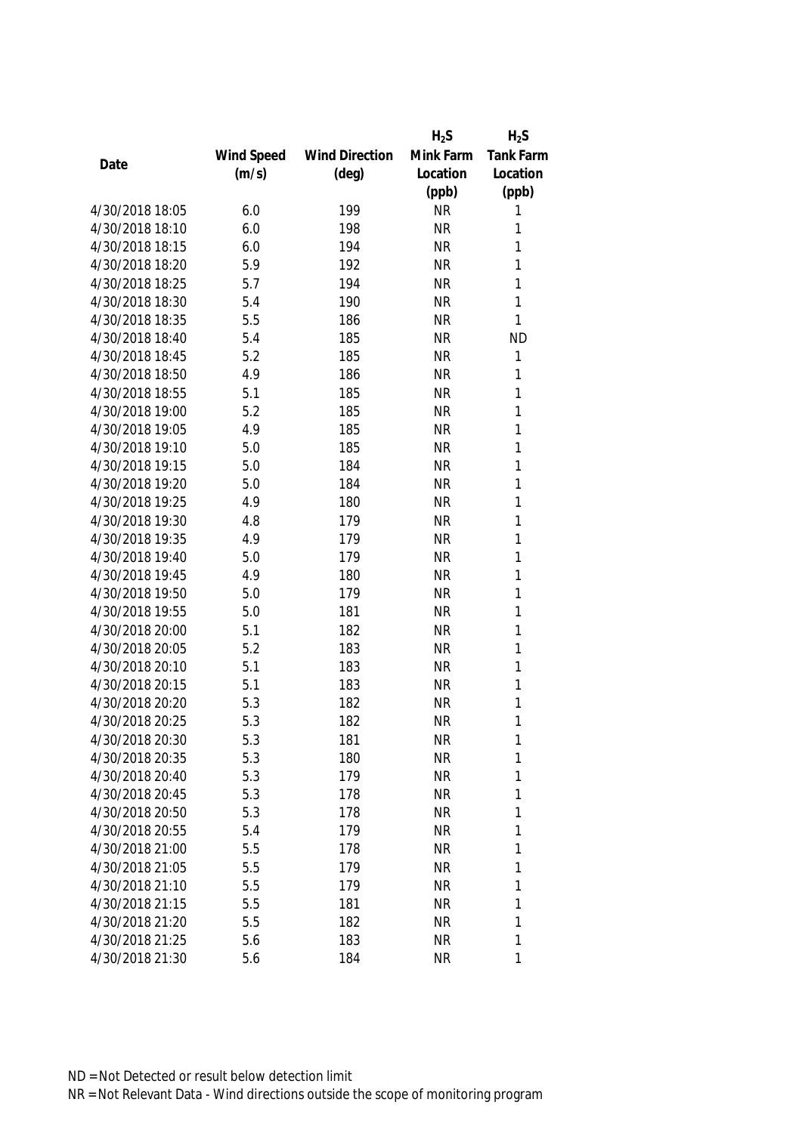|                 |            |                       | $H_2S$    | $H_2S$       |
|-----------------|------------|-----------------------|-----------|--------------|
|                 | Wind Speed | <b>Wind Direction</b> | Mink Farm | Tank Farm    |
| Date            | (m/s)      | $(\text{deg})$        | Location  | Location     |
|                 |            |                       | (ppb)     | (ppb)        |
| 4/30/2018 18:05 | 6.0        | 199                   | <b>NR</b> | 1            |
| 4/30/2018 18:10 | 6.0        | 198                   | <b>NR</b> | 1            |
| 4/30/2018 18:15 | 6.0        | 194                   | <b>NR</b> | 1            |
| 4/30/2018 18:20 | 5.9        | 192                   | <b>NR</b> | 1            |
| 4/30/2018 18:25 | 5.7        | 194                   | <b>NR</b> | 1            |
| 4/30/2018 18:30 | 5.4        | 190                   | <b>NR</b> | 1            |
| 4/30/2018 18:35 | 5.5        | 186                   | <b>NR</b> | 1            |
| 4/30/2018 18:40 | 5.4        | 185                   | <b>NR</b> | <b>ND</b>    |
| 4/30/2018 18:45 | 5.2        | 185                   | <b>NR</b> | 1            |
| 4/30/2018 18:50 | 4.9        | 186                   | <b>NR</b> | 1            |
| 4/30/2018 18:55 | 5.1        | 185                   | <b>NR</b> | 1            |
| 4/30/2018 19:00 | 5.2        | 185                   | <b>NR</b> | 1            |
| 4/30/2018 19:05 | 4.9        | 185                   | <b>NR</b> | 1            |
| 4/30/2018 19:10 | 5.0        | 185                   | <b>NR</b> | 1            |
| 4/30/2018 19:15 | 5.0        | 184                   | <b>NR</b> | 1            |
| 4/30/2018 19:20 | 5.0        | 184                   | <b>NR</b> | $\mathbf{1}$ |
| 4/30/2018 19:25 | 4.9        | 180                   | <b>NR</b> | 1            |
| 4/30/2018 19:30 | 4.8        | 179                   | <b>NR</b> | 1            |
| 4/30/2018 19:35 | 4.9        | 179                   | <b>NR</b> | 1            |
| 4/30/2018 19:40 | 5.0        | 179                   | <b>NR</b> | 1            |
| 4/30/2018 19:45 | 4.9        | 180                   | <b>NR</b> | 1            |
| 4/30/2018 19:50 | 5.0        | 179                   | <b>NR</b> | 1            |
| 4/30/2018 19:55 | 5.0        | 181                   | <b>NR</b> | $\mathbf{1}$ |
| 4/30/2018 20:00 | 5.1        | 182                   | <b>NR</b> | 1            |
| 4/30/2018 20:05 | 5.2        | 183                   | <b>NR</b> | 1            |
| 4/30/2018 20:10 | 5.1        | 183                   | <b>NR</b> | 1            |
| 4/30/2018 20:15 | 5.1        | 183                   | <b>NR</b> | 1            |
| 4/30/2018 20:20 | 5.3        | 182                   | <b>NR</b> | 1            |
| 4/30/2018 20:25 | 5.3        | 182                   | <b>NR</b> | 1            |
| 4/30/2018 20:30 | 5.3        | 181                   | <b>NR</b> | 1            |
| 4/30/2018 20:35 | 5.3        | 180                   | <b>NR</b> | 1            |
| 4/30/2018 20:40 | 5.3        | 179                   | <b>NR</b> | 1            |
| 4/30/2018 20:45 | 5.3        | 178                   | <b>NR</b> | 1            |
| 4/30/2018 20:50 | 5.3        | 178                   | <b>NR</b> | 1            |
| 4/30/2018 20:55 | 5.4        | 179                   | <b>NR</b> | 1            |
| 4/30/2018 21:00 | 5.5        | 178                   | <b>NR</b> | 1            |
| 4/30/2018 21:05 | 5.5        | 179                   | <b>NR</b> | 1            |
| 4/30/2018 21:10 | 5.5        | 179                   | <b>NR</b> | 1            |
| 4/30/2018 21:15 | 5.5        | 181                   | <b>NR</b> | 1            |
| 4/30/2018 21:20 | 5.5        | 182                   | <b>NR</b> | 1            |
| 4/30/2018 21:25 | 5.6        | 183                   | <b>NR</b> | 1            |
| 4/30/2018 21:30 | 5.6        | 184                   | <b>NR</b> | 1            |
|                 |            |                       |           |              |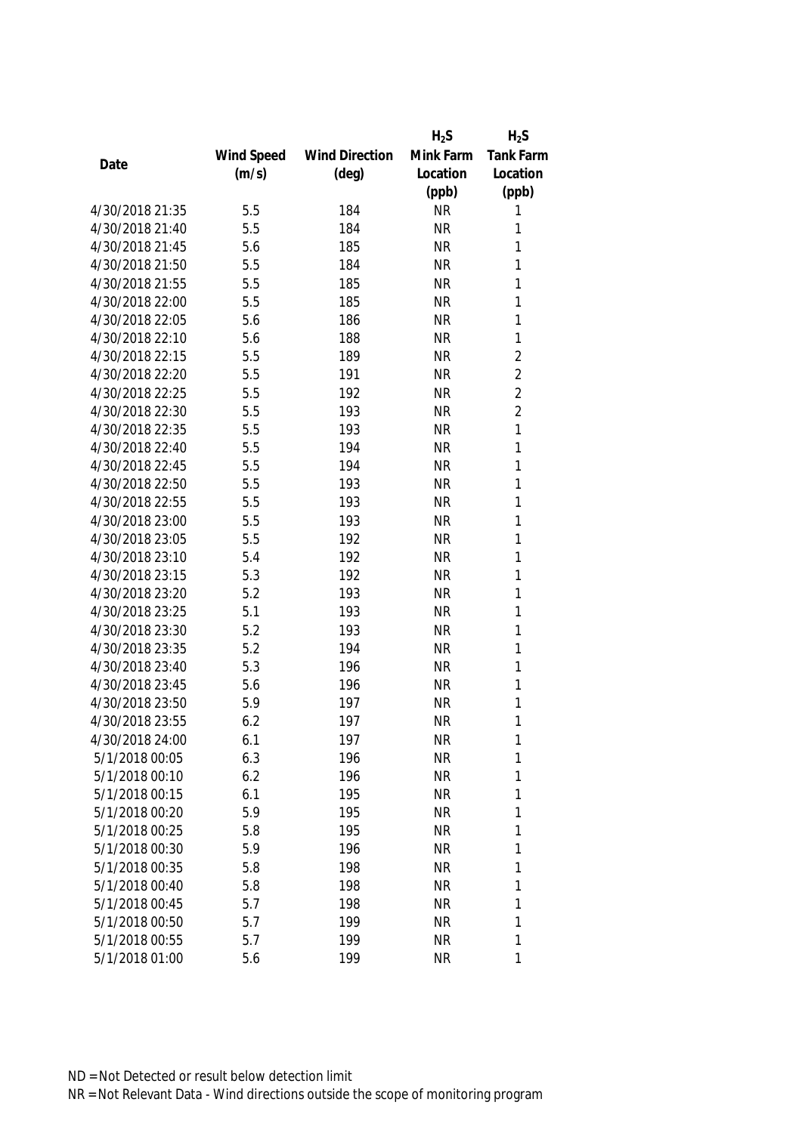|                 |            |                       | $H_2S$    | $H_2S$         |
|-----------------|------------|-----------------------|-----------|----------------|
|                 | Wind Speed | <b>Wind Direction</b> | Mink Farm | Tank Farm      |
| Date            | (m/s)      | $(\text{deg})$        | Location  | Location       |
|                 |            |                       | (ppb)     | (ppb)          |
| 4/30/2018 21:35 | 5.5        | 184                   | <b>NR</b> | 1              |
| 4/30/2018 21:40 | 5.5        | 184                   | <b>NR</b> | 1              |
| 4/30/2018 21:45 | 5.6        | 185                   | <b>NR</b> | 1              |
| 4/30/2018 21:50 | 5.5        | 184                   | <b>NR</b> | 1              |
| 4/30/2018 21:55 | 5.5        | 185                   | <b>NR</b> | 1              |
| 4/30/2018 22:00 | 5.5        | 185                   | <b>NR</b> | 1              |
| 4/30/2018 22:05 | 5.6        | 186                   | <b>NR</b> | 1              |
| 4/30/2018 22:10 | 5.6        | 188                   | <b>NR</b> | $\mathbf{1}$   |
| 4/30/2018 22:15 | 5.5        | 189                   | <b>NR</b> | $\overline{2}$ |
| 4/30/2018 22:20 | 5.5        | 191                   | <b>NR</b> | $\overline{2}$ |
| 4/30/2018 22:25 | 5.5        | 192                   | <b>NR</b> | $\overline{2}$ |
| 4/30/2018 22:30 | 5.5        | 193                   | <b>NR</b> | $\overline{2}$ |
| 4/30/2018 22:35 | 5.5        | 193                   | <b>NR</b> | 1              |
| 4/30/2018 22:40 | 5.5        | 194                   | <b>NR</b> | 1              |
| 4/30/2018 22:45 | 5.5        | 194                   | <b>NR</b> | 1              |
| 4/30/2018 22:50 | 5.5        | 193                   | <b>NR</b> | $\mathbf{1}$   |
| 4/30/2018 22:55 | 5.5        | 193                   | <b>NR</b> | 1              |
| 4/30/2018 23:00 | 5.5        | 193                   | <b>NR</b> | 1              |
| 4/30/2018 23:05 | 5.5        | 192                   | <b>NR</b> | 1              |
| 4/30/2018 23:10 | 5.4        | 192                   | <b>NR</b> | 1              |
| 4/30/2018 23:15 | 5.3        | 192                   | <b>NR</b> | 1              |
| 4/30/2018 23:20 | 5.2        | 193                   | <b>NR</b> | 1              |
| 4/30/2018 23:25 | 5.1        | 193                   | <b>NR</b> | 1              |
| 4/30/2018 23:30 | 5.2        | 193                   | <b>NR</b> | 1              |
| 4/30/2018 23:35 | 5.2        | 194                   | <b>NR</b> | 1              |
| 4/30/2018 23:40 | 5.3        | 196                   | <b>NR</b> | 1              |
| 4/30/2018 23:45 | 5.6        | 196                   | <b>NR</b> | 1              |
| 4/30/2018 23:50 | 5.9        | 197                   | <b>NR</b> | 1              |
| 4/30/2018 23:55 | 6.2        | 197                   | <b>NR</b> | 1              |
| 4/30/2018 24:00 | 6.1        | 197                   | <b>NR</b> | 1              |
| 5/1/2018 00:05  | 6.3        | 196                   | <b>NR</b> | 1              |
| 5/1/2018 00:10  | 6.2        | 196                   | <b>NR</b> | 1              |
| 5/1/2018 00:15  | 6.1        | 195                   | <b>NR</b> | 1              |
| 5/1/2018 00:20  | 5.9        | 195                   | NR        | 1              |
| 5/1/2018 00:25  | 5.8        | 195                   | <b>NR</b> | 1              |
| 5/1/2018 00:30  | 5.9        | 196                   | <b>NR</b> | 1              |
| 5/1/2018 00:35  | 5.8        | 198                   | <b>NR</b> | 1              |
| 5/1/2018 00:40  | 5.8        | 198                   | <b>NR</b> | 1              |
| 5/1/2018 00:45  | 5.7        | 198                   | <b>NR</b> | 1              |
| 5/1/2018 00:50  | 5.7        | 199                   | <b>NR</b> | 1              |
| 5/1/2018 00:55  | 5.7        | 199                   | <b>NR</b> | 1              |
| 5/1/2018 01:00  | 5.6        | 199                   | <b>NR</b> | 1              |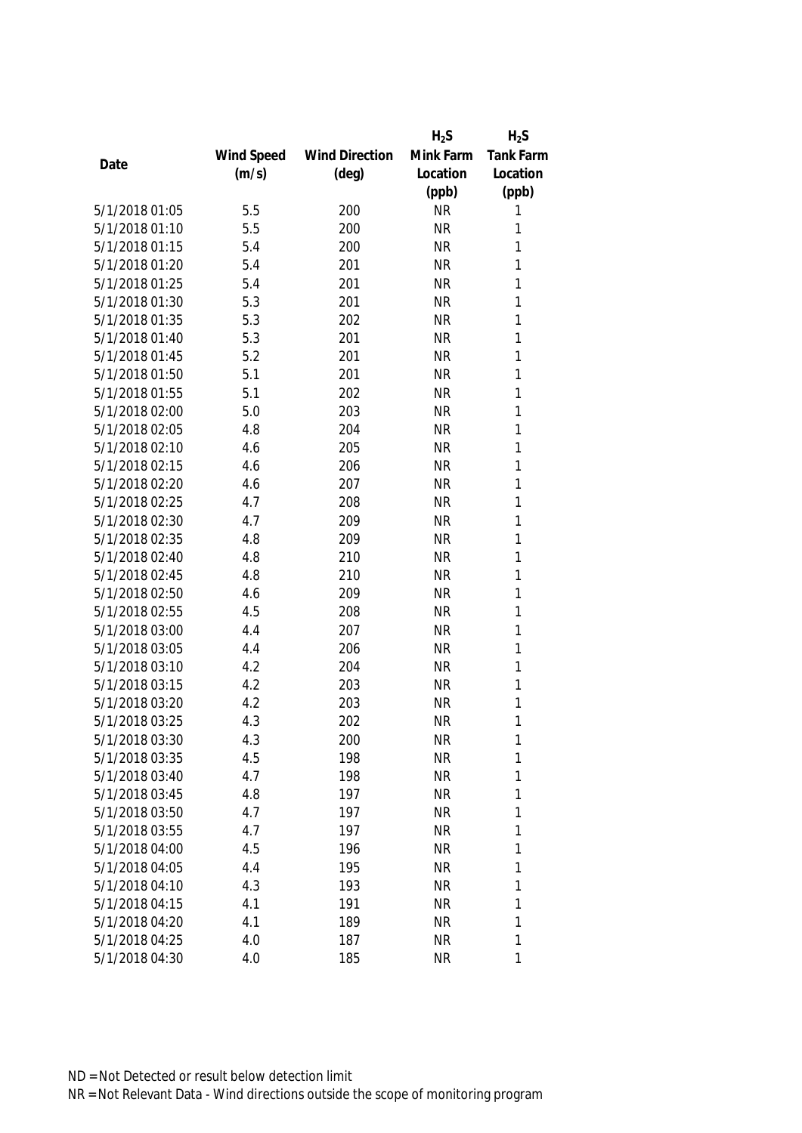|                |            |                       | $H_2S$    | $H_2S$           |
|----------------|------------|-----------------------|-----------|------------------|
|                | Wind Speed | <b>Wind Direction</b> | Mink Farm | <b>Tank Farm</b> |
| Date           | (m/s)      | $(\text{deg})$        | Location  | Location         |
|                |            |                       | (ppb)     | (ppb)            |
| 5/1/2018 01:05 | 5.5        | 200                   | <b>NR</b> | 1                |
| 5/1/2018 01:10 | 5.5        | 200                   | <b>NR</b> | 1                |
| 5/1/2018 01:15 | 5.4        | 200                   | <b>NR</b> | 1                |
| 5/1/2018 01:20 | 5.4        | 201                   | <b>NR</b> | 1                |
| 5/1/2018 01:25 | 5.4        | 201                   | <b>NR</b> | 1                |
| 5/1/2018 01:30 | 5.3        | 201                   | <b>NR</b> | 1                |
| 5/1/2018 01:35 | 5.3        | 202                   | <b>NR</b> | 1                |
| 5/1/2018 01:40 | 5.3        | 201                   | <b>NR</b> | 1                |
| 5/1/2018 01:45 | 5.2        | 201                   | <b>NR</b> | $\mathbf{1}$     |
| 5/1/2018 01:50 | 5.1        | 201                   | <b>NR</b> | 1                |
| 5/1/2018 01:55 | 5.1        | 202                   | <b>NR</b> | 1                |
| 5/1/2018 02:00 | 5.0        | 203                   | <b>NR</b> | 1                |
| 5/1/2018 02:05 | 4.8        | 204                   | <b>NR</b> | 1                |
| 5/1/2018 02:10 | 4.6        | 205                   | <b>NR</b> | 1                |
| 5/1/2018 02:15 | 4.6        | 206                   | <b>NR</b> | 1                |
| 5/1/2018 02:20 | 4.6        | 207                   | <b>NR</b> | 1                |
| 5/1/2018 02:25 | 4.7        | 208                   | <b>NR</b> | 1                |
| 5/1/2018 02:30 | 4.7        | 209                   | <b>NR</b> | 1                |
| 5/1/2018 02:35 | 4.8        | 209                   | <b>NR</b> | 1                |
| 5/1/2018 02:40 | 4.8        | 210                   | <b>NR</b> | 1                |
| 5/1/2018 02:45 | 4.8        | 210                   | <b>NR</b> | 1                |
| 5/1/2018 02:50 | 4.6        | 209                   | <b>NR</b> | 1                |
| 5/1/2018 02:55 | 4.5        | 208                   | <b>NR</b> | 1                |
| 5/1/2018 03:00 | 4.4        | 207                   | <b>NR</b> | $\mathbf{1}$     |
| 5/1/2018 03:05 | 4.4        | 206                   | <b>NR</b> | 1                |
| 5/1/2018 03:10 | 4.2        | 204                   | <b>NR</b> | 1                |
| 5/1/2018 03:15 | 4.2        | 203                   | <b>NR</b> | 1                |
| 5/1/2018 03:20 | 4.2        | 203                   | <b>NR</b> | 1                |
| 5/1/2018 03:25 | 4.3        | 202                   | <b>NR</b> | 1                |
| 5/1/2018 03:30 | 4.3        | 200                   | <b>NR</b> | 1                |
| 5/1/2018 03:35 | 4.5        | 198                   | <b>NR</b> | 1                |
| 5/1/2018 03:40 | 4.7        | 198                   | <b>NR</b> | 1                |
| 5/1/2018 03:45 | 4.8        | 197                   | <b>NR</b> | 1                |
| 5/1/2018 03:50 | 4.7        | 197                   | <b>NR</b> | 1                |
| 5/1/2018 03:55 | 4.7        | 197                   | <b>NR</b> | 1                |
| 5/1/2018 04:00 | 4.5        | 196                   | <b>NR</b> | 1                |
| 5/1/2018 04:05 | 4.4        | 195                   | <b>NR</b> | 1                |
| 5/1/2018 04:10 | 4.3        | 193                   | <b>NR</b> | 1                |
| 5/1/2018 04:15 | 4.1        | 191                   | <b>NR</b> | 1                |
| 5/1/2018 04:20 | 4.1        | 189                   | <b>NR</b> | 1                |
| 5/1/2018 04:25 | 4.0        | 187                   | <b>NR</b> | 1                |
| 5/1/2018 04:30 | 4.0        | 185                   | <b>NR</b> | 1                |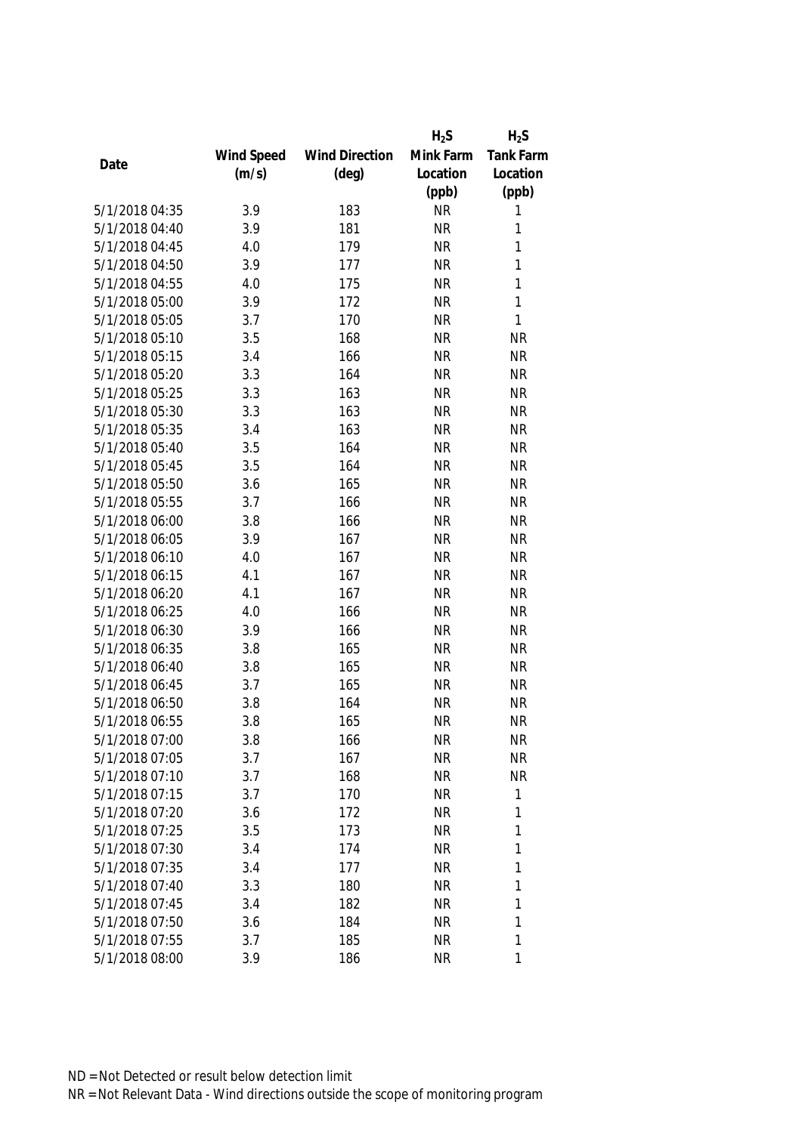|                |            |                       | $H_2S$    | $H_2S$           |
|----------------|------------|-----------------------|-----------|------------------|
|                | Wind Speed | <b>Wind Direction</b> | Mink Farm | <b>Tank Farm</b> |
| Date           | (m/s)      | $(\text{deg})$        | Location  | Location         |
|                |            |                       | (ppb)     | (ppb)            |
| 5/1/2018 04:35 | 3.9        | 183                   | <b>NR</b> | 1                |
| 5/1/2018 04:40 | 3.9        | 181                   | <b>NR</b> | 1                |
| 5/1/2018 04:45 | 4.0        | 179                   | <b>NR</b> | 1                |
| 5/1/2018 04:50 | 3.9        | 177                   | <b>NR</b> | 1                |
| 5/1/2018 04:55 | 4.0        | 175                   | <b>NR</b> | $\mathbf{1}$     |
| 5/1/2018 05:00 | 3.9        | 172                   | <b>NR</b> | $\mathbf{1}$     |
| 5/1/2018 05:05 | 3.7        | 170                   | <b>NR</b> | $\mathbf{1}$     |
| 5/1/2018 05:10 | 3.5        | 168                   | <b>NR</b> | <b>NR</b>        |
| 5/1/2018 05:15 | 3.4        | 166                   | <b>NR</b> | <b>NR</b>        |
| 5/1/2018 05:20 | 3.3        | 164                   | <b>NR</b> | <b>NR</b>        |
| 5/1/2018 05:25 | 3.3        | 163                   | <b>NR</b> | <b>NR</b>        |
| 5/1/2018 05:30 | 3.3        | 163                   | <b>NR</b> | <b>NR</b>        |
| 5/1/2018 05:35 | 3.4        | 163                   | <b>NR</b> | <b>NR</b>        |
| 5/1/2018 05:40 | 3.5        | 164                   | <b>NR</b> | <b>NR</b>        |
| 5/1/2018 05:45 | 3.5        | 164                   | <b>NR</b> | <b>NR</b>        |
| 5/1/2018 05:50 | 3.6        | 165                   | <b>NR</b> | <b>NR</b>        |
| 5/1/2018 05:55 | 3.7        | 166                   | <b>NR</b> | <b>NR</b>        |
| 5/1/2018 06:00 | 3.8        | 166                   | <b>NR</b> | <b>NR</b>        |
| 5/1/2018 06:05 | 3.9        | 167                   | <b>NR</b> | <b>NR</b>        |
| 5/1/2018 06:10 | 4.0        | 167                   | <b>NR</b> | <b>NR</b>        |
| 5/1/2018 06:15 | 4.1        | 167                   | <b>NR</b> | <b>NR</b>        |
| 5/1/2018 06:20 | 4.1        | 167                   | <b>NR</b> | <b>NR</b>        |
| 5/1/2018 06:25 | 4.0        | 166                   | <b>NR</b> | <b>NR</b>        |
| 5/1/2018 06:30 | 3.9        | 166                   | <b>NR</b> | <b>NR</b>        |
| 5/1/2018 06:35 | 3.8        | 165                   | <b>NR</b> | <b>NR</b>        |
| 5/1/2018 06:40 | 3.8        | 165                   | <b>NR</b> | <b>NR</b>        |
| 5/1/2018 06:45 | 3.7        | 165                   | <b>NR</b> | <b>NR</b>        |
| 5/1/2018 06:50 | 3.8        | 164                   | <b>NR</b> | <b>NR</b>        |
| 5/1/2018 06:55 | 3.8        | 165                   | <b>NR</b> | <b>NR</b>        |
| 5/1/2018 07:00 | 3.8        | 166                   | <b>NR</b> | <b>NR</b>        |
| 5/1/2018 07:05 | 3.7        | 167                   | <b>NR</b> | <b>NR</b>        |
| 5/1/2018 07:10 | 3.7        | 168                   | <b>NR</b> | <b>NR</b>        |
| 5/1/2018 07:15 | 3.7        | 170                   | <b>NR</b> | $\mathbf{1}$     |
| 5/1/2018 07:20 | 3.6        | 172                   | <b>NR</b> | 1                |
| 5/1/2018 07:25 | 3.5        | 173                   | <b>NR</b> | 1                |
| 5/1/2018 07:30 | 3.4        | 174                   | <b>NR</b> | $\mathbf{1}$     |
| 5/1/2018 07:35 | 3.4        | 177                   | <b>NR</b> | 1                |
| 5/1/2018 07:40 | 3.3        | 180                   | <b>NR</b> | 1                |
| 5/1/2018 07:45 | 3.4        | 182                   | <b>NR</b> | 1                |
| 5/1/2018 07:50 | 3.6        | 184                   | <b>NR</b> | 1                |
| 5/1/2018 07:55 | 3.7        | 185                   | <b>NR</b> | 1                |
| 5/1/2018 08:00 | 3.9        | 186                   | <b>NR</b> | 1                |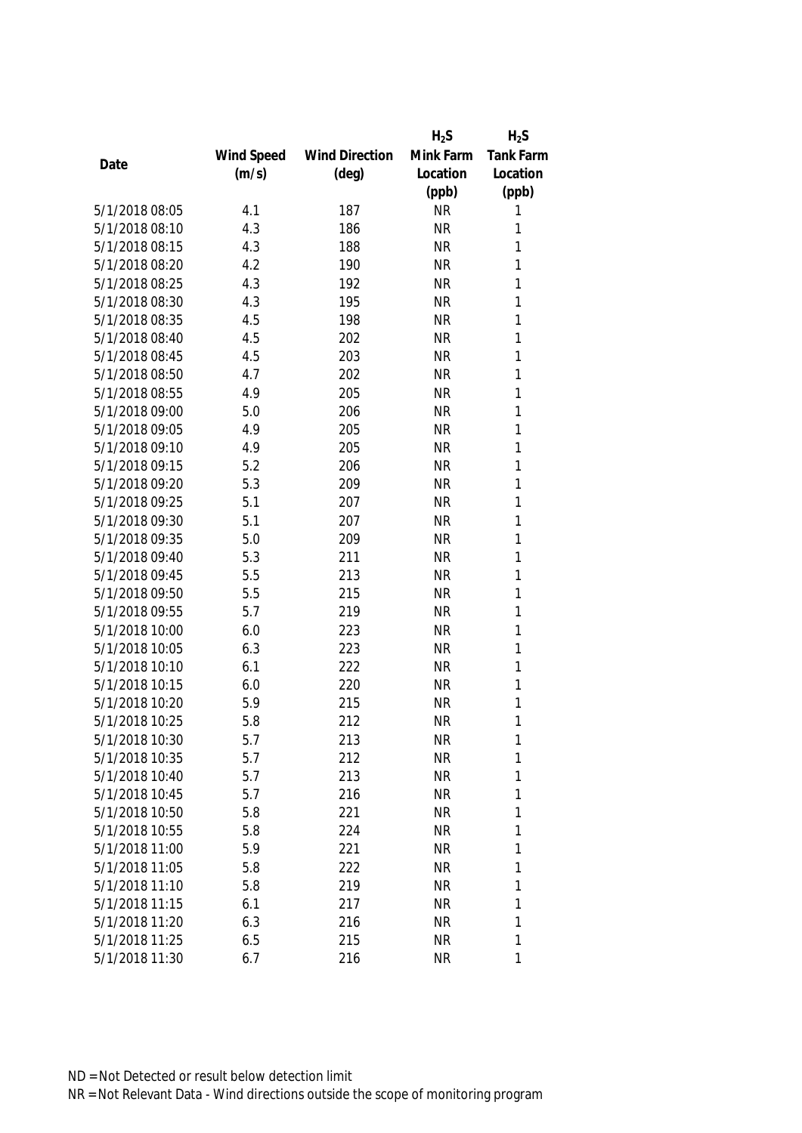|                |            |                       | $H_2S$    | $H_2S$           |
|----------------|------------|-----------------------|-----------|------------------|
|                | Wind Speed | <b>Wind Direction</b> | Mink Farm | <b>Tank Farm</b> |
| Date           | (m/s)      | $(\text{deg})$        | Location  | Location         |
|                |            |                       | (ppb)     | (ppb)            |
| 5/1/2018 08:05 | 4.1        | 187                   | <b>NR</b> | 1                |
| 5/1/2018 08:10 | 4.3        | 186                   | <b>NR</b> | 1                |
| 5/1/2018 08:15 | 4.3        | 188                   | <b>NR</b> | 1                |
| 5/1/2018 08:20 | 4.2        | 190                   | <b>NR</b> | 1                |
| 5/1/2018 08:25 | 4.3        | 192                   | <b>NR</b> | 1                |
| 5/1/2018 08:30 | 4.3        | 195                   | <b>NR</b> | 1                |
| 5/1/2018 08:35 | 4.5        | 198                   | <b>NR</b> | 1                |
| 5/1/2018 08:40 | 4.5        | 202                   | <b>NR</b> | 1                |
| 5/1/2018 08:45 | 4.5        | 203                   | <b>NR</b> | $\mathbf{1}$     |
| 5/1/2018 08:50 | 4.7        | 202                   | <b>NR</b> | 1                |
| 5/1/2018 08:55 | 4.9        | 205                   | <b>NR</b> | 1                |
| 5/1/2018 09:00 | 5.0        | 206                   | <b>NR</b> | 1                |
| 5/1/2018 09:05 | 4.9        | 205                   | <b>NR</b> | 1                |
| 5/1/2018 09:10 | 4.9        | 205                   | <b>NR</b> | 1                |
| 5/1/2018 09:15 | 5.2        | 206                   | <b>NR</b> | 1                |
| 5/1/2018 09:20 | 5.3        | 209                   | <b>NR</b> | 1                |
| 5/1/2018 09:25 | 5.1        | 207                   | <b>NR</b> | 1                |
| 5/1/2018 09:30 | 5.1        | 207                   | <b>NR</b> | 1                |
| 5/1/2018 09:35 | 5.0        | 209                   | <b>NR</b> | 1                |
| 5/1/2018 09:40 | 5.3        | 211                   | <b>NR</b> | 1                |
| 5/1/2018 09:45 | 5.5        | 213                   | <b>NR</b> | 1                |
| 5/1/2018 09:50 | 5.5        | 215                   | <b>NR</b> | 1                |
| 5/1/2018 09:55 | 5.7        | 219                   | <b>NR</b> | 1                |
| 5/1/2018 10:00 | 6.0        | 223                   | <b>NR</b> | $\mathbf{1}$     |
| 5/1/2018 10:05 | 6.3        | 223                   | <b>NR</b> | 1                |
| 5/1/2018 10:10 | 6.1        | 222                   | <b>NR</b> | 1                |
| 5/1/2018 10:15 | 6.0        | 220                   | <b>NR</b> | 1                |
| 5/1/2018 10:20 | 5.9        | 215                   | <b>NR</b> | 1                |
| 5/1/2018 10:25 | 5.8        | 212                   | <b>NR</b> | 1                |
| 5/1/2018 10:30 | 5.7        | 213                   | <b>NR</b> | 1                |
| 5/1/2018 10:35 | 5.7        | 212                   | <b>NR</b> | 1                |
| 5/1/2018 10:40 | 5.7        | 213                   | <b>NR</b> | 1                |
| 5/1/2018 10:45 | 5.7        | 216                   | <b>NR</b> | 1                |
| 5/1/2018 10:50 | 5.8        | 221                   | <b>NR</b> | 1                |
| 5/1/2018 10:55 | 5.8        | 224                   | <b>NR</b> | 1                |
| 5/1/2018 11:00 | 5.9        | 221                   | <b>NR</b> | 1                |
| 5/1/2018 11:05 | 5.8        | 222                   | <b>NR</b> | 1                |
| 5/1/2018 11:10 | 5.8        | 219                   | <b>NR</b> | 1                |
| 5/1/2018 11:15 | 6.1        | 217                   | <b>NR</b> | 1                |
| 5/1/2018 11:20 | 6.3        | 216                   | <b>NR</b> | 1                |
| 5/1/2018 11:25 | 6.5        | 215                   | <b>NR</b> | 1                |
| 5/1/2018 11:30 | 6.7        | 216                   | <b>NR</b> | 1                |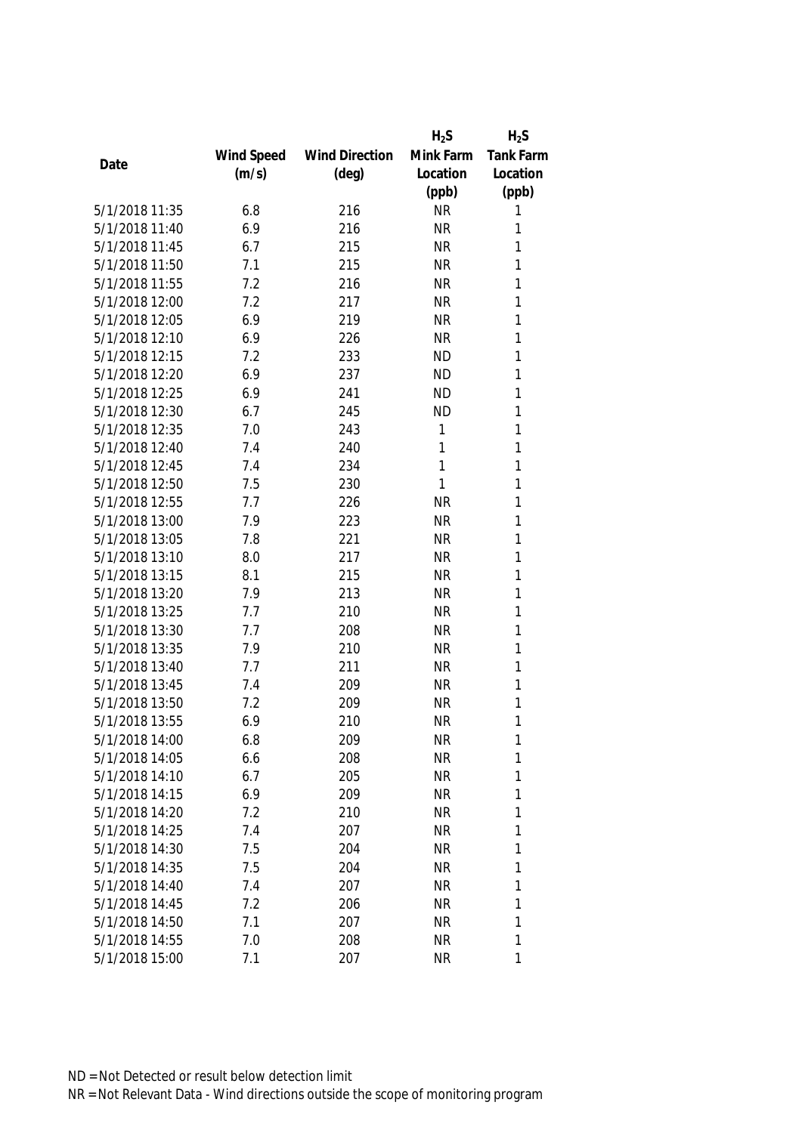|                |            |                       | $H_2S$    | $H_2S$           |
|----------------|------------|-----------------------|-----------|------------------|
|                | Wind Speed | <b>Wind Direction</b> | Mink Farm | <b>Tank Farm</b> |
| Date           | (m/s)      | $(\text{deg})$        | Location  | Location         |
|                |            |                       | (ppb)     | (ppb)            |
| 5/1/2018 11:35 | 6.8        | 216                   | <b>NR</b> | 1                |
| 5/1/2018 11:40 | 6.9        | 216                   | <b>NR</b> | 1                |
| 5/1/2018 11:45 | 6.7        | 215                   | <b>NR</b> | 1                |
| 5/1/2018 11:50 | 7.1        | 215                   | <b>NR</b> | 1                |
| 5/1/2018 11:55 | 7.2        | 216                   | <b>NR</b> | 1                |
| 5/1/2018 12:00 | 7.2        | 217                   | <b>NR</b> | 1                |
| 5/1/2018 12:05 | 6.9        | 219                   | <b>NR</b> | 1                |
| 5/1/2018 12:10 | 6.9        | 226                   | <b>NR</b> | 1                |
| 5/1/2018 12:15 | 7.2        | 233                   | <b>ND</b> | 1                |
| 5/1/2018 12:20 | 6.9        | 237                   | <b>ND</b> | 1                |
| 5/1/2018 12:25 | 6.9        | 241                   | <b>ND</b> | 1                |
| 5/1/2018 12:30 | 6.7        | 245                   | <b>ND</b> | 1                |
| 5/1/2018 12:35 | 7.0        | 243                   | 1         | 1                |
| 5/1/2018 12:40 | 7.4        | 240                   | 1         | 1                |
| 5/1/2018 12:45 | 7.4        | 234                   | 1         | 1                |
| 5/1/2018 12:50 | 7.5        | 230                   | 1         | $\mathbf{1}$     |
| 5/1/2018 12:55 | 7.7        | 226                   | <b>NR</b> | 1                |
| 5/1/2018 13:00 | 7.9        | 223                   | <b>NR</b> | 1                |
| 5/1/2018 13:05 | 7.8        | 221                   | <b>NR</b> | 1                |
| 5/1/2018 13:10 | 8.0        | 217                   | <b>NR</b> | 1                |
| 5/1/2018 13:15 | 8.1        | 215                   | <b>NR</b> | 1                |
| 5/1/2018 13:20 | 7.9        | 213                   | <b>NR</b> | 1                |
| 5/1/2018 13:25 | 7.7        | 210                   | <b>NR</b> | 1                |
| 5/1/2018 13:30 | 7.7        | 208                   | <b>NR</b> | 1                |
| 5/1/2018 13:35 | 7.9        | 210                   | <b>NR</b> | 1                |
| 5/1/2018 13:40 | 7.7        | 211                   | <b>NR</b> | 1                |
| 5/1/2018 13:45 | 7.4        | 209                   | <b>NR</b> | 1                |
| 5/1/2018 13:50 | 7.2        | 209                   | <b>NR</b> | 1                |
| 5/1/2018 13:55 | 6.9        | 210                   | <b>NR</b> | 1                |
| 5/1/2018 14:00 | 6.8        | 209                   | <b>NR</b> | 1                |
| 5/1/2018 14:05 | 6.6        | 208                   | <b>NR</b> | 1                |
| 5/1/2018 14:10 | 6.7        | 205                   | <b>NR</b> | 1                |
| 5/1/2018 14:15 | 6.9        | 209                   | <b>NR</b> | 1                |
| 5/1/2018 14:20 | 7.2        | 210                   | <b>NR</b> | 1                |
| 5/1/2018 14:25 | 7.4        | 207                   | <b>NR</b> | 1                |
| 5/1/2018 14:30 | 7.5        | 204                   | <b>NR</b> | 1                |
| 5/1/2018 14:35 | 7.5        | 204                   | <b>NR</b> | 1                |
| 5/1/2018 14:40 | 7.4        | 207                   | <b>NR</b> | 1                |
| 5/1/2018 14:45 | 7.2        | 206                   | <b>NR</b> | 1                |
| 5/1/2018 14:50 | 7.1        | 207                   | <b>NR</b> | 1                |
| 5/1/2018 14:55 | 7.0        | 208                   | <b>NR</b> | 1                |
| 5/1/2018 15:00 | 7.1        | 207                   | <b>NR</b> | 1                |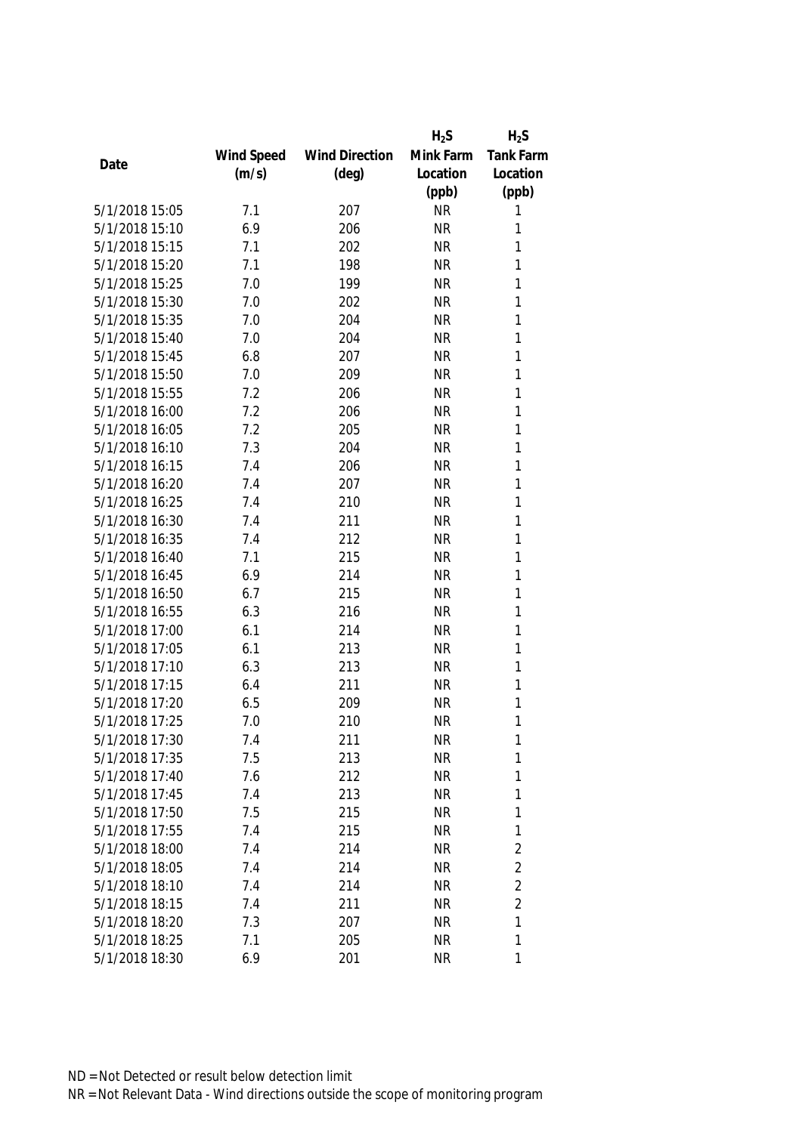|                |            |                       | $H_2S$    | $H_2S$           |
|----------------|------------|-----------------------|-----------|------------------|
|                | Wind Speed | <b>Wind Direction</b> | Mink Farm | <b>Tank Farm</b> |
| Date           | (m/s)      | $(\text{deg})$        | Location  | Location         |
|                |            |                       | (ppb)     | (ppb)            |
| 5/1/2018 15:05 | 7.1        | 207                   | <b>NR</b> | 1                |
| 5/1/2018 15:10 | 6.9        | 206                   | <b>NR</b> | 1                |
| 5/1/2018 15:15 | 7.1        | 202                   | <b>NR</b> | 1                |
| 5/1/2018 15:20 | 7.1        | 198                   | <b>NR</b> | 1                |
| 5/1/2018 15:25 | 7.0        | 199                   | <b>NR</b> | 1                |
| 5/1/2018 15:30 | 7.0        | 202                   | <b>NR</b> | 1                |
| 5/1/2018 15:35 | 7.0        | 204                   | <b>NR</b> | 1                |
| 5/1/2018 15:40 | 7.0        | 204                   | <b>NR</b> | 1                |
| 5/1/2018 15:45 | 6.8        | 207                   | <b>NR</b> | 1                |
| 5/1/2018 15:50 | 7.0        | 209                   | <b>NR</b> | 1                |
| 5/1/2018 15:55 | 7.2        | 206                   | <b>NR</b> | 1                |
| 5/1/2018 16:00 | 7.2        | 206                   | <b>NR</b> | 1                |
| 5/1/2018 16:05 | 7.2        | 205                   | <b>NR</b> | 1                |
| 5/1/2018 16:10 | 7.3        | 204                   | <b>NR</b> | 1                |
| 5/1/2018 16:15 | 7.4        | 206                   | <b>NR</b> | 1                |
| 5/1/2018 16:20 | 7.4        | 207                   | <b>NR</b> | $\mathbf{1}$     |
| 5/1/2018 16:25 | 7.4        | 210                   | <b>NR</b> | 1                |
| 5/1/2018 16:30 | 7.4        | 211                   | <b>NR</b> | 1                |
| 5/1/2018 16:35 | 7.4        | 212                   | <b>NR</b> | 1                |
| 5/1/2018 16:40 | 7.1        | 215                   | <b>NR</b> | 1                |
| 5/1/2018 16:45 | 6.9        | 214                   | <b>NR</b> | 1                |
| 5/1/2018 16:50 | 6.7        | 215                   | <b>NR</b> | $\mathbf{1}$     |
| 5/1/2018 16:55 | 6.3        | 216                   | <b>NR</b> | 1                |
| 5/1/2018 17:00 | 6.1        | 214                   | <b>NR</b> | 1                |
| 5/1/2018 17:05 | 6.1        | 213                   | <b>NR</b> | 1                |
| 5/1/2018 17:10 | 6.3        | 213                   | <b>NR</b> | 1                |
| 5/1/2018 17:15 | 6.4        | 211                   | <b>NR</b> | 1                |
| 5/1/2018 17:20 | 6.5        | 209                   | <b>NR</b> | 1                |
| 5/1/2018 17:25 | 7.0        | 210                   | <b>NR</b> | 1                |
| 5/1/2018 17:30 | 7.4        | 211                   | <b>NR</b> | 1                |
| 5/1/2018 17:35 | 7.5        | 213                   | <b>NR</b> | 1                |
| 5/1/2018 17:40 | 7.6        | 212                   | <b>NR</b> | 1                |
| 5/1/2018 17:45 | 7.4        | 213                   | <b>NR</b> | 1                |
| 5/1/2018 17:50 | 7.5        | 215                   | <b>NR</b> | 1                |
| 5/1/2018 17:55 | 7.4        | 215                   | <b>NR</b> | $\mathbf{1}$     |
| 5/1/2018 18:00 | 7.4        | 214                   | <b>NR</b> | $\overline{2}$   |
| 5/1/2018 18:05 | 7.4        | 214                   | <b>NR</b> | $\overline{2}$   |
| 5/1/2018 18:10 | 7.4        | 214                   | <b>NR</b> | $\overline{2}$   |
| 5/1/2018 18:15 | 7.4        | 211                   | <b>NR</b> | $\overline{2}$   |
| 5/1/2018 18:20 | 7.3        | 207                   | <b>NR</b> | 1                |
| 5/1/2018 18:25 | 7.1        | 205                   | <b>NR</b> | 1                |
| 5/1/2018 18:30 | 6.9        | 201                   | <b>NR</b> | 1                |
|                |            |                       |           |                  |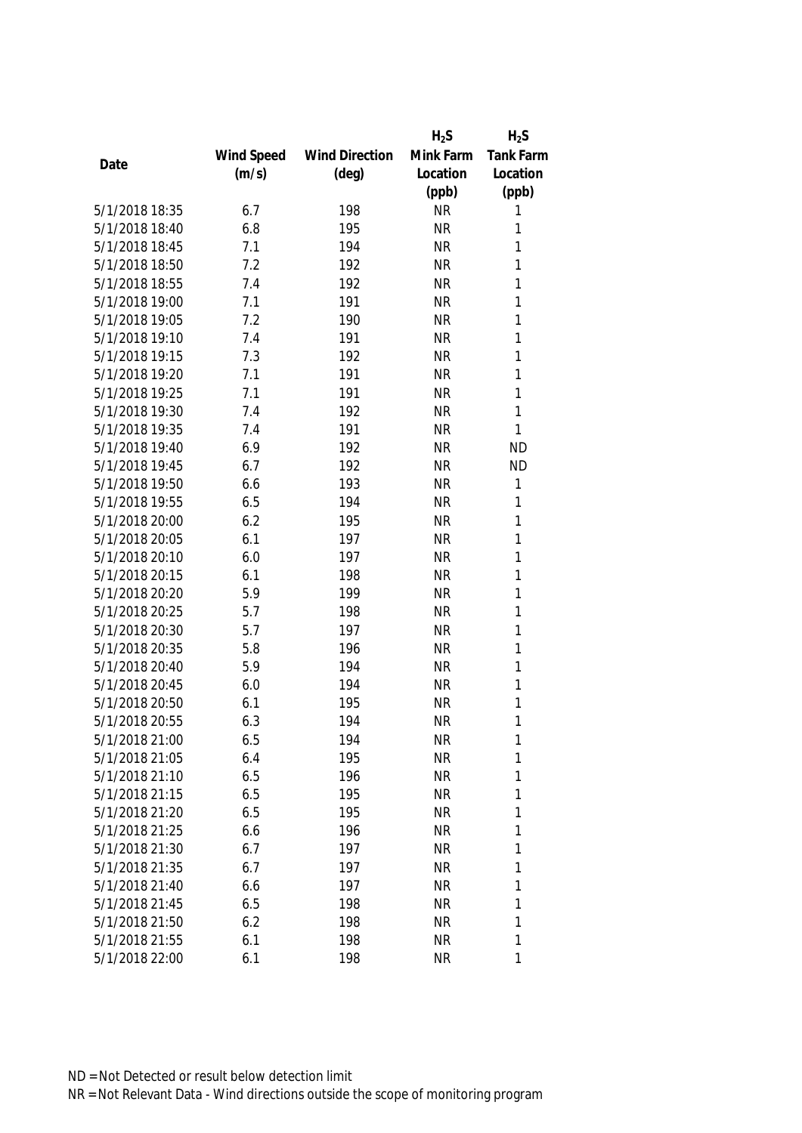|                |            |                       | $H_2S$    | $H_2S$           |
|----------------|------------|-----------------------|-----------|------------------|
|                | Wind Speed | <b>Wind Direction</b> | Mink Farm | <b>Tank Farm</b> |
| Date           | (m/s)      | $(\text{deg})$        | Location  | Location         |
|                |            |                       | (ppb)     | (ppb)            |
| 5/1/2018 18:35 | 6.7        | 198                   | <b>NR</b> | 1                |
| 5/1/2018 18:40 | 6.8        | 195                   | <b>NR</b> | 1                |
| 5/1/2018 18:45 | 7.1        | 194                   | <b>NR</b> | 1                |
| 5/1/2018 18:50 | 7.2        | 192                   | <b>NR</b> | 1                |
| 5/1/2018 18:55 | 7.4        | 192                   | <b>NR</b> | 1                |
| 5/1/2018 19:00 | 7.1        | 191                   | <b>NR</b> | 1                |
| 5/1/2018 19:05 | 7.2        | 190                   | <b>NR</b> | 1                |
| 5/1/2018 19:10 | 7.4        | 191                   | <b>NR</b> | 1                |
| 5/1/2018 19:15 | 7.3        | 192                   | <b>NR</b> | $\mathbf{1}$     |
| 5/1/2018 19:20 | 7.1        | 191                   | <b>NR</b> | 1                |
| 5/1/2018 19:25 | 7.1        | 191                   | <b>NR</b> | 1                |
| 5/1/2018 19:30 | 7.4        | 192                   | <b>NR</b> | 1                |
| 5/1/2018 19:35 | 7.4        | 191                   | <b>NR</b> | 1                |
| 5/1/2018 19:40 | 6.9        | 192                   | <b>NR</b> | <b>ND</b>        |
| 5/1/2018 19:45 | 6.7        | 192                   | <b>NR</b> | <b>ND</b>        |
| 5/1/2018 19:50 | 6.6        | 193                   | <b>NR</b> | 1                |
| 5/1/2018 19:55 | 6.5        | 194                   | <b>NR</b> | 1                |
| 5/1/2018 20:00 | 6.2        | 195                   | <b>NR</b> | 1                |
| 5/1/2018 20:05 | 6.1        | 197                   | <b>NR</b> | 1                |
| 5/1/2018 20:10 | 6.0        | 197                   | <b>NR</b> | 1                |
| 5/1/2018 20:15 | 6.1        | 198                   | <b>NR</b> | 1                |
| 5/1/2018 20:20 | 5.9        | 199                   | <b>NR</b> | $\mathbf{1}$     |
| 5/1/2018 20:25 | 5.7        | 198                   | <b>NR</b> | 1                |
| 5/1/2018 20:30 | 5.7        | 197                   | <b>NR</b> | 1                |
| 5/1/2018 20:35 | 5.8        | 196                   | <b>NR</b> | 1                |
| 5/1/2018 20:40 | 5.9        | 194                   | <b>NR</b> | 1                |
| 5/1/2018 20:45 | 6.0        | 194                   | <b>NR</b> | 1                |
| 5/1/2018 20:50 | 6.1        | 195                   | <b>NR</b> | 1                |
| 5/1/2018 20:55 | 6.3        | 194                   | <b>NR</b> | 1                |
| 5/1/2018 21:00 | 6.5        | 194                   | <b>NR</b> | 1                |
| 5/1/2018 21:05 | 6.4        | 195                   | <b>NR</b> | 1                |
| 5/1/2018 21:10 | 6.5        | 196                   | <b>NR</b> | 1                |
| 5/1/2018 21:15 | 6.5        | 195                   | <b>NR</b> | 1                |
| 5/1/2018 21:20 | 6.5        | 195                   | <b>NR</b> | 1                |
| 5/1/2018 21:25 | 6.6        | 196                   | <b>NR</b> | 1                |
| 5/1/2018 21:30 | 6.7        | 197                   | <b>NR</b> | 1                |
| 5/1/2018 21:35 | 6.7        | 197                   | <b>NR</b> | 1                |
| 5/1/2018 21:40 | 6.6        | 197                   | <b>NR</b> | 1                |
| 5/1/2018 21:45 | 6.5        | 198                   | <b>NR</b> | 1                |
| 5/1/2018 21:50 | 6.2        | 198                   | <b>NR</b> | 1                |
| 5/1/2018 21:55 | 6.1        | 198                   | <b>NR</b> | 1                |
| 5/1/2018 22:00 | 6.1        | 198                   | <b>NR</b> | 1                |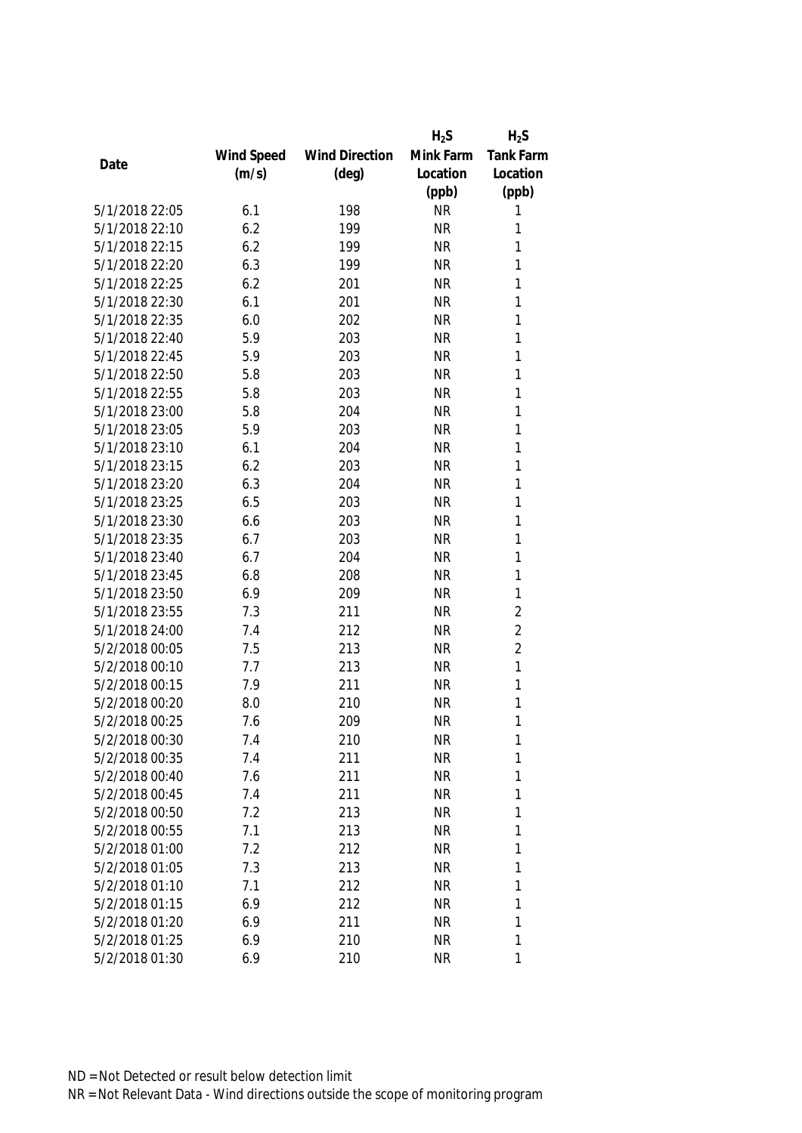|                |            |                       | $H_2S$    | $H_2S$           |
|----------------|------------|-----------------------|-----------|------------------|
|                | Wind Speed | <b>Wind Direction</b> | Mink Farm | <b>Tank Farm</b> |
| Date           | (m/s)      | $(\text{deg})$        | Location  | Location         |
|                |            |                       | (ppb)     | (ppb)            |
| 5/1/2018 22:05 | 6.1        | 198                   | <b>NR</b> | 1                |
| 5/1/2018 22:10 | 6.2        | 199                   | <b>NR</b> | 1                |
| 5/1/2018 22:15 | 6.2        | 199                   | <b>NR</b> | 1                |
| 5/1/2018 22:20 | 6.3        | 199                   | <b>NR</b> | 1                |
| 5/1/2018 22:25 | 6.2        | 201                   | <b>NR</b> | 1                |
| 5/1/2018 22:30 | 6.1        | 201                   | <b>NR</b> | 1                |
| 5/1/2018 22:35 | 6.0        | 202                   | <b>NR</b> | 1                |
| 5/1/2018 22:40 | 5.9        | 203                   | <b>NR</b> | 1                |
| 5/1/2018 22:45 | 5.9        | 203                   | <b>NR</b> | 1                |
| 5/1/2018 22:50 | 5.8        | 203                   | <b>NR</b> | 1                |
| 5/1/2018 22:55 | 5.8        | 203                   | <b>NR</b> | 1                |
| 5/1/2018 23:00 | 5.8        | 204                   | <b>NR</b> | 1                |
| 5/1/2018 23:05 | 5.9        | 203                   | <b>NR</b> | 1                |
| 5/1/2018 23:10 | 6.1        | 204                   | <b>NR</b> | 1                |
| 5/1/2018 23:15 | 6.2        | 203                   | <b>NR</b> | 1                |
| 5/1/2018 23:20 | 6.3        | 204                   | <b>NR</b> | 1                |
| 5/1/2018 23:25 | 6.5        | 203                   | <b>NR</b> | 1                |
| 5/1/2018 23:30 | 6.6        | 203                   | <b>NR</b> | 1                |
| 5/1/2018 23:35 | 6.7        | 203                   | <b>NR</b> | 1                |
| 5/1/2018 23:40 | 6.7        | 204                   | <b>NR</b> | 1                |
| 5/1/2018 23:45 | 6.8        | 208                   | <b>NR</b> | 1                |
| 5/1/2018 23:50 | 6.9        | 209                   | <b>NR</b> | 1                |
| 5/1/2018 23:55 | 7.3        | 211                   | <b>NR</b> | $\overline{2}$   |
| 5/1/2018 24:00 | 7.4        | 212                   | <b>NR</b> | $\overline{2}$   |
| 5/2/2018 00:05 | 7.5        | 213                   | <b>NR</b> | $\overline{2}$   |
| 5/2/2018 00:10 | 7.7        | 213                   | <b>NR</b> | 1                |
| 5/2/2018 00:15 | 7.9        | 211                   | <b>NR</b> | 1                |
| 5/2/2018 00:20 | 8.0        | 210                   | <b>NR</b> | 1                |
| 5/2/2018 00:25 | 7.6        | 209                   | <b>NR</b> | 1                |
| 5/2/2018 00:30 | 7.4        | 210                   | <b>NR</b> | 1                |
| 5/2/2018 00:35 | 7.4        | 211                   | <b>NR</b> | 1                |
| 5/2/2018 00:40 | 7.6        | 211                   | <b>NR</b> | 1                |
| 5/2/2018 00:45 | 7.4        | 211                   | <b>NR</b> | 1                |
| 5/2/2018 00:50 | 7.2        | 213                   | <b>NR</b> | 1                |
| 5/2/2018 00:55 | 7.1        | 213                   | <b>NR</b> | 1                |
| 5/2/2018 01:00 | 7.2        | 212                   | <b>NR</b> | 1                |
| 5/2/2018 01:05 | 7.3        | 213                   | <b>NR</b> | 1                |
| 5/2/2018 01:10 | 7.1        | 212                   | <b>NR</b> | 1                |
| 5/2/2018 01:15 | 6.9        | 212                   | <b>NR</b> | 1                |
| 5/2/2018 01:20 | 6.9        | 211                   | <b>NR</b> | 1                |
| 5/2/2018 01:25 | 6.9        | 210                   | <b>NR</b> | 1                |
| 5/2/2018 01:30 | 6.9        | 210                   | <b>NR</b> | 1                |
|                |            |                       |           |                  |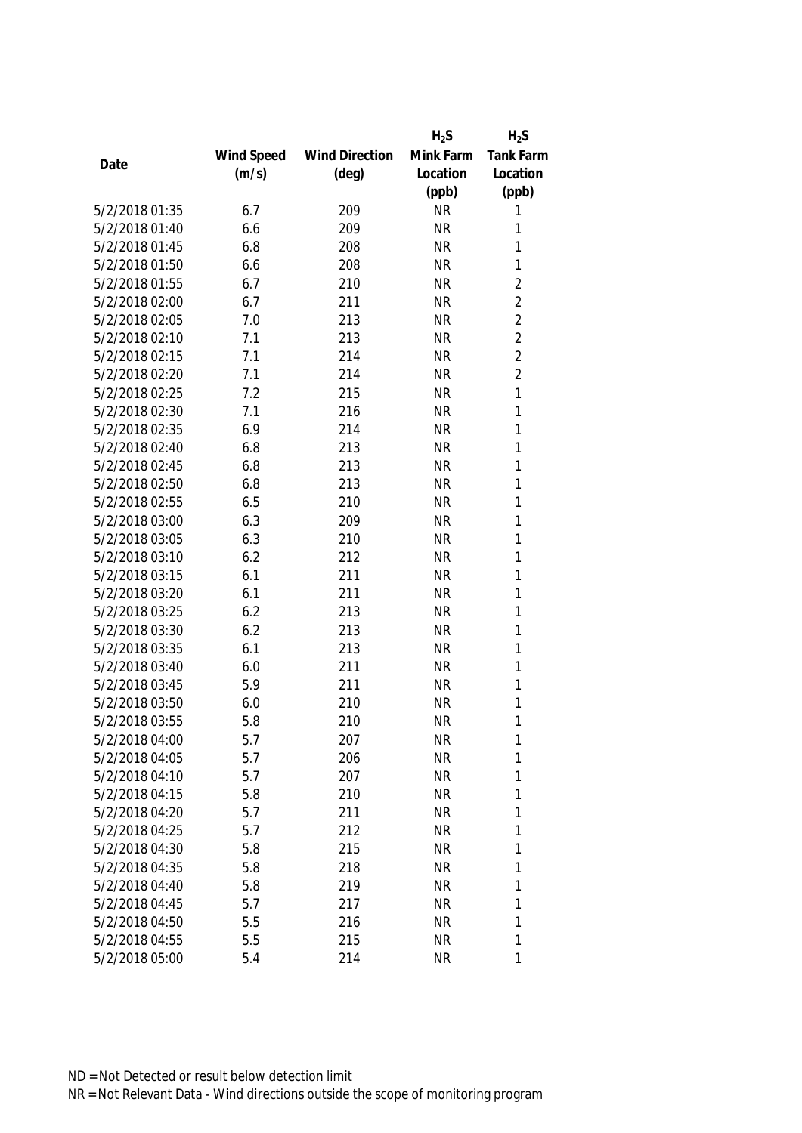|                |            |                       | $H_2S$    | $H_2S$         |
|----------------|------------|-----------------------|-----------|----------------|
|                | Wind Speed | <b>Wind Direction</b> | Mink Farm | Tank Farm      |
| Date           | (m/s)      | $(\text{deg})$        | Location  | Location       |
|                |            |                       | (ppb)     | (ppb)          |
| 5/2/2018 01:35 | 6.7        | 209                   | <b>NR</b> | 1              |
| 5/2/2018 01:40 | 6.6        | 209                   | <b>NR</b> | 1              |
| 5/2/2018 01:45 | 6.8        | 208                   | <b>NR</b> | 1              |
| 5/2/2018 01:50 | 6.6        | 208                   | <b>NR</b> | $\mathbf{1}$   |
| 5/2/2018 01:55 | 6.7        | 210                   | <b>NR</b> | $\overline{2}$ |
| 5/2/2018 02:00 | 6.7        | 211                   | <b>NR</b> | $\overline{2}$ |
| 5/2/2018 02:05 | 7.0        | 213                   | <b>NR</b> | $\overline{2}$ |
| 5/2/2018 02:10 | 7.1        | 213                   | <b>NR</b> | $\overline{2}$ |
| 5/2/2018 02:15 | 7.1        | 214                   | <b>NR</b> | $\overline{2}$ |
| 5/2/2018 02:20 | 7.1        | 214                   | <b>NR</b> | $\overline{2}$ |
| 5/2/2018 02:25 | 7.2        | 215                   | <b>NR</b> | 1              |
| 5/2/2018 02:30 | 7.1        | 216                   | <b>NR</b> | 1              |
| 5/2/2018 02:35 | 6.9        | 214                   | <b>NR</b> | 1              |
| 5/2/2018 02:40 | 6.8        | 213                   | <b>NR</b> | 1              |
| 5/2/2018 02:45 | 6.8        | 213                   | <b>NR</b> | 1              |
| 5/2/2018 02:50 | 6.8        | 213                   | <b>NR</b> | $\mathbf{1}$   |
| 5/2/2018 02:55 | 6.5        | 210                   | <b>NR</b> | 1              |
| 5/2/2018 03:00 | 6.3        | 209                   | <b>NR</b> | 1              |
| 5/2/2018 03:05 | 6.3        | 210                   | <b>NR</b> | 1              |
| 5/2/2018 03:10 | 6.2        | 212                   | <b>NR</b> | 1              |
| 5/2/2018 03:15 | 6.1        | 211                   | <b>NR</b> | 1              |
| 5/2/2018 03:20 | 6.1        | 211                   | <b>NR</b> | 1              |
| 5/2/2018 03:25 | 6.2        | 213                   | <b>NR</b> | 1              |
| 5/2/2018 03:30 | 6.2        | 213                   | <b>NR</b> | 1              |
| 5/2/2018 03:35 | 6.1        | 213                   | <b>NR</b> | 1              |
| 5/2/2018 03:40 | 6.0        | 211                   | <b>NR</b> | 1              |
| 5/2/2018 03:45 | 5.9        | 211                   | <b>NR</b> | 1              |
| 5/2/2018 03:50 | 6.0        | 210                   | <b>NR</b> | 1              |
| 5/2/2018 03:55 | 5.8        | 210                   | <b>NR</b> | 1              |
| 5/2/2018 04:00 | 5.7        | 207                   | <b>NR</b> | 1              |
| 5/2/2018 04:05 | 5.7        | 206                   | <b>NR</b> | 1              |
| 5/2/2018 04:10 | 5.7        | 207                   | <b>NR</b> | 1              |
| 5/2/2018 04:15 | 5.8        | 210                   | <b>NR</b> | 1              |
| 5/2/2018 04:20 | 5.7        | 211                   | <b>NR</b> | 1              |
| 5/2/2018 04:25 | 5.7        | 212                   | <b>NR</b> | 1              |
| 5/2/2018 04:30 | 5.8        | 215                   | <b>NR</b> | 1              |
| 5/2/2018 04:35 | 5.8        | 218                   | <b>NR</b> | 1              |
| 5/2/2018 04:40 | 5.8        | 219                   | <b>NR</b> | 1              |
| 5/2/2018 04:45 | 5.7        | 217                   | <b>NR</b> | 1              |
| 5/2/2018 04:50 | 5.5        | 216                   | <b>NR</b> | 1              |
| 5/2/2018 04:55 | 5.5        | 215                   | <b>NR</b> | 1              |
| 5/2/2018 05:00 | 5.4        | 214                   | <b>NR</b> | 1              |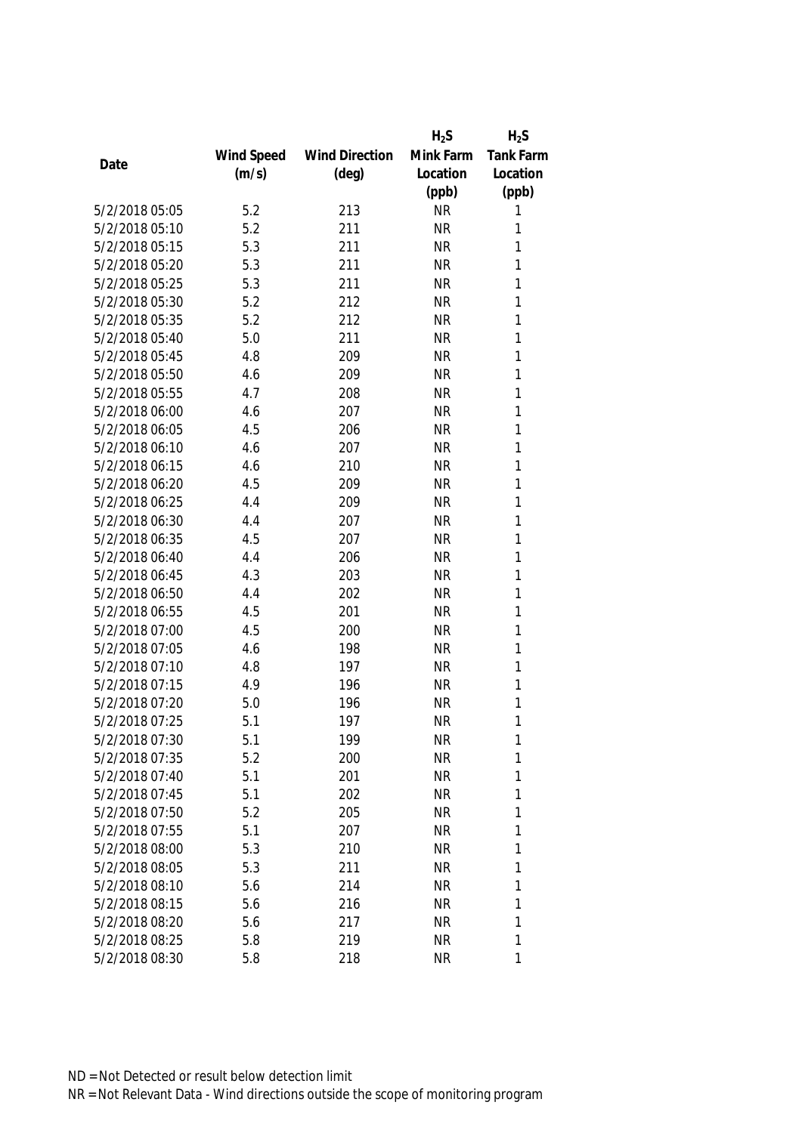|                |            |                       | $H_2S$    | $H_2S$           |
|----------------|------------|-----------------------|-----------|------------------|
|                | Wind Speed | <b>Wind Direction</b> | Mink Farm | <b>Tank Farm</b> |
| Date           | (m/s)      | $(\text{deg})$        | Location  | Location         |
|                |            |                       | (ppb)     | (ppb)            |
| 5/2/2018 05:05 | 5.2        | 213                   | <b>NR</b> | 1                |
| 5/2/2018 05:10 | 5.2        | 211                   | <b>NR</b> | 1                |
| 5/2/2018 05:15 | 5.3        | 211                   | <b>NR</b> | 1                |
| 5/2/2018 05:20 | 5.3        | 211                   | <b>NR</b> | 1                |
| 5/2/2018 05:25 | 5.3        | 211                   | <b>NR</b> | 1                |
| 5/2/2018 05:30 | 5.2        | 212                   | <b>NR</b> | 1                |
| 5/2/2018 05:35 | 5.2        | 212                   | <b>NR</b> | 1                |
| 5/2/2018 05:40 | 5.0        | 211                   | <b>NR</b> | 1                |
| 5/2/2018 05:45 | 4.8        | 209                   | <b>NR</b> | $\mathbf{1}$     |
| 5/2/2018 05:50 | 4.6        | 209                   | <b>NR</b> | 1                |
| 5/2/2018 05:55 | 4.7        | 208                   | <b>NR</b> | 1                |
| 5/2/2018 06:00 | 4.6        | 207                   | <b>NR</b> | 1                |
| 5/2/2018 06:05 | 4.5        | 206                   | <b>NR</b> | 1                |
| 5/2/2018 06:10 | 4.6        | 207                   | <b>NR</b> | 1                |
| 5/2/2018 06:15 | 4.6        | 210                   | <b>NR</b> | 1                |
| 5/2/2018 06:20 | 4.5        | 209                   | <b>NR</b> | 1                |
| 5/2/2018 06:25 | 4.4        | 209                   | <b>NR</b> | 1                |
| 5/2/2018 06:30 | 4.4        | 207                   | <b>NR</b> | 1                |
| 5/2/2018 06:35 | 4.5        | 207                   | <b>NR</b> | 1                |
| 5/2/2018 06:40 | 4.4        | 206                   | <b>NR</b> | 1                |
| 5/2/2018 06:45 | 4.3        | 203                   | <b>NR</b> | 1                |
| 5/2/2018 06:50 | 4.4        | 202                   | <b>NR</b> | 1                |
| 5/2/2018 06:55 | 4.5        | 201                   | <b>NR</b> | 1                |
| 5/2/2018 07:00 | 4.5        | 200                   | <b>NR</b> | $\mathbf{1}$     |
| 5/2/2018 07:05 | 4.6        | 198                   | <b>NR</b> | 1                |
| 5/2/2018 07:10 | 4.8        | 197                   | <b>NR</b> | 1                |
| 5/2/2018 07:15 | 4.9        | 196                   | <b>NR</b> | 1                |
| 5/2/2018 07:20 | 5.0        | 196                   | <b>NR</b> | 1                |
| 5/2/2018 07:25 | 5.1        | 197                   | <b>NR</b> | 1                |
| 5/2/2018 07:30 | 5.1        | 199                   | <b>NR</b> | 1                |
| 5/2/2018 07:35 | 5.2        | 200                   | <b>NR</b> | 1                |
| 5/2/2018 07:40 | 5.1        | 201                   | <b>NR</b> | 1                |
| 5/2/2018 07:45 | 5.1        | 202                   | <b>NR</b> | 1                |
| 5/2/2018 07:50 | 5.2        | 205                   | <b>NR</b> | 1                |
| 5/2/2018 07:55 | 5.1        | 207                   | <b>NR</b> | 1                |
| 5/2/2018 08:00 | 5.3        | 210                   | <b>NR</b> | 1                |
| 5/2/2018 08:05 | 5.3        | 211                   | <b>NR</b> | 1                |
| 5/2/2018 08:10 | 5.6        | 214                   | <b>NR</b> | 1                |
| 5/2/2018 08:15 | 5.6        | 216                   | <b>NR</b> | 1                |
| 5/2/2018 08:20 | 5.6        | 217                   | <b>NR</b> | 1                |
| 5/2/2018 08:25 | 5.8        | 219                   | <b>NR</b> | 1                |
| 5/2/2018 08:30 | 5.8        | 218                   | <b>NR</b> | 1                |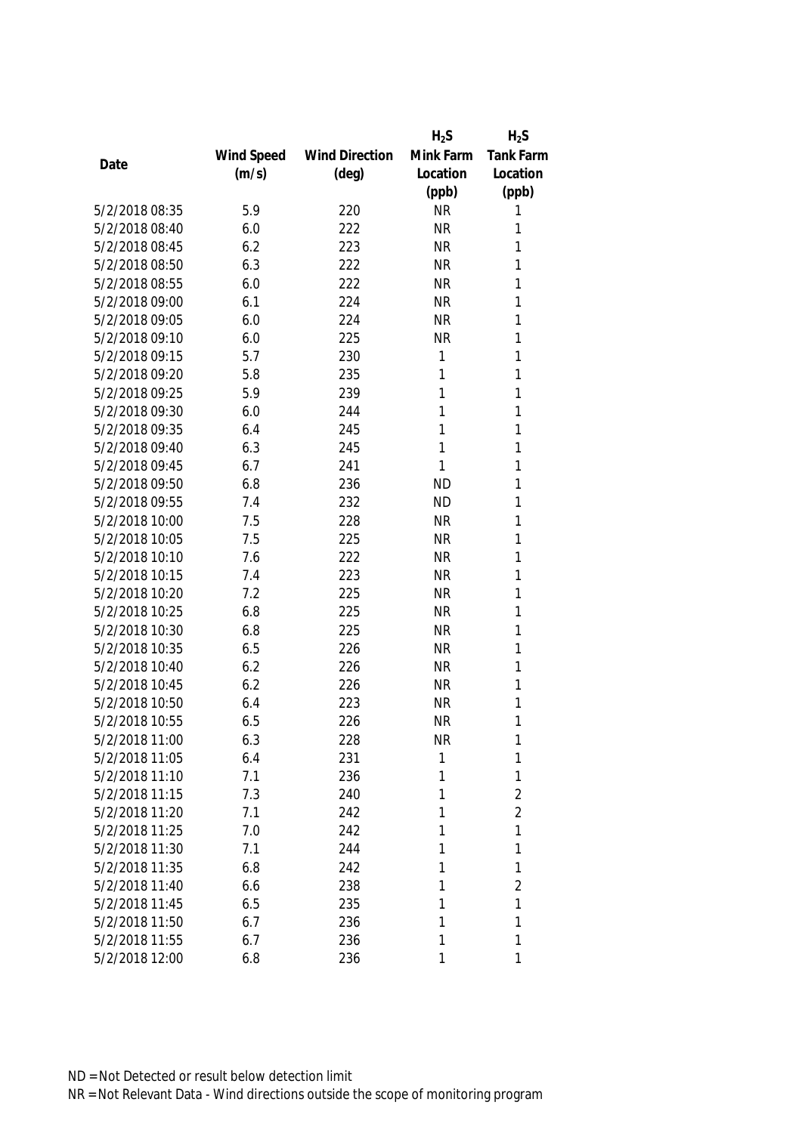|                |            |                       | $H_2S$    | $H_2S$         |
|----------------|------------|-----------------------|-----------|----------------|
|                | Wind Speed | <b>Wind Direction</b> | Mink Farm | Tank Farm      |
| Date           | (m/s)      | $(\text{deg})$        | Location  | Location       |
|                |            |                       | (ppb)     | (ppb)          |
| 5/2/2018 08:35 | 5.9        | 220                   | <b>NR</b> | 1              |
| 5/2/2018 08:40 | 6.0        | 222                   | <b>NR</b> | 1              |
| 5/2/2018 08:45 | 6.2        | 223                   | <b>NR</b> | 1              |
| 5/2/2018 08:50 | 6.3        | 222                   | <b>NR</b> | 1              |
| 5/2/2018 08:55 | 6.0        | 222                   | <b>NR</b> | 1              |
| 5/2/2018 09:00 | 6.1        | 224                   | <b>NR</b> | 1              |
| 5/2/2018 09:05 | 6.0        | 224                   | <b>NR</b> | 1              |
| 5/2/2018 09:10 | 6.0        | 225                   | <b>NR</b> | 1              |
| 5/2/2018 09:15 | 5.7        | 230                   | 1         | 1              |
| 5/2/2018 09:20 | 5.8        | 235                   | 1         | 1              |
| 5/2/2018 09:25 | 5.9        | 239                   | 1         | 1              |
| 5/2/2018 09:30 | 6.0        | 244                   | 1         | 1              |
| 5/2/2018 09:35 | 6.4        | 245                   | 1         | 1              |
| 5/2/2018 09:40 | 6.3        | 245                   | 1         | 1              |
| 5/2/2018 09:45 | 6.7        | 241                   | 1         | 1              |
| 5/2/2018 09:50 | 6.8        | 236                   | <b>ND</b> | $\mathbf{1}$   |
| 5/2/2018 09:55 | 7.4        | 232                   | <b>ND</b> | 1              |
| 5/2/2018 10:00 | 7.5        | 228                   | <b>NR</b> | 1              |
| 5/2/2018 10:05 | 7.5        | 225                   | <b>NR</b> | 1              |
| 5/2/2018 10:10 | 7.6        | 222                   | <b>NR</b> | 1              |
| 5/2/2018 10:15 | 7.4        | 223                   | <b>NR</b> | 1              |
| 5/2/2018 10:20 | 7.2        | 225                   | <b>NR</b> | 1              |
| 5/2/2018 10:25 | 6.8        | 225                   | <b>NR</b> | 1              |
| 5/2/2018 10:30 | 6.8        | 225                   | <b>NR</b> | 1              |
| 5/2/2018 10:35 | 6.5        | 226                   | <b>NR</b> | 1              |
| 5/2/2018 10:40 | 6.2        | 226                   | <b>NR</b> | 1              |
| 5/2/2018 10:45 | 6.2        | 226                   | <b>NR</b> | 1              |
| 5/2/2018 10:50 | 6.4        | 223                   | <b>NR</b> | 1              |
| 5/2/2018 10:55 | 6.5        | 226                   | <b>NR</b> | 1              |
| 5/2/2018 11:00 | 6.3        | 228                   | <b>NR</b> | 1              |
| 5/2/2018 11:05 | 6.4        | 231                   | 1         | 1              |
| 5/2/2018 11:10 | 7.1        | 236                   | 1         | 1              |
| 5/2/2018 11:15 | 7.3        | 240                   | 1         | $\overline{2}$ |
| 5/2/2018 11:20 | 7.1        | 242                   | 1         | $\overline{2}$ |
| 5/2/2018 11:25 | 7.0        | 242                   | 1         | 1              |
| 5/2/2018 11:30 | 7.1        | 244                   | 1         | 1              |
| 5/2/2018 11:35 | 6.8        | 242                   | 1         | 1              |
| 5/2/2018 11:40 | 6.6        | 238                   | 1         | $\overline{2}$ |
| 5/2/2018 11:45 | 6.5        | 235                   | 1         | 1              |
| 5/2/2018 11:50 | 6.7        | 236                   | 1         | 1              |
| 5/2/2018 11:55 | 6.7        | 236                   | 1         | 1              |
| 5/2/2018 12:00 | 6.8        | 236                   | 1         | 1              |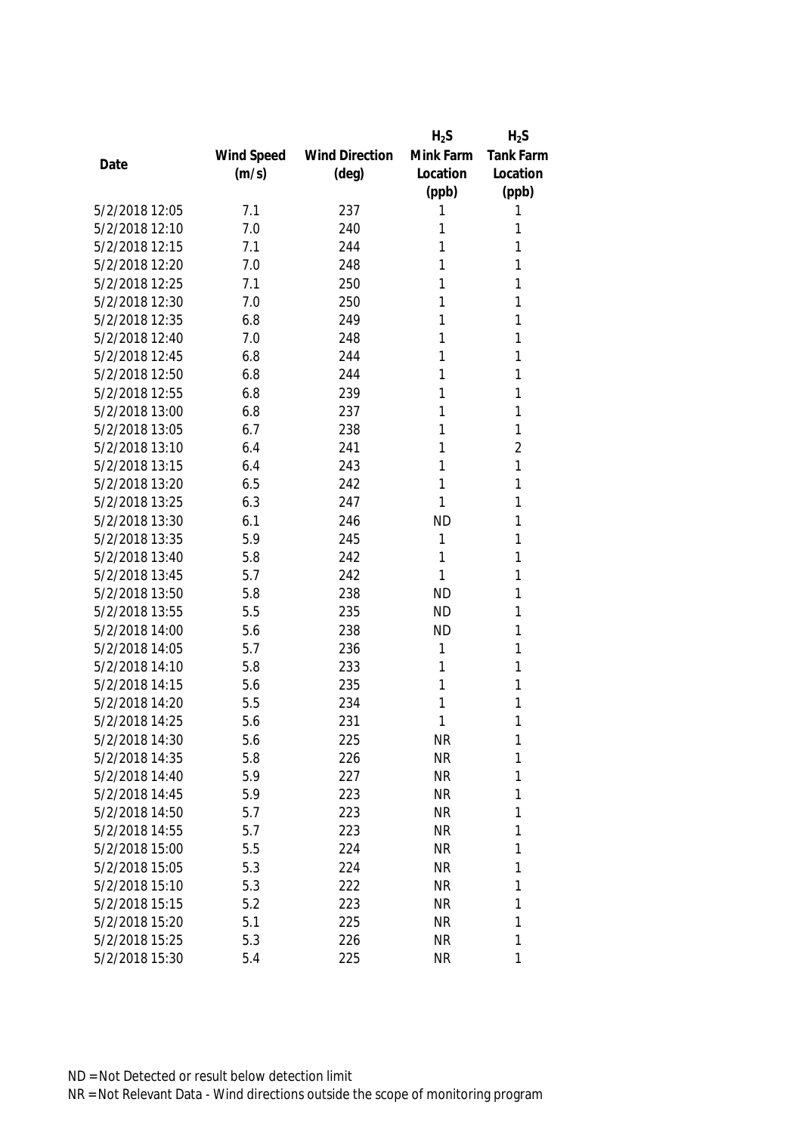|                |            |                       | $H_2S$    | $H_2S$           |
|----------------|------------|-----------------------|-----------|------------------|
|                | Wind Speed | <b>Wind Direction</b> | Mink Farm | <b>Tank Farm</b> |
| Date           | (m/s)      | $(\text{deg})$        | Location  | Location         |
|                |            |                       | (ppb)     | (ppb)            |
| 5/2/2018 12:05 | 7.1        | 237                   | 1         | 1                |
| 5/2/2018 12:10 | 7.0        | 240                   | 1         | 1                |
| 5/2/2018 12:15 | 7.1        | 244                   | 1         | 1                |
| 5/2/2018 12:20 | 7.0        | 248                   | 1         | 1                |
| 5/2/2018 12:25 | 7.1        | 250                   | 1         | 1                |
| 5/2/2018 12:30 | 7.0        | 250                   | 1         | 1                |
| 5/2/2018 12:35 | 6.8        | 249                   | 1         | 1                |
| 5/2/2018 12:40 | 7.0        | 248                   | 1         | 1                |
| 5/2/2018 12:45 | 6.8        | 244                   | 1         | 1                |
| 5/2/2018 12:50 | 6.8        | 244                   | 1         | 1                |
| 5/2/2018 12:55 | 6.8        | 239                   | 1         | 1                |
| 5/2/2018 13:00 | 6.8        | 237                   | 1         | 1                |
| 5/2/2018 13:05 | 6.7        | 238                   | 1         | 1                |
| 5/2/2018 13:10 | 6.4        | 241                   | 1         | $\overline{2}$   |
| 5/2/2018 13:15 | 6.4        | 243                   | 1         | 1                |
| 5/2/2018 13:20 | 6.5        | 242                   | 1         | 1                |
| 5/2/2018 13:25 | 6.3        | 247                   | 1         | 1                |
| 5/2/2018 13:30 | 6.1        | 246                   | <b>ND</b> | 1                |
| 5/2/2018 13:35 | 5.9        | 245                   | 1         | 1                |
| 5/2/2018 13:40 | 5.8        | 242                   | 1         | 1                |
| 5/2/2018 13:45 | 5.7        | 242                   | 1         | 1                |
| 5/2/2018 13:50 | 5.8        | 238                   | <b>ND</b> | 1                |
| 5/2/2018 13:55 | 5.5        | 235                   | <b>ND</b> | 1                |
| 5/2/2018 14:00 | 5.6        | 238                   | <b>ND</b> | 1                |
| 5/2/2018 14:05 | 5.7        | 236                   | 1         | 1                |
| 5/2/2018 14:10 | 5.8        | 233                   | 1         | 1                |
| 5/2/2018 14:15 | 5.6        | 235                   | 1         | 1                |
| 5/2/2018 14:20 | 5.5        | 234                   | 1         | 1                |
| 5/2/2018 14:25 | 5.6        | 231                   | 1         | 1                |
| 5/2/2018 14:30 | 5.6        | 225                   | <b>NR</b> | 1                |
| 5/2/2018 14:35 | 5.8        | 226                   | <b>NR</b> | 1                |
| 5/2/2018 14:40 | 5.9        | 227                   | <b>NR</b> | 1                |
| 5/2/2018 14:45 | 5.9        | 223                   | <b>NR</b> | 1                |
| 5/2/2018 14:50 | 5.7        | 223                   | <b>NR</b> | 1                |
| 5/2/2018 14:55 | 5.7        | 223                   | <b>NR</b> | 1                |
| 5/2/2018 15:00 | 5.5        | 224                   | <b>NR</b> | 1                |
| 5/2/2018 15:05 | 5.3        | 224                   | <b>NR</b> | 1                |
| 5/2/2018 15:10 | 5.3        | 222                   | <b>NR</b> | 1                |
| 5/2/2018 15:15 | 5.2        | 223                   | <b>NR</b> | 1                |
| 5/2/2018 15:20 | 5.1        | 225                   | <b>NR</b> | 1                |
| 5/2/2018 15:25 | 5.3        | 226                   | <b>NR</b> | 1                |
| 5/2/2018 15:30 | 5.4        | 225                   | <b>NR</b> | 1                |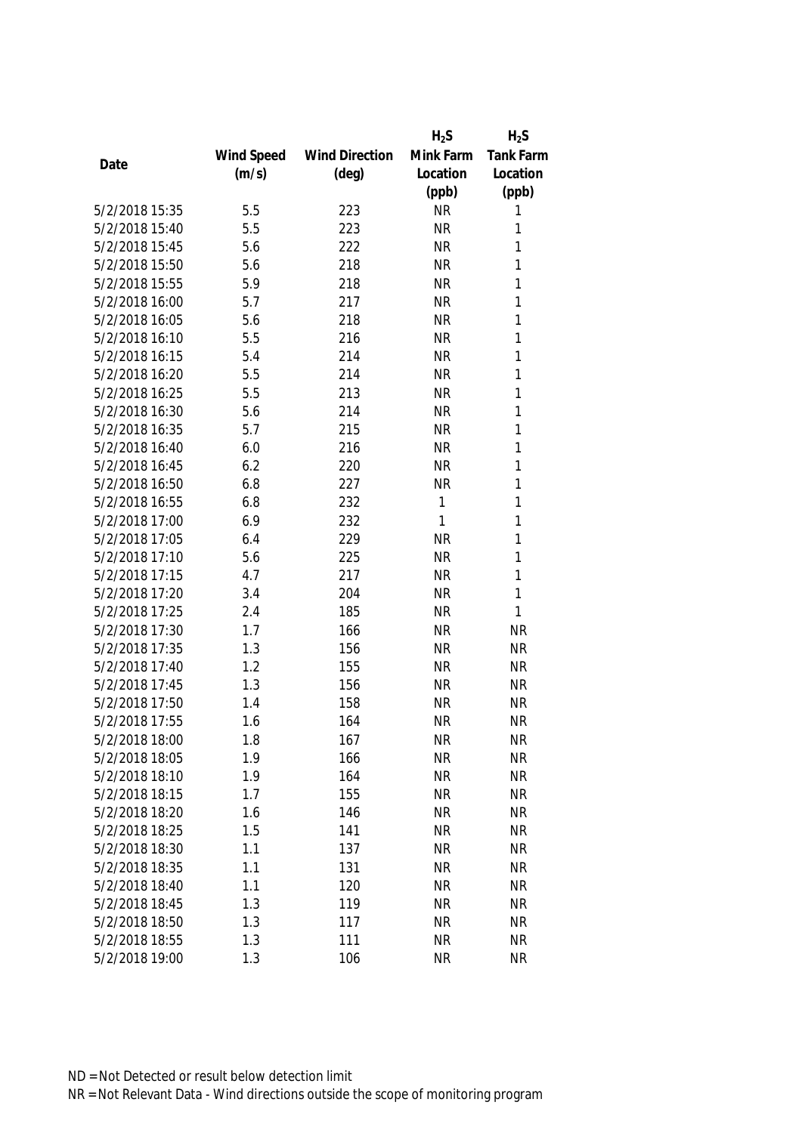|                |            |                       | $H_2S$    | $H_2S$    |
|----------------|------------|-----------------------|-----------|-----------|
|                | Wind Speed | <b>Wind Direction</b> | Mink Farm | Tank Farm |
| Date           | (m/s)      | $(\text{deg})$        | Location  | Location  |
|                |            |                       | (ppb)     | (ppb)     |
| 5/2/2018 15:35 | 5.5        | 223                   | <b>NR</b> | 1         |
| 5/2/2018 15:40 | 5.5        | 223                   | <b>NR</b> | 1         |
| 5/2/2018 15:45 | 5.6        | 222                   | <b>NR</b> | 1         |
| 5/2/2018 15:50 | 5.6        | 218                   | <b>NR</b> | 1         |
| 5/2/2018 15:55 | 5.9        | 218                   | <b>NR</b> | 1         |
| 5/2/2018 16:00 | 5.7        | 217                   | <b>NR</b> | 1         |
| 5/2/2018 16:05 | 5.6        | 218                   | <b>NR</b> | 1         |
| 5/2/2018 16:10 | 5.5        | 216                   | <b>NR</b> | 1         |
| 5/2/2018 16:15 | 5.4        | 214                   | <b>NR</b> | 1         |
| 5/2/2018 16:20 | 5.5        | 214                   | <b>NR</b> | 1         |
| 5/2/2018 16:25 | 5.5        | 213                   | <b>NR</b> | 1         |
| 5/2/2018 16:30 | 5.6        | 214                   | <b>NR</b> | 1         |
| 5/2/2018 16:35 | 5.7        | 215                   | <b>NR</b> | 1         |
| 5/2/2018 16:40 | 6.0        | 216                   | <b>NR</b> | 1         |
| 5/2/2018 16:45 | 6.2        | 220                   | <b>NR</b> | 1         |
| 5/2/2018 16:50 | 6.8        | 227                   | <b>NR</b> | 1         |
| 5/2/2018 16:55 | 6.8        | 232                   | 1         | 1         |
| 5/2/2018 17:00 | 6.9        | 232                   | 1         | 1         |
| 5/2/2018 17:05 | 6.4        | 229                   | <b>NR</b> | 1         |
| 5/2/2018 17:10 | 5.6        | 225                   | <b>NR</b> | 1         |
| 5/2/2018 17:15 | 4.7        | 217                   | <b>NR</b> | 1         |
| 5/2/2018 17:20 | 3.4        | 204                   | <b>NR</b> | 1         |
| 5/2/2018 17:25 | 2.4        | 185                   | <b>NR</b> | 1         |
| 5/2/2018 17:30 | 1.7        | 166                   | <b>NR</b> | <b>NR</b> |
| 5/2/2018 17:35 | 1.3        | 156                   | <b>NR</b> | <b>NR</b> |
| 5/2/2018 17:40 | 1.2        | 155                   | <b>NR</b> | <b>NR</b> |
| 5/2/2018 17:45 | 1.3        | 156                   | <b>NR</b> | <b>NR</b> |
| 5/2/2018 17:50 | 1.4        | 158                   | <b>NR</b> | <b>NR</b> |
| 5/2/2018 17:55 | 1.6        | 164                   | <b>NR</b> | <b>NR</b> |
| 5/2/2018 18:00 | 1.8        | 167                   | <b>NR</b> | NR        |
| 5/2/2018 18:05 | 1.9        | 166                   | <b>NR</b> | <b>NR</b> |
| 5/2/2018 18:10 | 1.9        | 164                   | <b>NR</b> | <b>NR</b> |
| 5/2/2018 18:15 | 1.7        | 155                   | <b>NR</b> | <b>NR</b> |
| 5/2/2018 18:20 | 1.6        | 146                   | <b>NR</b> | <b>NR</b> |
| 5/2/2018 18:25 | 1.5        | 141                   | <b>NR</b> | <b>NR</b> |
| 5/2/2018 18:30 | 1.1        | 137                   | <b>NR</b> | <b>NR</b> |
| 5/2/2018 18:35 | 1.1        | 131                   | <b>NR</b> | <b>NR</b> |
| 5/2/2018 18:40 | 1.1        | 120                   | <b>NR</b> | <b>NR</b> |
| 5/2/2018 18:45 | 1.3        | 119                   | <b>NR</b> | <b>NR</b> |
| 5/2/2018 18:50 | 1.3        | 117                   | <b>NR</b> | <b>NR</b> |
| 5/2/2018 18:55 | 1.3        | 111                   | <b>NR</b> | <b>NR</b> |
| 5/2/2018 19:00 | 1.3        | 106                   | <b>NR</b> | <b>NR</b> |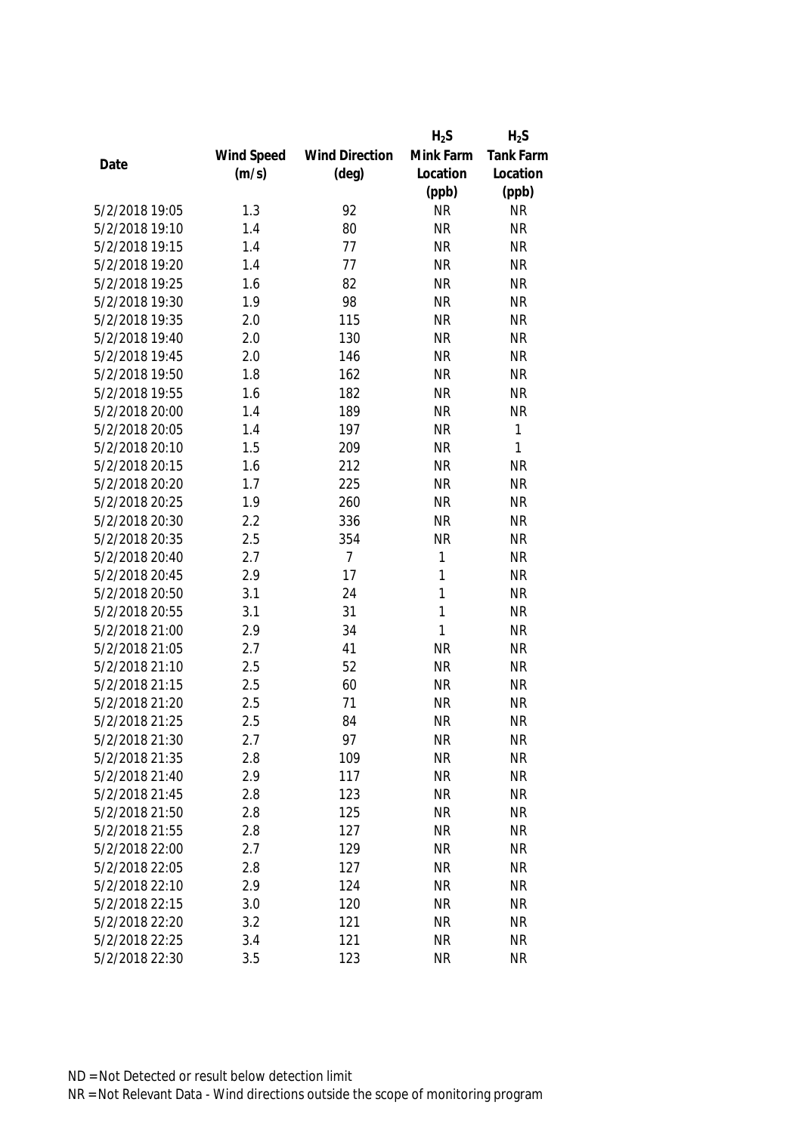|                |            |                       | $H_2S$       | $H_2S$    |
|----------------|------------|-----------------------|--------------|-----------|
|                | Wind Speed | <b>Wind Direction</b> | Mink Farm    | Tank Farm |
| Date           | (m/s)      | $(\text{deg})$        | Location     | Location  |
|                |            |                       | (ppb)        | (ppb)     |
| 5/2/2018 19:05 | 1.3        | 92                    | <b>NR</b>    | <b>NR</b> |
| 5/2/2018 19:10 | 1.4        | 80                    | <b>NR</b>    | <b>NR</b> |
| 5/2/2018 19:15 | 1.4        | 77                    | <b>NR</b>    | <b>NR</b> |
| 5/2/2018 19:20 | 1.4        | 77                    | <b>NR</b>    | <b>NR</b> |
| 5/2/2018 19:25 | 1.6        | 82                    | <b>NR</b>    | <b>NR</b> |
| 5/2/2018 19:30 | 1.9        | 98                    | <b>NR</b>    | <b>NR</b> |
| 5/2/2018 19:35 | 2.0        | 115                   | <b>NR</b>    | <b>NR</b> |
| 5/2/2018 19:40 | 2.0        | 130                   | <b>NR</b>    | <b>NR</b> |
| 5/2/2018 19:45 | 2.0        | 146                   | <b>NR</b>    | <b>NR</b> |
| 5/2/2018 19:50 | 1.8        | 162                   | <b>NR</b>    | <b>NR</b> |
| 5/2/2018 19:55 | 1.6        | 182                   | <b>NR</b>    | <b>NR</b> |
| 5/2/2018 20:00 | 1.4        | 189                   | <b>NR</b>    | <b>NR</b> |
| 5/2/2018 20:05 | 1.4        | 197                   | <b>NR</b>    | 1         |
| 5/2/2018 20:10 | 1.5        | 209                   | <b>NR</b>    | 1         |
| 5/2/2018 20:15 | 1.6        | 212                   | <b>NR</b>    | <b>NR</b> |
| 5/2/2018 20:20 | 1.7        | 225                   | <b>NR</b>    | <b>NR</b> |
| 5/2/2018 20:25 | 1.9        | 260                   | <b>NR</b>    | <b>NR</b> |
| 5/2/2018 20:30 | 2.2        | 336                   | <b>NR</b>    | <b>NR</b> |
| 5/2/2018 20:35 | 2.5        | 354                   | <b>NR</b>    | <b>NR</b> |
| 5/2/2018 20:40 | 2.7        | $\overline{7}$        | 1            | <b>NR</b> |
| 5/2/2018 20:45 | 2.9        | 17                    | 1            | <b>NR</b> |
| 5/2/2018 20:50 | 3.1        | 24                    | 1            | <b>NR</b> |
| 5/2/2018 20:55 | 3.1        | 31                    | 1            | <b>NR</b> |
| 5/2/2018 21:00 | 2.9        | 34                    | $\mathbf{1}$ | <b>NR</b> |
| 5/2/2018 21:05 | 2.7        | 41                    | <b>NR</b>    | <b>NR</b> |
| 5/2/2018 21:10 | 2.5        | 52                    | <b>NR</b>    | <b>NR</b> |
| 5/2/2018 21:15 | 2.5        | 60                    | <b>NR</b>    | <b>NR</b> |
| 5/2/2018 21:20 | 2.5        | 71                    | <b>NR</b>    | <b>NR</b> |
| 5/2/2018 21:25 | 2.5        | 84                    | <b>NR</b>    | <b>NR</b> |
| 5/2/2018 21:30 | 2.7        | 97                    | <b>NR</b>    | <b>NR</b> |
| 5/2/2018 21:35 | 2.8        | 109                   | <b>NR</b>    | <b>NR</b> |
| 5/2/2018 21:40 | 2.9        | 117                   | <b>NR</b>    | <b>NR</b> |
| 5/2/2018 21:45 | 2.8        | 123                   | <b>NR</b>    | <b>NR</b> |
| 5/2/2018 21:50 | 2.8        | 125                   | <b>NR</b>    | <b>NR</b> |
| 5/2/2018 21:55 | 2.8        | 127                   | <b>NR</b>    | <b>NR</b> |
| 5/2/2018 22:00 | 2.7        | 129                   | <b>NR</b>    | <b>NR</b> |
| 5/2/2018 22:05 | 2.8        | 127                   | <b>NR</b>    | <b>NR</b> |
| 5/2/2018 22:10 | 2.9        | 124                   | <b>NR</b>    | <b>NR</b> |
| 5/2/2018 22:15 | 3.0        | 120                   | <b>NR</b>    | <b>NR</b> |
| 5/2/2018 22:20 | 3.2        | 121                   | <b>NR</b>    | <b>NR</b> |
| 5/2/2018 22:25 | 3.4        | 121                   | <b>NR</b>    | <b>NR</b> |
| 5/2/2018 22:30 | 3.5        | 123                   | <b>NR</b>    | <b>NR</b> |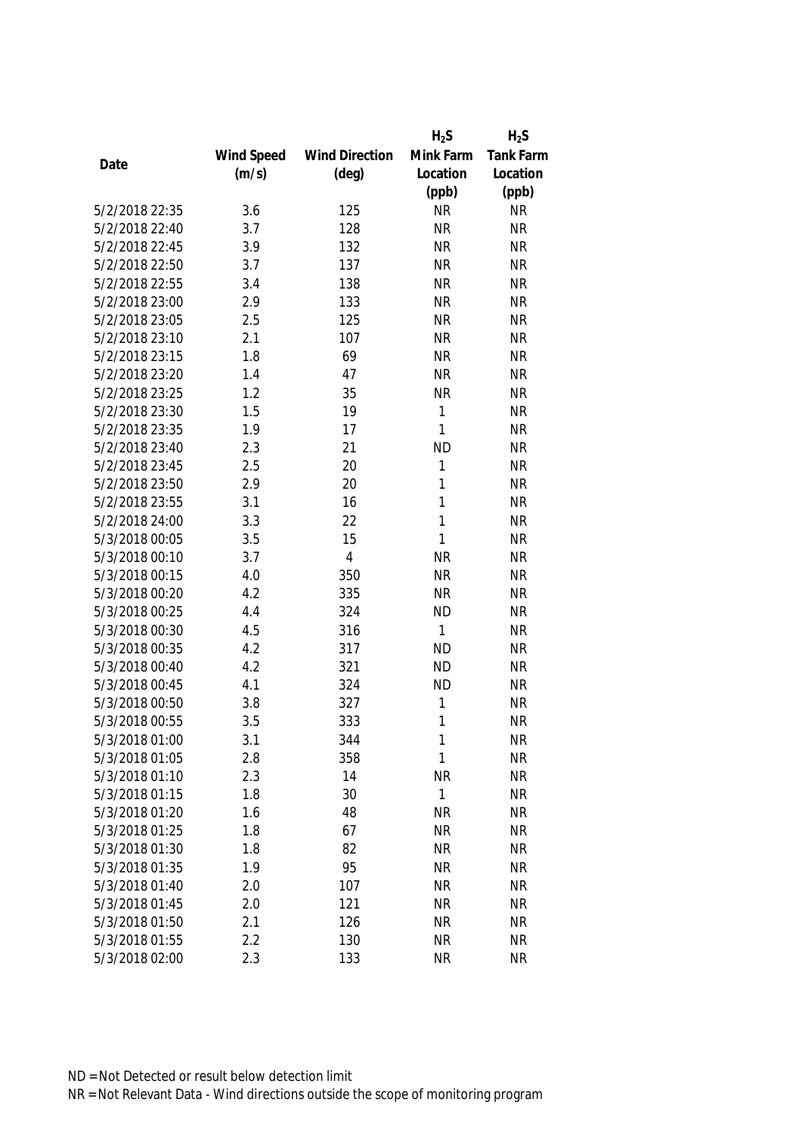|                |            |                       | $H_2S$       | $H_2S$    |
|----------------|------------|-----------------------|--------------|-----------|
|                | Wind Speed | <b>Wind Direction</b> | Mink Farm    | Tank Farm |
| Date           | (m/s)      | $(\text{deg})$        | Location     | Location  |
|                |            |                       | (ppb)        | (ppb)     |
| 5/2/2018 22:35 | 3.6        | 125                   | <b>NR</b>    | <b>NR</b> |
| 5/2/2018 22:40 | 3.7        | 128                   | <b>NR</b>    | <b>NR</b> |
| 5/2/2018 22:45 | 3.9        | 132                   | <b>NR</b>    | <b>NR</b> |
| 5/2/2018 22:50 | 3.7        | 137                   | <b>NR</b>    | <b>NR</b> |
| 5/2/2018 22:55 | 3.4        | 138                   | <b>NR</b>    | <b>NR</b> |
| 5/2/2018 23:00 | 2.9        | 133                   | <b>NR</b>    | <b>NR</b> |
| 5/2/2018 23:05 | 2.5        | 125                   | <b>NR</b>    | <b>NR</b> |
| 5/2/2018 23:10 | 2.1        | 107                   | <b>NR</b>    | <b>NR</b> |
| 5/2/2018 23:15 | 1.8        | 69                    | <b>NR</b>    | <b>NR</b> |
| 5/2/2018 23:20 | 1.4        | 47                    | <b>NR</b>    | <b>NR</b> |
| 5/2/2018 23:25 | 1.2        | 35                    | <b>NR</b>    | <b>NR</b> |
| 5/2/2018 23:30 | 1.5        | 19                    | 1            | <b>NR</b> |
| 5/2/2018 23:35 | 1.9        | 17                    | $\mathbf{1}$ | <b>NR</b> |
| 5/2/2018 23:40 | 2.3        | 21                    | <b>ND</b>    | <b>NR</b> |
| 5/2/2018 23:45 | 2.5        | 20                    | 1            | <b>NR</b> |
| 5/2/2018 23:50 | 2.9        | 20                    | $\mathbf{1}$ | <b>NR</b> |
| 5/2/2018 23:55 | 3.1        | 16                    | $\mathbf{1}$ | <b>NR</b> |
| 5/2/2018 24:00 | 3.3        | 22                    | $\mathbf{1}$ | <b>NR</b> |
| 5/3/2018 00:05 | 3.5        | 15                    | 1            | <b>NR</b> |
| 5/3/2018 00:10 | 3.7        | $\overline{4}$        | <b>NR</b>    | <b>NR</b> |
| 5/3/2018 00:15 | 4.0        | 350                   | <b>NR</b>    | <b>NR</b> |
| 5/3/2018 00:20 | 4.2        | 335                   | <b>NR</b>    | <b>NR</b> |
| 5/3/2018 00:25 | 4.4        | 324                   | <b>ND</b>    | <b>NR</b> |
| 5/3/2018 00:30 | 4.5        | 316                   | $\mathbf{1}$ | <b>NR</b> |
| 5/3/2018 00:35 | 4.2        | 317                   | <b>ND</b>    | <b>NR</b> |
| 5/3/2018 00:40 | 4.2        | 321                   | <b>ND</b>    | <b>NR</b> |
| 5/3/2018 00:45 | 4.1        | 324                   | <b>ND</b>    | <b>NR</b> |
| 5/3/2018 00:50 | 3.8        | 327                   | 1            | <b>NR</b> |
| 5/3/2018 00:55 | 3.5        | 333                   | 1            | <b>NR</b> |
| 5/3/2018 01:00 | 3.1        | 344                   | 1            | <b>NR</b> |
| 5/3/2018 01:05 | 2.8        | 358                   | 1            | <b>NR</b> |
| 5/3/2018 01:10 | 2.3        | 14                    | <b>NR</b>    | <b>NR</b> |
| 5/3/2018 01:15 | 1.8        | 30                    | $\mathbf{1}$ | <b>NR</b> |
| 5/3/2018 01:20 | 1.6        | 48                    | <b>NR</b>    | <b>NR</b> |
| 5/3/2018 01:25 | 1.8        | 67                    | <b>NR</b>    | <b>NR</b> |
| 5/3/2018 01:30 | 1.8        | 82                    | <b>NR</b>    | <b>NR</b> |
| 5/3/2018 01:35 | 1.9        | 95                    | <b>NR</b>    | <b>NR</b> |
| 5/3/2018 01:40 | 2.0        | 107                   | <b>NR</b>    | <b>NR</b> |
| 5/3/2018 01:45 | 2.0        | 121                   | <b>NR</b>    | <b>NR</b> |
| 5/3/2018 01:50 | 2.1        | 126                   | <b>NR</b>    | <b>NR</b> |
| 5/3/2018 01:55 | 2.2        | 130                   | <b>NR</b>    | <b>NR</b> |
| 5/3/2018 02:00 | 2.3        | 133                   | <b>NR</b>    | <b>NR</b> |
|                |            |                       |              |           |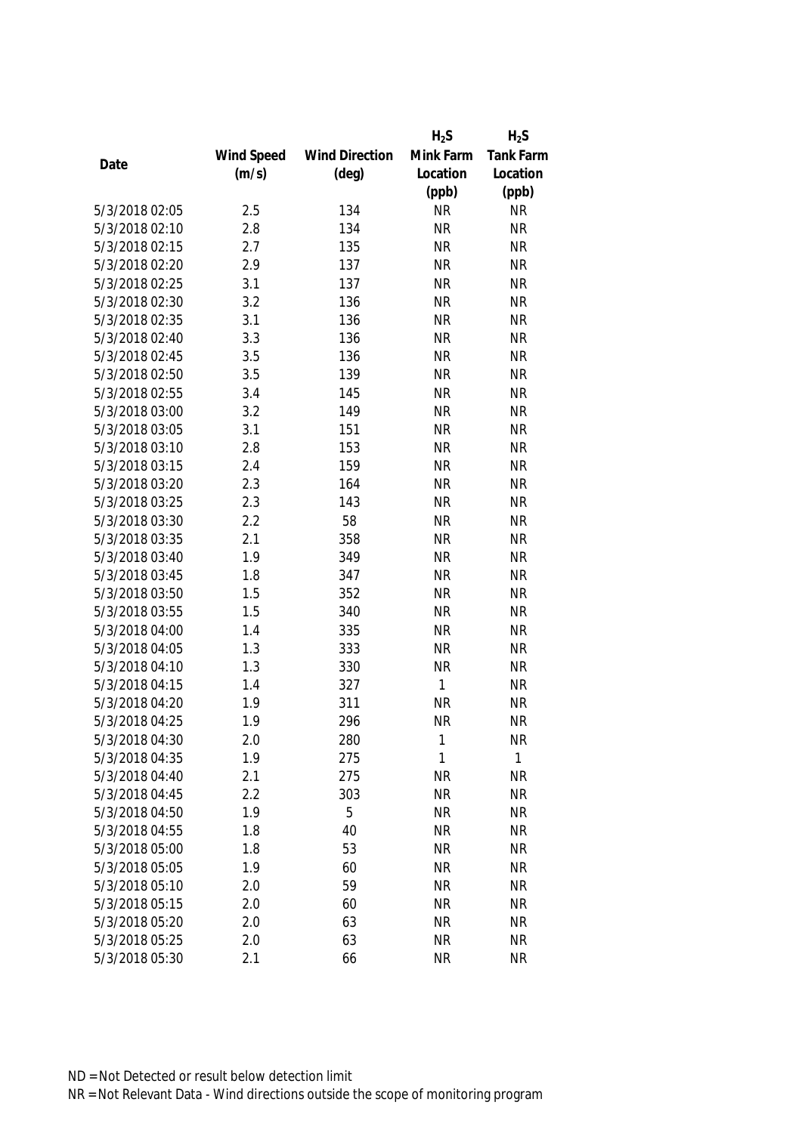|                |            |                       | $H_2S$       | $H_2S$    |
|----------------|------------|-----------------------|--------------|-----------|
|                | Wind Speed | <b>Wind Direction</b> | Mink Farm    | Tank Farm |
| Date           | (m/s)      | $(\text{deg})$        | Location     | Location  |
|                |            |                       | (ppb)        | (ppb)     |
| 5/3/2018 02:05 | 2.5        | 134                   | <b>NR</b>    | <b>NR</b> |
| 5/3/2018 02:10 | 2.8        | 134                   | <b>NR</b>    | <b>NR</b> |
| 5/3/2018 02:15 | 2.7        | 135                   | <b>NR</b>    | <b>NR</b> |
| 5/3/2018 02:20 | 2.9        | 137                   | <b>NR</b>    | <b>NR</b> |
| 5/3/2018 02:25 | 3.1        | 137                   | <b>NR</b>    | <b>NR</b> |
| 5/3/2018 02:30 | 3.2        | 136                   | <b>NR</b>    | <b>NR</b> |
| 5/3/2018 02:35 | 3.1        | 136                   | <b>NR</b>    | <b>NR</b> |
| 5/3/2018 02:40 | 3.3        | 136                   | <b>NR</b>    | <b>NR</b> |
| 5/3/2018 02:45 | 3.5        | 136                   | <b>NR</b>    | <b>NR</b> |
| 5/3/2018 02:50 | 3.5        | 139                   | <b>NR</b>    | <b>NR</b> |
| 5/3/2018 02:55 | 3.4        | 145                   | <b>NR</b>    | <b>NR</b> |
| 5/3/2018 03:00 | 3.2        | 149                   | <b>NR</b>    | <b>NR</b> |
| 5/3/2018 03:05 | 3.1        | 151                   | <b>NR</b>    | <b>NR</b> |
| 5/3/2018 03:10 | 2.8        | 153                   | <b>NR</b>    | <b>NR</b> |
| 5/3/2018 03:15 | 2.4        | 159                   | <b>NR</b>    | <b>NR</b> |
| 5/3/2018 03:20 | 2.3        | 164                   | <b>NR</b>    | <b>NR</b> |
| 5/3/2018 03:25 | 2.3        | 143                   | <b>NR</b>    | <b>NR</b> |
| 5/3/2018 03:30 | 2.2        | 58                    | <b>NR</b>    | <b>NR</b> |
| 5/3/2018 03:35 | 2.1        | 358                   | <b>NR</b>    | <b>NR</b> |
| 5/3/2018 03:40 | 1.9        | 349                   | <b>NR</b>    | <b>NR</b> |
| 5/3/2018 03:45 | 1.8        | 347                   | <b>NR</b>    | <b>NR</b> |
| 5/3/2018 03:50 | 1.5        | 352                   | <b>NR</b>    | <b>NR</b> |
| 5/3/2018 03:55 | 1.5        | 340                   | <b>NR</b>    | <b>NR</b> |
| 5/3/2018 04:00 | 1.4        | 335                   | <b>NR</b>    | <b>NR</b> |
| 5/3/2018 04:05 | 1.3        | 333                   | <b>NR</b>    | <b>NR</b> |
| 5/3/2018 04:10 | 1.3        | 330                   | <b>NR</b>    | <b>NR</b> |
| 5/3/2018 04:15 | 1.4        | 327                   | $\mathbf{1}$ | <b>NR</b> |
| 5/3/2018 04:20 | 1.9        | 311                   | <b>NR</b>    | <b>NR</b> |
| 5/3/2018 04:25 | 1.9        | 296                   | <b>NR</b>    | <b>NR</b> |
| 5/3/2018 04:30 | 2.0        | 280                   | 1            | <b>NR</b> |
| 5/3/2018 04:35 | 1.9        | 275                   | 1            | 1         |
| 5/3/2018 04:40 | 2.1        | 275                   | <b>NR</b>    | <b>NR</b> |
| 5/3/2018 04:45 | 2.2        | 303                   | <b>NR</b>    | <b>NR</b> |
| 5/3/2018 04:50 | 1.9        | 5                     | <b>NR</b>    | <b>NR</b> |
| 5/3/2018 04:55 | 1.8        | 40                    | <b>NR</b>    | <b>NR</b> |
| 5/3/2018 05:00 | 1.8        | 53                    | <b>NR</b>    | <b>NR</b> |
| 5/3/2018 05:05 | 1.9        | 60                    | <b>NR</b>    | <b>NR</b> |
| 5/3/2018 05:10 | 2.0        | 59                    | <b>NR</b>    | <b>NR</b> |
| 5/3/2018 05:15 | 2.0        | 60                    | <b>NR</b>    | <b>NR</b> |
| 5/3/2018 05:20 | 2.0        | 63                    | <b>NR</b>    | <b>NR</b> |
| 5/3/2018 05:25 | 2.0        | 63                    | <b>NR</b>    | <b>NR</b> |
|                |            |                       |              |           |
| 5/3/2018 05:30 | 2.1        | 66                    | <b>NR</b>    | <b>NR</b> |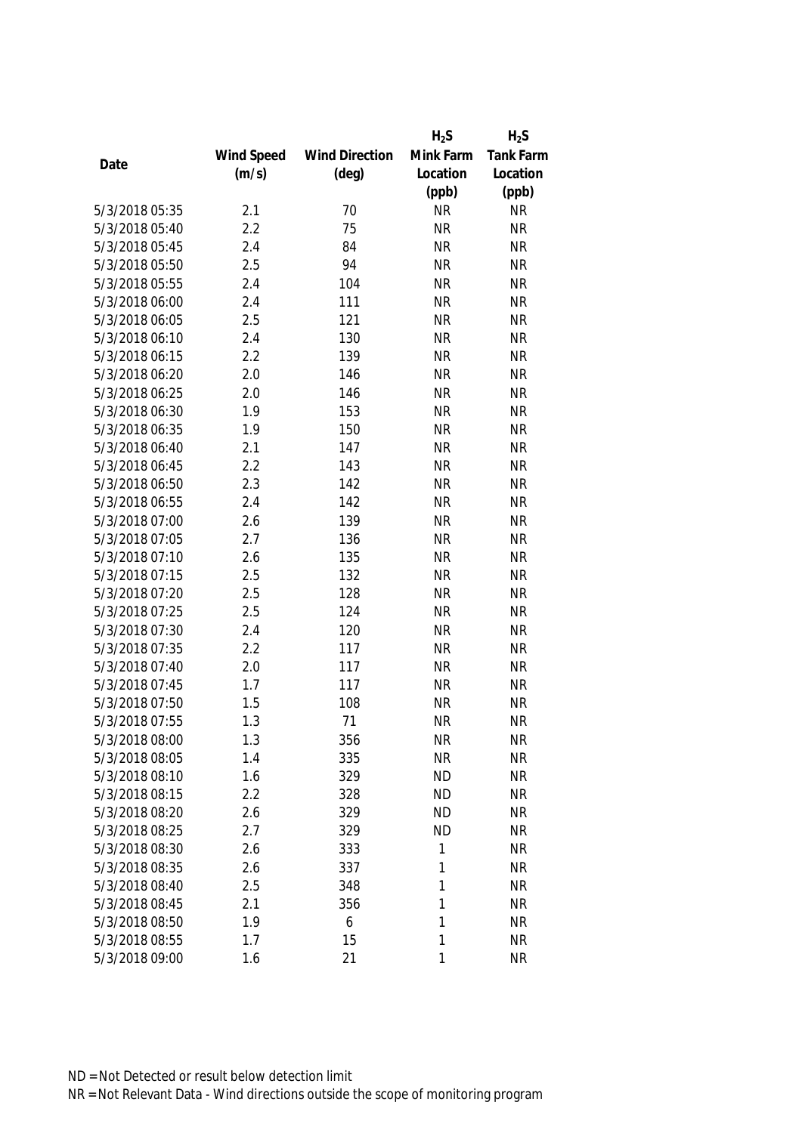|                |            |                       | $H_2S$    | $H_2S$    |
|----------------|------------|-----------------------|-----------|-----------|
|                | Wind Speed | <b>Wind Direction</b> | Mink Farm | Tank Farm |
| Date           | (m/s)      | $(\text{deg})$        | Location  | Location  |
|                |            |                       | (ppb)     | (ppb)     |
| 5/3/2018 05:35 | 2.1        | 70                    | <b>NR</b> | <b>NR</b> |
| 5/3/2018 05:40 | 2.2        | 75                    | <b>NR</b> | <b>NR</b> |
| 5/3/2018 05:45 | 2.4        | 84                    | <b>NR</b> | <b>NR</b> |
| 5/3/2018 05:50 | 2.5        | 94                    | <b>NR</b> | <b>NR</b> |
| 5/3/2018 05:55 | 2.4        | 104                   | <b>NR</b> | <b>NR</b> |
| 5/3/2018 06:00 | 2.4        | 111                   | <b>NR</b> | <b>NR</b> |
| 5/3/2018 06:05 | 2.5        | 121                   | <b>NR</b> | <b>NR</b> |
| 5/3/2018 06:10 | 2.4        | 130                   | <b>NR</b> | <b>NR</b> |
| 5/3/2018 06:15 | 2.2        | 139                   | <b>NR</b> | <b>NR</b> |
| 5/3/2018 06:20 | 2.0        | 146                   | <b>NR</b> | <b>NR</b> |
| 5/3/2018 06:25 | 2.0        | 146                   | <b>NR</b> | <b>NR</b> |
| 5/3/2018 06:30 | 1.9        | 153                   | <b>NR</b> | <b>NR</b> |
| 5/3/2018 06:35 | 1.9        | 150                   | <b>NR</b> | <b>NR</b> |
| 5/3/2018 06:40 | 2.1        | 147                   | <b>NR</b> | <b>NR</b> |
| 5/3/2018 06:45 | 2.2        | 143                   | <b>NR</b> | <b>NR</b> |
| 5/3/2018 06:50 | 2.3        | 142                   | <b>NR</b> | <b>NR</b> |
| 5/3/2018 06:55 | 2.4        | 142                   | <b>NR</b> | <b>NR</b> |
| 5/3/2018 07:00 | 2.6        | 139                   | <b>NR</b> | <b>NR</b> |
| 5/3/2018 07:05 | 2.7        | 136                   | <b>NR</b> | <b>NR</b> |
| 5/3/2018 07:10 | 2.6        | 135                   | <b>NR</b> | <b>NR</b> |
| 5/3/2018 07:15 | 2.5        | 132                   | <b>NR</b> | <b>NR</b> |
| 5/3/2018 07:20 | 2.5        | 128                   | <b>NR</b> | <b>NR</b> |
| 5/3/2018 07:25 | 2.5        | 124                   | <b>NR</b> | <b>NR</b> |
| 5/3/2018 07:30 | 2.4        | 120                   | <b>NR</b> | <b>NR</b> |
| 5/3/2018 07:35 | 2.2        | 117                   | <b>NR</b> | <b>NR</b> |
| 5/3/2018 07:40 | 2.0        | 117                   | <b>NR</b> | <b>NR</b> |
| 5/3/2018 07:45 | 1.7        | 117                   | <b>NR</b> | <b>NR</b> |
| 5/3/2018 07:50 | 1.5        | 108                   | <b>NR</b> | <b>NR</b> |
| 5/3/2018 07:55 | 1.3        | 71                    | <b>NR</b> | <b>NR</b> |
| 5/3/2018 08:00 | 1.3        | 356                   | <b>NR</b> | <b>NR</b> |
| 5/3/2018 08:05 | 1.4        | 335                   | <b>NR</b> | <b>NR</b> |
| 5/3/2018 08:10 | 1.6        | 329                   | <b>ND</b> | <b>NR</b> |
| 5/3/2018 08:15 | 2.2        | 328                   | <b>ND</b> | <b>NR</b> |
| 5/3/2018 08:20 | 2.6        | 329                   | <b>ND</b> | <b>NR</b> |
| 5/3/2018 08:25 | 2.7        | 329                   | <b>ND</b> | <b>NR</b> |
| 5/3/2018 08:30 | 2.6        | 333                   | 1         | <b>NR</b> |
| 5/3/2018 08:35 | 2.6        | 337                   | 1         | <b>NR</b> |
| 5/3/2018 08:40 | 2.5        | 348                   | 1         | <b>NR</b> |
| 5/3/2018 08:45 | 2.1        | 356                   | 1         | <b>NR</b> |
| 5/3/2018 08:50 | 1.9        | 6                     | 1         | <b>NR</b> |
| 5/3/2018 08:55 | 1.7        | 15                    | 1         | <b>NR</b> |
| 5/3/2018 09:00 | 1.6        | 21                    | 1         | <b>NR</b> |
|                |            |                       |           |           |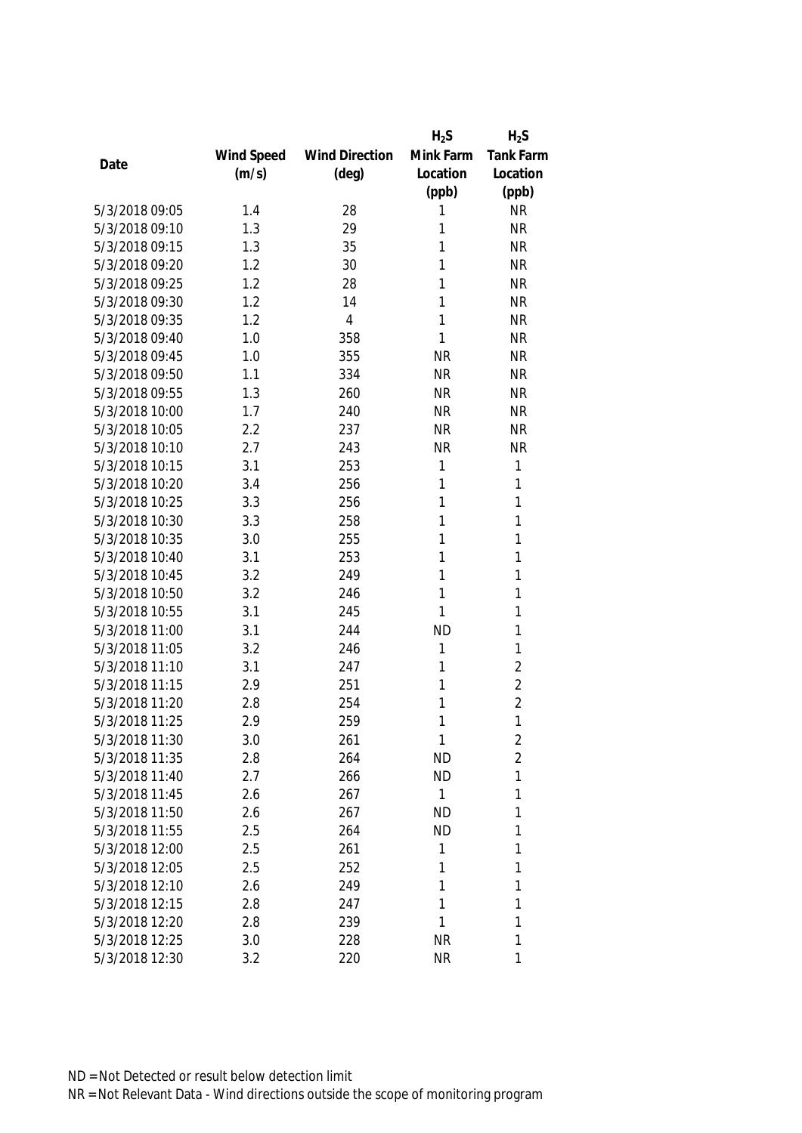|                |            |                       | $H_2S$       | $H_2S$           |
|----------------|------------|-----------------------|--------------|------------------|
|                | Wind Speed | <b>Wind Direction</b> | Mink Farm    | <b>Tank Farm</b> |
| Date           | (m/s)      | $(\text{deg})$        | Location     | Location         |
|                |            |                       | (ppb)        | (ppb)            |
| 5/3/2018 09:05 | 1.4        | 28                    | 1            | <b>NR</b>        |
| 5/3/2018 09:10 | 1.3        | 29                    | 1            | <b>NR</b>        |
| 5/3/2018 09:15 | 1.3        | 35                    | 1            | <b>NR</b>        |
| 5/3/2018 09:20 | 1.2        | 30                    | 1            | <b>NR</b>        |
| 5/3/2018 09:25 | 1.2        | 28                    | 1            | <b>NR</b>        |
| 5/3/2018 09:30 | 1.2        | 14                    | 1            | <b>NR</b>        |
| 5/3/2018 09:35 | 1.2        | $\overline{4}$        | 1            | <b>NR</b>        |
| 5/3/2018 09:40 | 1.0        | 358                   | 1            | <b>NR</b>        |
| 5/3/2018 09:45 | 1.0        | 355                   | <b>NR</b>    | <b>NR</b>        |
| 5/3/2018 09:50 | 1.1        | 334                   | <b>NR</b>    | <b>NR</b>        |
| 5/3/2018 09:55 | 1.3        | 260                   | <b>NR</b>    | <b>NR</b>        |
| 5/3/2018 10:00 | 1.7        | 240                   | <b>NR</b>    | <b>NR</b>        |
| 5/3/2018 10:05 | 2.2        | 237                   | <b>NR</b>    | <b>NR</b>        |
| 5/3/2018 10:10 | 2.7        | 243                   | <b>NR</b>    | <b>NR</b>        |
| 5/3/2018 10:15 | 3.1        | 253                   | 1            | 1                |
| 5/3/2018 10:20 | 3.4        | 256                   | 1            | $\mathbf{1}$     |
| 5/3/2018 10:25 | 3.3        | 256                   | 1            | 1                |
| 5/3/2018 10:30 | 3.3        | 258                   | 1            | 1                |
| 5/3/2018 10:35 | 3.0        | 255                   | 1            | 1                |
| 5/3/2018 10:40 | 3.1        | 253                   | 1            | 1                |
| 5/3/2018 10:45 | 3.2        | 249                   | 1            | 1                |
| 5/3/2018 10:50 | 3.2        | 246                   | 1            | 1                |
| 5/3/2018 10:55 | 3.1        | 245                   | 1            | 1                |
| 5/3/2018 11:00 | 3.1        | 244                   | <b>ND</b>    | 1                |
| 5/3/2018 11:05 | 3.2        | 246                   | 1            | 1                |
| 5/3/2018 11:10 | 3.1        | 247                   | 1            | $\sqrt{2}$       |
| 5/3/2018 11:15 | 2.9        | 251                   | 1            | $\overline{2}$   |
| 5/3/2018 11:20 | 2.8        | 254                   | 1            | $\overline{2}$   |
| 5/3/2018 11:25 | 2.9        | 259                   | 1            | 1                |
| 5/3/2018 11:30 | 3.0        | 261                   | 1            | 2                |
| 5/3/2018 11:35 | 2.8        | 264                   | <b>ND</b>    | $\overline{2}$   |
| 5/3/2018 11:40 | 2.7        | 266                   | <b>ND</b>    | 1                |
| 5/3/2018 11:45 | 2.6        | 267                   | $\mathbf{1}$ | 1                |
| 5/3/2018 11:50 | 2.6        | 267                   | <b>ND</b>    | 1                |
| 5/3/2018 11:55 | 2.5        | 264                   | <b>ND</b>    | 1                |
| 5/3/2018 12:00 | 2.5        | 261                   | 1            | 1                |
| 5/3/2018 12:05 | 2.5        | 252                   | 1            | 1                |
| 5/3/2018 12:10 | 2.6        | 249                   | 1            | 1                |
| 5/3/2018 12:15 | 2.8        | 247                   | 1            | 1                |
| 5/3/2018 12:20 | 2.8        | 239                   | 1            | 1                |
| 5/3/2018 12:25 | 3.0        | 228                   | <b>NR</b>    | 1                |
| 5/3/2018 12:30 | 3.2        | 220                   | <b>NR</b>    | 1                |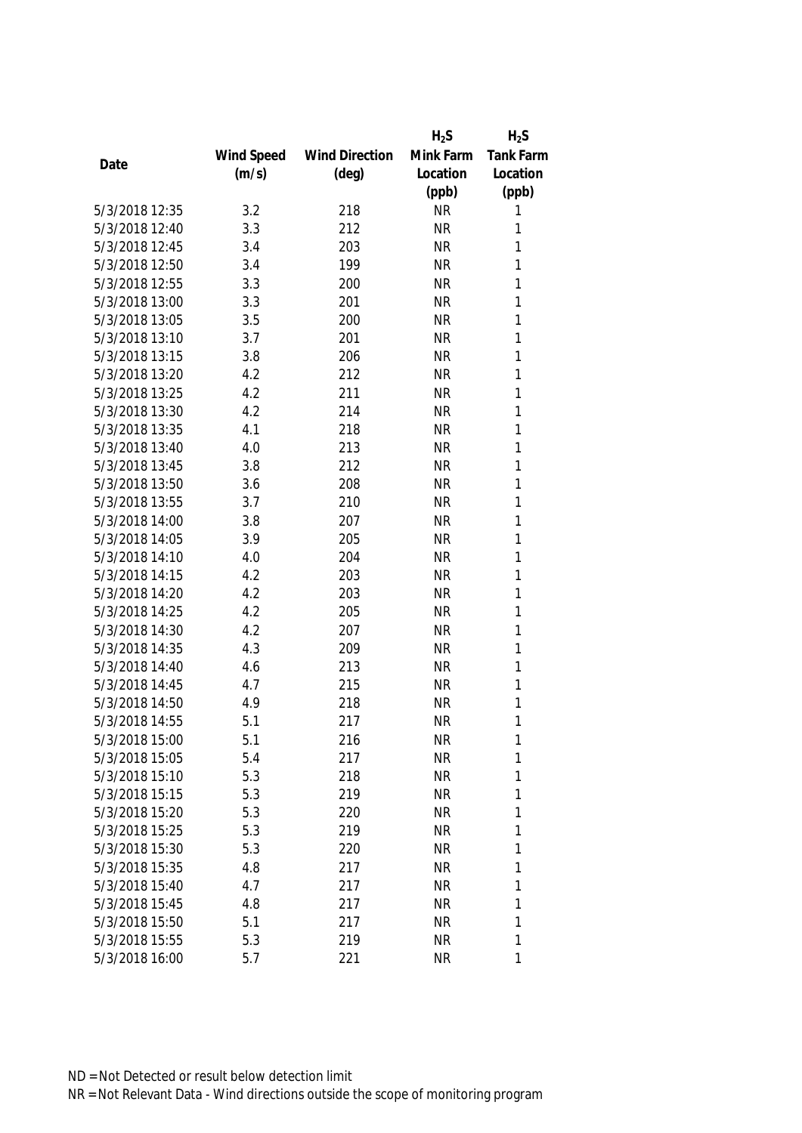|                |            |                       | $H_2S$    | $H_2S$           |
|----------------|------------|-----------------------|-----------|------------------|
|                | Wind Speed | <b>Wind Direction</b> | Mink Farm | <b>Tank Farm</b> |
| Date           | (m/s)      | $(\text{deg})$        | Location  | Location         |
|                |            |                       | (ppb)     | (ppb)            |
| 5/3/2018 12:35 | 3.2        | 218                   | <b>NR</b> | 1                |
| 5/3/2018 12:40 | 3.3        | 212                   | <b>NR</b> | 1                |
| 5/3/2018 12:45 | 3.4        | 203                   | <b>NR</b> | 1                |
| 5/3/2018 12:50 | 3.4        | 199                   | <b>NR</b> | 1                |
| 5/3/2018 12:55 | 3.3        | 200                   | <b>NR</b> | 1                |
| 5/3/2018 13:00 | 3.3        | 201                   | <b>NR</b> | 1                |
| 5/3/2018 13:05 | 3.5        | 200                   | <b>NR</b> | 1                |
| 5/3/2018 13:10 | 3.7        | 201                   | <b>NR</b> | 1                |
| 5/3/2018 13:15 | 3.8        | 206                   | <b>NR</b> | 1                |
| 5/3/2018 13:20 | 4.2        | 212                   | <b>NR</b> | 1                |
| 5/3/2018 13:25 | 4.2        | 211                   | <b>NR</b> | 1                |
| 5/3/2018 13:30 | 4.2        | 214                   | <b>NR</b> | 1                |
| 5/3/2018 13:35 | 4.1        | 218                   | <b>NR</b> | 1                |
| 5/3/2018 13:40 | 4.0        | 213                   | <b>NR</b> | 1                |
| 5/3/2018 13:45 | 3.8        | 212                   | <b>NR</b> | 1                |
| 5/3/2018 13:50 | 3.6        | 208                   | <b>NR</b> | $\mathbf{1}$     |
| 5/3/2018 13:55 | 3.7        | 210                   | <b>NR</b> | 1                |
| 5/3/2018 14:00 | 3.8        | 207                   | <b>NR</b> | 1                |
| 5/3/2018 14:05 | 3.9        | 205                   | <b>NR</b> | 1                |
| 5/3/2018 14:10 | 4.0        | 204                   | <b>NR</b> | 1                |
| 5/3/2018 14:15 | 4.2        | 203                   | <b>NR</b> | 1                |
| 5/3/2018 14:20 | 4.2        | 203                   | <b>NR</b> | $\mathbf{1}$     |
| 5/3/2018 14:25 | 4.2        | 205                   | <b>NR</b> | 1                |
| 5/3/2018 14:30 | 4.2        | 207                   | <b>NR</b> | 1                |
| 5/3/2018 14:35 | 4.3        | 209                   | <b>NR</b> | 1                |
| 5/3/2018 14:40 | 4.6        | 213                   | <b>NR</b> | 1                |
| 5/3/2018 14:45 | 4.7        | 215                   | <b>NR</b> | 1                |
| 5/3/2018 14:50 | 4.9        | 218                   | <b>NR</b> | 1                |
| 5/3/2018 14:55 | 5.1        | 217                   | <b>NR</b> | 1                |
| 5/3/2018 15:00 | 5.1        | 216                   | <b>NR</b> | 1                |
| 5/3/2018 15:05 | 5.4        | 217                   | <b>NR</b> | 1                |
| 5/3/2018 15:10 | 5.3        | 218                   | <b>NR</b> | 1                |
| 5/3/2018 15:15 | 5.3        | 219                   | <b>NR</b> | 1                |
| 5/3/2018 15:20 | 5.3        | 220                   | <b>NR</b> | 1                |
| 5/3/2018 15:25 | 5.3        | 219                   | <b>NR</b> | 1                |
| 5/3/2018 15:30 | 5.3        | 220                   | <b>NR</b> | 1                |
| 5/3/2018 15:35 | 4.8        | 217                   | <b>NR</b> | 1                |
| 5/3/2018 15:40 | 4.7        | 217                   | <b>NR</b> | 1                |
| 5/3/2018 15:45 | 4.8        | 217                   | <b>NR</b> | 1                |
| 5/3/2018 15:50 | 5.1        | 217                   | <b>NR</b> | 1                |
| 5/3/2018 15:55 | 5.3        | 219                   | <b>NR</b> | 1                |
| 5/3/2018 16:00 | 5.7        | 221                   | <b>NR</b> | 1                |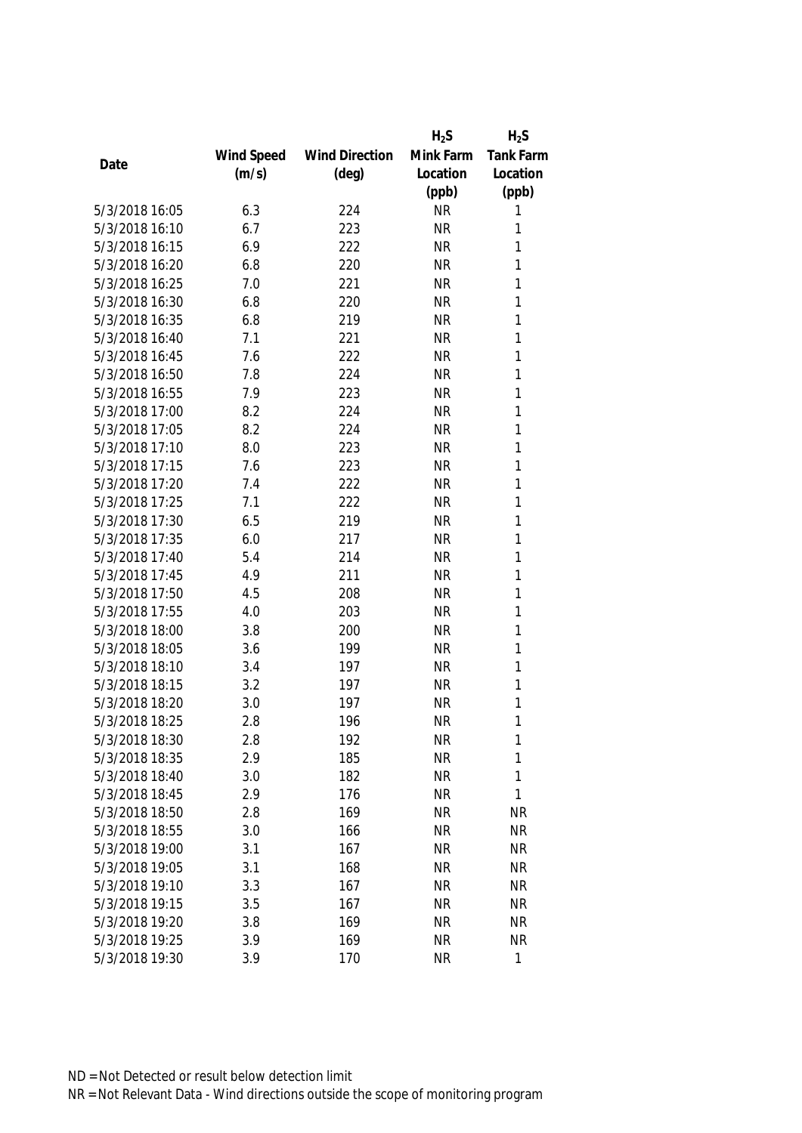|                |            |                       | $H_2S$    | $H_2S$           |
|----------------|------------|-----------------------|-----------|------------------|
|                | Wind Speed | <b>Wind Direction</b> | Mink Farm | <b>Tank Farm</b> |
| Date           | (m/s)      | $(\text{deg})$        | Location  | Location         |
|                |            |                       | (ppb)     | (ppb)            |
| 5/3/2018 16:05 | 6.3        | 224                   | <b>NR</b> | 1                |
| 5/3/2018 16:10 | 6.7        | 223                   | <b>NR</b> | 1                |
| 5/3/2018 16:15 | 6.9        | 222                   | <b>NR</b> | 1                |
| 5/3/2018 16:20 | 6.8        | 220                   | <b>NR</b> | 1                |
| 5/3/2018 16:25 | 7.0        | 221                   | <b>NR</b> | 1                |
| 5/3/2018 16:30 | 6.8        | 220                   | <b>NR</b> | 1                |
| 5/3/2018 16:35 | 6.8        | 219                   | <b>NR</b> | 1                |
| 5/3/2018 16:40 | 7.1        | 221                   | <b>NR</b> | 1                |
| 5/3/2018 16:45 | 7.6        | 222                   | <b>NR</b> | 1                |
| 5/3/2018 16:50 | 7.8        | 224                   | <b>NR</b> | 1                |
| 5/3/2018 16:55 | 7.9        | 223                   | <b>NR</b> | 1                |
| 5/3/2018 17:00 | 8.2        | 224                   | <b>NR</b> | 1                |
| 5/3/2018 17:05 | 8.2        | 224                   | <b>NR</b> | 1                |
| 5/3/2018 17:10 | 8.0        | 223                   | <b>NR</b> | 1                |
| 5/3/2018 17:15 | 7.6        | 223                   | <b>NR</b> | 1                |
| 5/3/2018 17:20 | 7.4        | 222                   | <b>NR</b> | $\mathbf{1}$     |
| 5/3/2018 17:25 | 7.1        | 222                   | <b>NR</b> | 1                |
| 5/3/2018 17:30 | 6.5        | 219                   | <b>NR</b> | 1                |
| 5/3/2018 17:35 | 6.0        | 217                   | <b>NR</b> | 1                |
| 5/3/2018 17:40 | 5.4        | 214                   | <b>NR</b> | 1                |
| 5/3/2018 17:45 | 4.9        | 211                   | <b>NR</b> | 1                |
| 5/3/2018 17:50 | 4.5        | 208                   | <b>NR</b> | 1                |
| 5/3/2018 17:55 | 4.0        | 203                   | <b>NR</b> | 1                |
| 5/3/2018 18:00 | 3.8        | 200                   | <b>NR</b> | 1                |
| 5/3/2018 18:05 | 3.6        | 199                   | <b>NR</b> | 1                |
| 5/3/2018 18:10 | 3.4        | 197                   | <b>NR</b> | 1                |
| 5/3/2018 18:15 | 3.2        | 197                   | <b>NR</b> | 1                |
| 5/3/2018 18:20 | 3.0        | 197                   | <b>NR</b> | 1                |
| 5/3/2018 18:25 | 2.8        | 196                   | <b>NR</b> | 1                |
| 5/3/2018 18:30 | 2.8        | 192                   | <b>NR</b> | 1                |
| 5/3/2018 18:35 | 2.9        | 185                   | <b>NR</b> | 1                |
| 5/3/2018 18:40 | 3.0        | 182                   | <b>NR</b> | 1                |
| 5/3/2018 18:45 | 2.9        | 176                   | <b>NR</b> | 1                |
| 5/3/2018 18:50 | 2.8        | 169                   | <b>NR</b> | <b>NR</b>        |
| 5/3/2018 18:55 | 3.0        | 166                   | <b>NR</b> | <b>NR</b>        |
| 5/3/2018 19:00 | 3.1        | 167                   | <b>NR</b> | <b>NR</b>        |
| 5/3/2018 19:05 | 3.1        | 168                   | <b>NR</b> | <b>NR</b>        |
| 5/3/2018 19:10 | 3.3        | 167                   | <b>NR</b> | <b>NR</b>        |
| 5/3/2018 19:15 | 3.5        | 167                   | <b>NR</b> | <b>NR</b>        |
| 5/3/2018 19:20 | 3.8        | 169                   | <b>NR</b> | <b>NR</b>        |
| 5/3/2018 19:25 | 3.9        | 169                   | <b>NR</b> | <b>NR</b>        |
| 5/3/2018 19:30 | 3.9        | 170                   | <b>NR</b> | $\mathbf{1}$     |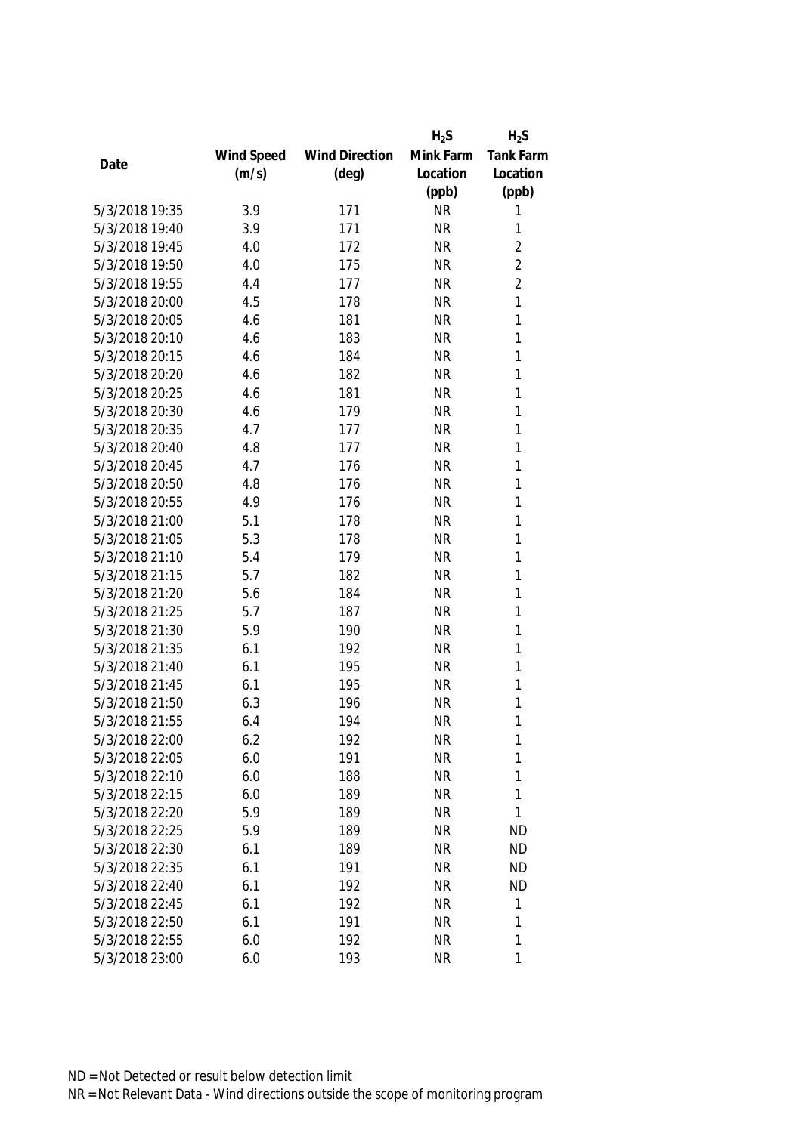|                |            |                       | $H_2S$    | $H_2S$           |
|----------------|------------|-----------------------|-----------|------------------|
|                | Wind Speed | <b>Wind Direction</b> | Mink Farm | <b>Tank Farm</b> |
| Date           | (m/s)      | $(\text{deg})$        | Location  | Location         |
|                |            |                       | (ppb)     | (ppb)            |
| 5/3/2018 19:35 | 3.9        | 171                   | <b>NR</b> | 1                |
| 5/3/2018 19:40 | 3.9        | 171                   | <b>NR</b> | 1                |
| 5/3/2018 19:45 | 4.0        | 172                   | <b>NR</b> | $\overline{2}$   |
| 5/3/2018 19:50 | 4.0        | 175                   | <b>NR</b> | $\overline{2}$   |
| 5/3/2018 19:55 | 4.4        | 177                   | <b>NR</b> | $\overline{2}$   |
| 5/3/2018 20:00 | 4.5        | 178                   | <b>NR</b> | 1                |
| 5/3/2018 20:05 | 4.6        | 181                   | <b>NR</b> | 1                |
| 5/3/2018 20:10 | 4.6        | 183                   | <b>NR</b> | 1                |
| 5/3/2018 20:15 | 4.6        | 184                   | <b>NR</b> | $\mathbf{1}$     |
| 5/3/2018 20:20 | 4.6        | 182                   | <b>NR</b> | 1                |
| 5/3/2018 20:25 | 4.6        | 181                   | <b>NR</b> | 1                |
| 5/3/2018 20:30 | 4.6        | 179                   | <b>NR</b> | 1                |
| 5/3/2018 20:35 | 4.7        | 177                   | <b>NR</b> | 1                |
| 5/3/2018 20:40 | 4.8        | 177                   | <b>NR</b> | 1                |
| 5/3/2018 20:45 | 4.7        | 176                   | <b>NR</b> | 1                |
| 5/3/2018 20:50 | 4.8        | 176                   | <b>NR</b> | $\mathbf{1}$     |
| 5/3/2018 20:55 | 4.9        | 176                   | <b>NR</b> | 1                |
| 5/3/2018 21:00 | 5.1        | 178                   | <b>NR</b> | 1                |
| 5/3/2018 21:05 | 5.3        | 178                   | <b>NR</b> | 1                |
| 5/3/2018 21:10 | 5.4        | 179                   | <b>NR</b> | 1                |
| 5/3/2018 21:15 | 5.7        | 182                   | <b>NR</b> | 1                |
| 5/3/2018 21:20 | 5.6        | 184                   | <b>NR</b> | 1                |
| 5/3/2018 21:25 | 5.7        | 187                   | <b>NR</b> | 1                |
| 5/3/2018 21:30 | 5.9        | 190                   | <b>NR</b> | 1                |
| 5/3/2018 21:35 | 6.1        | 192                   | <b>NR</b> | 1                |
| 5/3/2018 21:40 | 6.1        | 195                   | <b>NR</b> | 1                |
| 5/3/2018 21:45 | 6.1        | 195                   | <b>NR</b> | 1                |
| 5/3/2018 21:50 | 6.3        | 196                   | <b>NR</b> | 1                |
| 5/3/2018 21:55 | 6.4        | 194                   | <b>NR</b> | 1                |
| 5/3/2018 22:00 | 6.2        | 192                   | <b>NR</b> | 1                |
| 5/3/2018 22:05 | 6.0        | 191                   | <b>NR</b> | 1                |
| 5/3/2018 22:10 | 6.0        | 188                   | <b>NR</b> | 1                |
| 5/3/2018 22:15 | 6.0        | 189                   | <b>NR</b> | 1                |
| 5/3/2018 22:20 | 5.9        | 189                   | <b>NR</b> | 1                |
| 5/3/2018 22:25 | 5.9        | 189                   | <b>NR</b> | <b>ND</b>        |
| 5/3/2018 22:30 | 6.1        | 189                   | <b>NR</b> | <b>ND</b>        |
| 5/3/2018 22:35 | 6.1        | 191                   | <b>NR</b> | <b>ND</b>        |
| 5/3/2018 22:40 | 6.1        | 192                   | <b>NR</b> | <b>ND</b>        |
| 5/3/2018 22:45 | 6.1        | 192                   | <b>NR</b> | 1                |
| 5/3/2018 22:50 | 6.1        | 191                   | <b>NR</b> | 1                |
| 5/3/2018 22:55 | 6.0        | 192                   | <b>NR</b> | 1                |
| 5/3/2018 23:00 | 6.0        | 193                   | <b>NR</b> | 1                |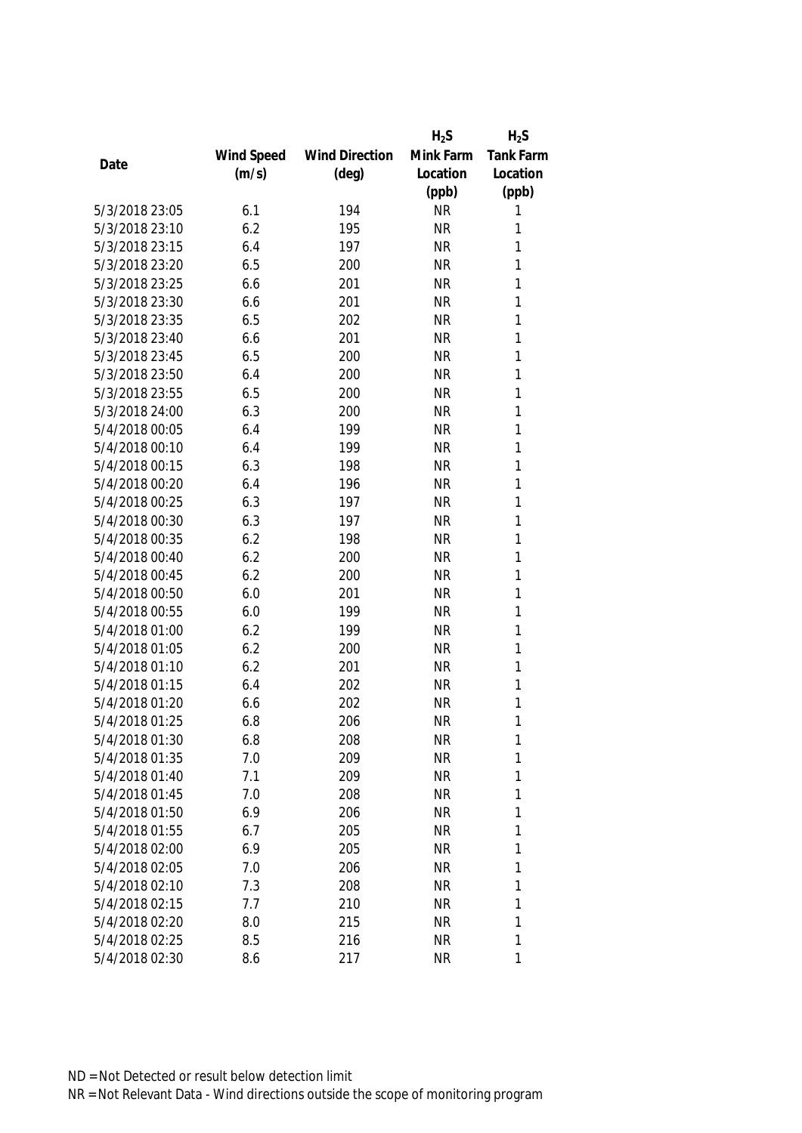|                |            |                       | $H_2S$    | $H_2S$           |
|----------------|------------|-----------------------|-----------|------------------|
|                | Wind Speed | <b>Wind Direction</b> | Mink Farm | <b>Tank Farm</b> |
| Date           | (m/s)      | $(\text{deg})$        | Location  | Location         |
|                |            |                       | (ppb)     | (ppb)            |
| 5/3/2018 23:05 | 6.1        | 194                   | <b>NR</b> | 1                |
| 5/3/2018 23:10 | 6.2        | 195                   | <b>NR</b> | 1                |
| 5/3/2018 23:15 | 6.4        | 197                   | <b>NR</b> | 1                |
| 5/3/2018 23:20 | 6.5        | 200                   | <b>NR</b> | 1                |
| 5/3/2018 23:25 | 6.6        | 201                   | <b>NR</b> | 1                |
| 5/3/2018 23:30 | 6.6        | 201                   | <b>NR</b> | 1                |
| 5/3/2018 23:35 | 6.5        | 202                   | <b>NR</b> | 1                |
| 5/3/2018 23:40 | 6.6        | 201                   | <b>NR</b> | 1                |
| 5/3/2018 23:45 | 6.5        | 200                   | <b>NR</b> | 1                |
| 5/3/2018 23:50 | 6.4        | 200                   | <b>NR</b> | 1                |
| 5/3/2018 23:55 | 6.5        | 200                   | <b>NR</b> | 1                |
| 5/3/2018 24:00 | 6.3        | 200                   | <b>NR</b> | 1                |
| 5/4/2018 00:05 | 6.4        | 199                   | <b>NR</b> | 1                |
| 5/4/2018 00:10 | 6.4        | 199                   | <b>NR</b> | 1                |
| 5/4/2018 00:15 | 6.3        | 198                   | <b>NR</b> | 1                |
| 5/4/2018 00:20 | 6.4        | 196                   | <b>NR</b> | $\mathbf{1}$     |
| 5/4/2018 00:25 | 6.3        | 197                   | <b>NR</b> | 1                |
| 5/4/2018 00:30 | 6.3        | 197                   | <b>NR</b> | 1                |
| 5/4/2018 00:35 | 6.2        | 198                   | <b>NR</b> | 1                |
| 5/4/2018 00:40 | 6.2        | 200                   | <b>NR</b> | 1                |
| 5/4/2018 00:45 | 6.2        | 200                   | <b>NR</b> | 1                |
| 5/4/2018 00:50 | 6.0        | 201                   | <b>NR</b> | 1                |
| 5/4/2018 00:55 | 6.0        | 199                   | <b>NR</b> | 1                |
| 5/4/2018 01:00 | 6.2        | 199                   | <b>NR</b> | 1                |
| 5/4/2018 01:05 | 6.2        | 200                   | <b>NR</b> | 1                |
| 5/4/2018 01:10 | 6.2        | 201                   | <b>NR</b> | 1                |
| 5/4/2018 01:15 | 6.4        | 202                   | <b>NR</b> | 1                |
| 5/4/2018 01:20 | 6.6        | 202                   | <b>NR</b> | 1                |
| 5/4/2018 01:25 | 6.8        | 206                   | <b>NR</b> | 1                |
| 5/4/2018 01:30 | 6.8        | 208                   | <b>NR</b> | 1                |
| 5/4/2018 01:35 | 7.0        | 209                   | <b>NR</b> | 1                |
| 5/4/2018 01:40 | 7.1        | 209                   | <b>NR</b> | 1                |
| 5/4/2018 01:45 | 7.0        | 208                   | <b>NR</b> | 1                |
| 5/4/2018 01:50 | 6.9        | 206                   | NR        | 1                |
| 5/4/2018 01:55 | 6.7        | 205                   | <b>NR</b> | 1                |
| 5/4/2018 02:00 | 6.9        | 205                   | <b>NR</b> | 1                |
| 5/4/2018 02:05 | 7.0        | 206                   | <b>NR</b> | 1                |
| 5/4/2018 02:10 | 7.3        | 208                   | <b>NR</b> | 1                |
| 5/4/2018 02:15 | 7.7        | 210                   | <b>NR</b> | 1                |
| 5/4/2018 02:20 | 8.0        | 215                   | <b>NR</b> | 1                |
| 5/4/2018 02:25 | 8.5        | 216                   | <b>NR</b> | 1                |
| 5/4/2018 02:30 | 8.6        | 217                   | <b>NR</b> | 1                |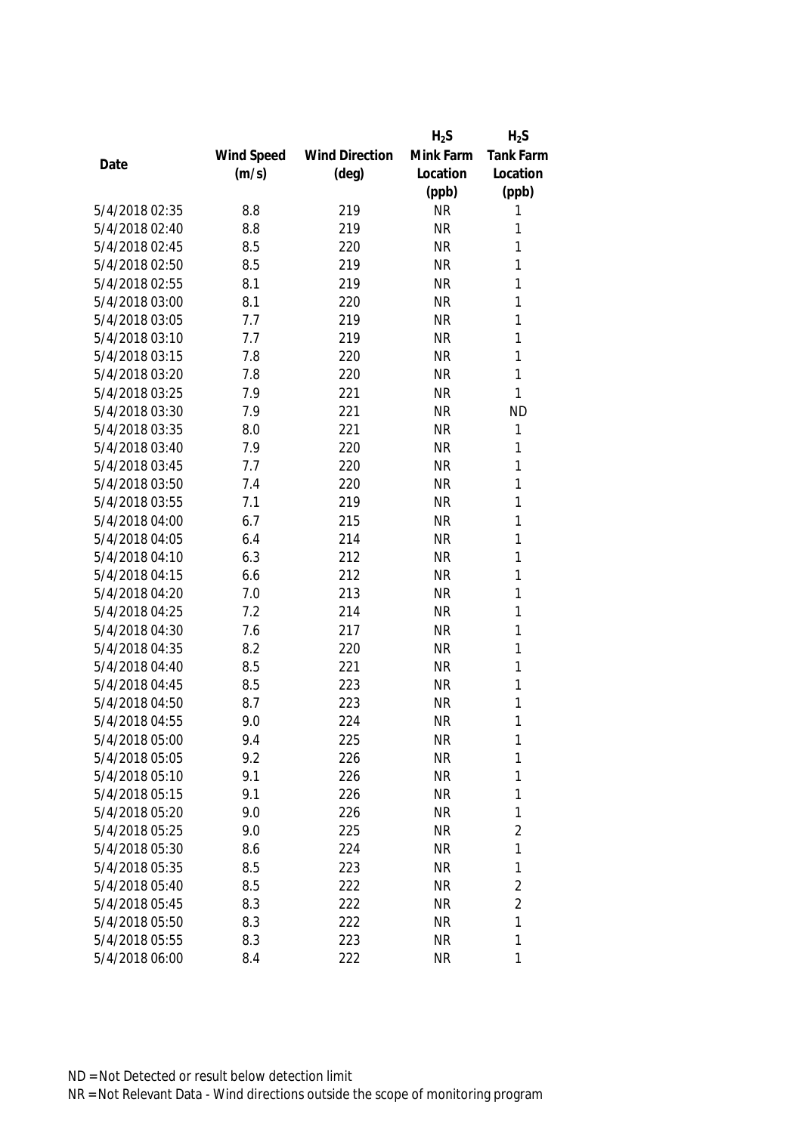|                |            |                       | $H_2S$    | $H_2S$           |
|----------------|------------|-----------------------|-----------|------------------|
|                | Wind Speed | <b>Wind Direction</b> | Mink Farm | <b>Tank Farm</b> |
| Date           | (m/s)      | (deg)                 | Location  | Location         |
|                |            |                       | (ppb)     | (ppb)            |
| 5/4/2018 02:35 | 8.8        | 219                   | <b>NR</b> | 1                |
| 5/4/2018 02:40 | 8.8        | 219                   | <b>NR</b> | 1                |
| 5/4/2018 02:45 | 8.5        | 220                   | <b>NR</b> | 1                |
| 5/4/2018 02:50 | 8.5        | 219                   | <b>NR</b> | 1                |
| 5/4/2018 02:55 | 8.1        | 219                   | <b>NR</b> | 1                |
| 5/4/2018 03:00 | 8.1        | 220                   | <b>NR</b> | 1                |
| 5/4/2018 03:05 | 7.7        | 219                   | <b>NR</b> | 1                |
| 5/4/2018 03:10 | 7.7        | 219                   | <b>NR</b> | 1                |
| 5/4/2018 03:15 | 7.8        | 220                   | <b>NR</b> | $\mathbf{1}$     |
| 5/4/2018 03:20 | 7.8        | 220                   | <b>NR</b> | 1                |
| 5/4/2018 03:25 | 7.9        | 221                   | <b>NR</b> | 1                |
| 5/4/2018 03:30 | 7.9        | 221                   | <b>NR</b> | <b>ND</b>        |
| 5/4/2018 03:35 | 8.0        | 221                   | <b>NR</b> | 1                |
| 5/4/2018 03:40 | 7.9        | 220                   | <b>NR</b> | 1                |
| 5/4/2018 03:45 | 7.7        | 220                   | <b>NR</b> | 1                |
| 5/4/2018 03:50 | 7.4        | 220                   | <b>NR</b> | $\mathbf{1}$     |
| 5/4/2018 03:55 | 7.1        | 219                   | <b>NR</b> | 1                |
| 5/4/2018 04:00 | 6.7        | 215                   | <b>NR</b> | 1                |
| 5/4/2018 04:05 | 6.4        | 214                   | <b>NR</b> | 1                |
| 5/4/2018 04:10 | 6.3        | 212                   | <b>NR</b> | 1                |
| 5/4/2018 04:15 | 6.6        | 212                   | <b>NR</b> | 1                |
| 5/4/2018 04:20 | 7.0        | 213                   | <b>NR</b> | 1                |
| 5/4/2018 04:25 | 7.2        | 214                   | <b>NR</b> | 1                |
| 5/4/2018 04:30 | 7.6        | 217                   | <b>NR</b> | 1                |
| 5/4/2018 04:35 | 8.2        | 220                   | <b>NR</b> | 1                |
| 5/4/2018 04:40 | 8.5        | 221                   | <b>NR</b> | 1                |
| 5/4/2018 04:45 | 8.5        | 223                   | <b>NR</b> | 1                |
| 5/4/2018 04:50 | 8.7        | 223                   | <b>NR</b> | 1                |
| 5/4/2018 04:55 | 9.0        | 224                   | <b>NR</b> | 1                |
| 5/4/2018 05:00 | 9.4        | 225                   | <b>NR</b> | 1                |
| 5/4/2018 05:05 | 9.2        | 226                   | <b>NR</b> | 1                |
| 5/4/2018 05:10 | 9.1        | 226                   | <b>NR</b> | 1                |
| 5/4/2018 05:15 | 9.1        | 226                   | <b>NR</b> | 1                |
| 5/4/2018 05:20 | 9.0        | 226                   | <b>NR</b> | 1                |
| 5/4/2018 05:25 | 9.0        | 225                   | <b>NR</b> | $\overline{2}$   |
| 5/4/2018 05:30 | 8.6        | 224                   | <b>NR</b> | 1                |
| 5/4/2018 05:35 | 8.5        | 223                   | <b>NR</b> | 1                |
| 5/4/2018 05:40 | 8.5        | 222                   | <b>NR</b> | $\overline{2}$   |
| 5/4/2018 05:45 | 8.3        | 222                   | <b>NR</b> | $\overline{2}$   |
| 5/4/2018 05:50 | 8.3        | 222                   | <b>NR</b> | 1                |
| 5/4/2018 05:55 | 8.3        | 223                   | <b>NR</b> | 1                |
| 5/4/2018 06:00 | 8.4        | 222                   | <b>NR</b> | 1                |
|                |            |                       |           |                  |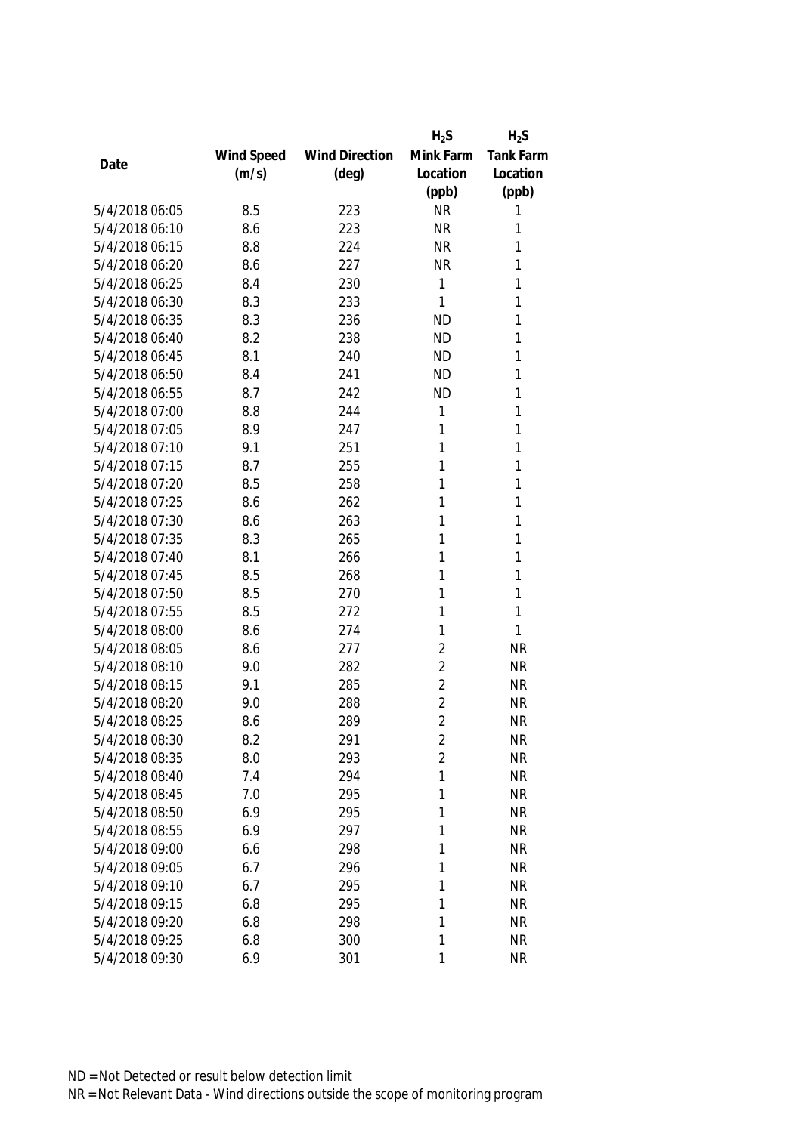|                |            |                       | $H_2S$         | $H_2S$           |
|----------------|------------|-----------------------|----------------|------------------|
|                | Wind Speed | <b>Wind Direction</b> | Mink Farm      | <b>Tank Farm</b> |
| Date           | (m/s)      | (deg)                 | Location       | Location         |
|                |            |                       | (ppb)          | (ppb)            |
| 5/4/2018 06:05 | 8.5        | 223                   | <b>NR</b>      | 1                |
| 5/4/2018 06:10 | 8.6        | 223                   | <b>NR</b>      | 1                |
| 5/4/2018 06:15 | 8.8        | 224                   | <b>NR</b>      | 1                |
| 5/4/2018 06:20 | 8.6        | 227                   | <b>NR</b>      | 1                |
| 5/4/2018 06:25 | 8.4        | 230                   | 1              | 1                |
| 5/4/2018 06:30 | 8.3        | 233                   | 1              | 1                |
| 5/4/2018 06:35 | 8.3        | 236                   | <b>ND</b>      | 1                |
| 5/4/2018 06:40 | 8.2        | 238                   | <b>ND</b>      | 1                |
| 5/4/2018 06:45 | 8.1        | 240                   | <b>ND</b>      | 1                |
| 5/4/2018 06:50 | 8.4        | 241                   | <b>ND</b>      | 1                |
| 5/4/2018 06:55 | 8.7        | 242                   | <b>ND</b>      | 1                |
| 5/4/2018 07:00 | 8.8        | 244                   | 1              | 1                |
| 5/4/2018 07:05 | 8.9        | 247                   | 1              | 1                |
| 5/4/2018 07:10 | 9.1        | 251                   | 1              | 1                |
| 5/4/2018 07:15 | 8.7        | 255                   | 1              | 1                |
| 5/4/2018 07:20 | 8.5        | 258                   | 1              | $\mathbf{1}$     |
| 5/4/2018 07:25 | 8.6        | 262                   | 1              | 1                |
| 5/4/2018 07:30 | 8.6        | 263                   | 1              | 1                |
| 5/4/2018 07:35 | 8.3        | 265                   | 1              | 1                |
| 5/4/2018 07:40 | 8.1        | 266                   | 1              | 1                |
| 5/4/2018 07:45 | 8.5        | 268                   | 1              | 1                |
| 5/4/2018 07:50 | 8.5        | 270                   | 1              | 1                |
| 5/4/2018 07:55 | 8.5        | 272                   | 1              | 1                |
| 5/4/2018 08:00 | 8.6        | 274                   | 1              | 1                |
| 5/4/2018 08:05 | 8.6        | 277                   | $\overline{2}$ | <b>NR</b>        |
| 5/4/2018 08:10 | 9.0        | 282                   | $\overline{2}$ | <b>NR</b>        |
| 5/4/2018 08:15 | 9.1        | 285                   | $\overline{2}$ | <b>NR</b>        |
| 5/4/2018 08:20 | 9.0        | 288                   | $\overline{2}$ | <b>NR</b>        |
| 5/4/2018 08:25 | 8.6        | 289                   | $\overline{2}$ | <b>NR</b>        |
| 5/4/2018 08:30 | 8.2        | 291                   | 2              | <b>NR</b>        |
| 5/4/2018 08:35 | 8.0        | 293                   | $\overline{2}$ | <b>NR</b>        |
| 5/4/2018 08:40 | 7.4        | 294                   | 1              | <b>NR</b>        |
| 5/4/2018 08:45 | 7.0        | 295                   | 1              | <b>NR</b>        |
| 5/4/2018 08:50 | 6.9        | 295                   | 1              | <b>NR</b>        |
| 5/4/2018 08:55 | 6.9        | 297                   | 1              | <b>NR</b>        |
| 5/4/2018 09:00 | 6.6        | 298                   | 1              | <b>NR</b>        |
| 5/4/2018 09:05 | 6.7        | 296                   | 1              | <b>NR</b>        |
| 5/4/2018 09:10 | 6.7        | 295                   | 1              | <b>NR</b>        |
| 5/4/2018 09:15 | 6.8        | 295                   | 1              | <b>NR</b>        |
| 5/4/2018 09:20 | 6.8        | 298                   | 1              | <b>NR</b>        |
| 5/4/2018 09:25 | 6.8        | 300                   | 1              | <b>NR</b>        |
| 5/4/2018 09:30 | 6.9        | 301                   | 1              | <b>NR</b>        |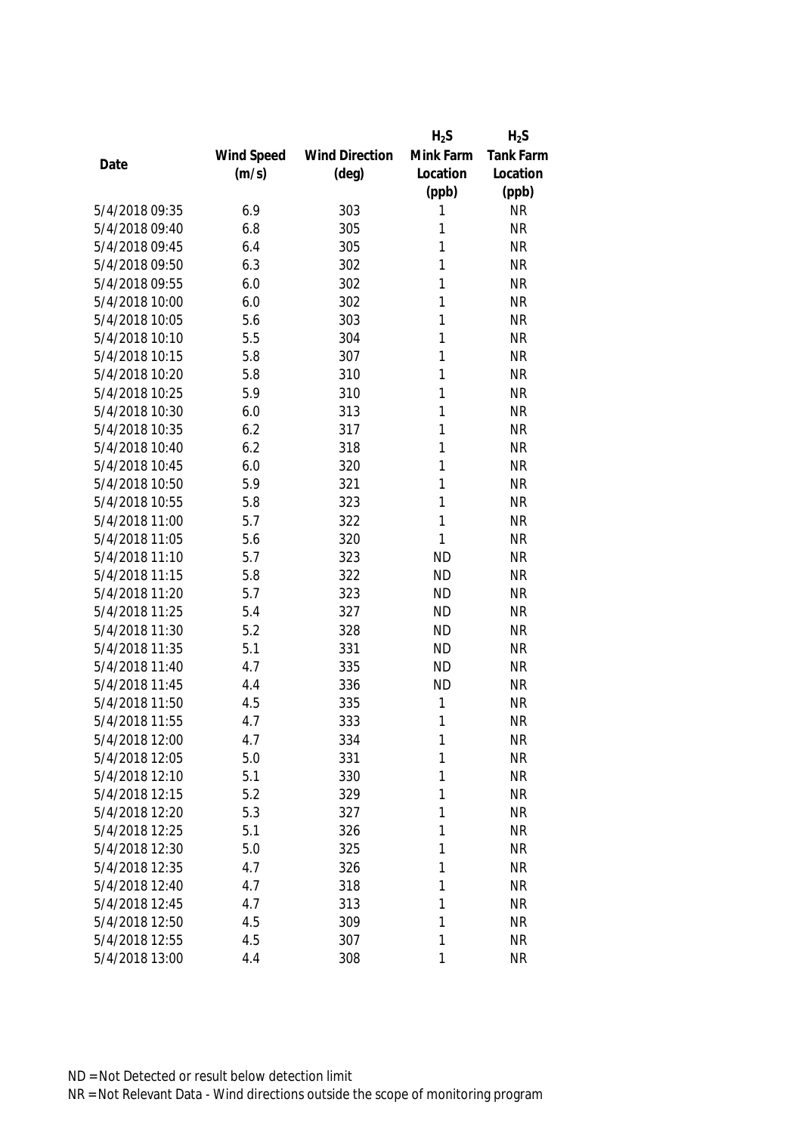|                |            |                       | $H_2S$    | $H_2S$           |
|----------------|------------|-----------------------|-----------|------------------|
|                | Wind Speed | <b>Wind Direction</b> | Mink Farm | <b>Tank Farm</b> |
| Date           | (m/s)      | $(\text{deg})$        | Location  | Location         |
|                |            |                       | (ppb)     | (ppb)            |
| 5/4/2018 09:35 | 6.9        | 303                   | 1         | <b>NR</b>        |
| 5/4/2018 09:40 | 6.8        | 305                   | 1         | <b>NR</b>        |
| 5/4/2018 09:45 | 6.4        | 305                   | 1         | <b>NR</b>        |
| 5/4/2018 09:50 | 6.3        | 302                   | 1         | <b>NR</b>        |
| 5/4/2018 09:55 | 6.0        | 302                   | 1         | <b>NR</b>        |
| 5/4/2018 10:00 | 6.0        | 302                   | 1         | <b>NR</b>        |
| 5/4/2018 10:05 | 5.6        | 303                   | 1         | <b>NR</b>        |
| 5/4/2018 10:10 | 5.5        | 304                   | 1         | <b>NR</b>        |
| 5/4/2018 10:15 | 5.8        | 307                   | 1         | <b>NR</b>        |
| 5/4/2018 10:20 | 5.8        | 310                   | 1         | <b>NR</b>        |
| 5/4/2018 10:25 | 5.9        | 310                   | 1         | <b>NR</b>        |
| 5/4/2018 10:30 | 6.0        | 313                   | 1         | <b>NR</b>        |
| 5/4/2018 10:35 | 6.2        | 317                   | 1         | <b>NR</b>        |
| 5/4/2018 10:40 | 6.2        | 318                   | 1         | <b>NR</b>        |
| 5/4/2018 10:45 | 6.0        | 320                   | 1         | <b>NR</b>        |
| 5/4/2018 10:50 | 5.9        | 321                   | 1         | <b>NR</b>        |
| 5/4/2018 10:55 | 5.8        | 323                   | 1         | <b>NR</b>        |
| 5/4/2018 11:00 | 5.7        | 322                   | 1         | <b>NR</b>        |
| 5/4/2018 11:05 | 5.6        | 320                   | 1         | <b>NR</b>        |
| 5/4/2018 11:10 | 5.7        | 323                   | <b>ND</b> | <b>NR</b>        |
| 5/4/2018 11:15 | 5.8        | 322                   | <b>ND</b> | <b>NR</b>        |
| 5/4/2018 11:20 | 5.7        | 323                   | <b>ND</b> | <b>NR</b>        |
| 5/4/2018 11:25 | 5.4        | 327                   | <b>ND</b> | <b>NR</b>        |
| 5/4/2018 11:30 | 5.2        | 328                   | <b>ND</b> | <b>NR</b>        |
| 5/4/2018 11:35 | 5.1        | 331                   | <b>ND</b> | <b>NR</b>        |
| 5/4/2018 11:40 | 4.7        | 335                   | <b>ND</b> | <b>NR</b>        |
| 5/4/2018 11:45 | 4.4        | 336                   | <b>ND</b> | <b>NR</b>        |
| 5/4/2018 11:50 | 4.5        | 335                   | 1         | <b>NR</b>        |
| 5/4/2018 11:55 | 4.7        | 333                   | 1         | <b>NR</b>        |
| 5/4/2018 12:00 | 4.7        | 334                   | 1         | <b>NR</b>        |
| 5/4/2018 12:05 | 5.0        | 331                   | 1         | <b>NR</b>        |
| 5/4/2018 12:10 | 5.1        | 330                   | 1         | <b>NR</b>        |
| 5/4/2018 12:15 | 5.2        | 329                   | 1         | <b>NR</b>        |
| 5/4/2018 12:20 | 5.3        | 327                   | 1         | <b>NR</b>        |
| 5/4/2018 12:25 | 5.1        | 326                   | 1         | <b>NR</b>        |
| 5/4/2018 12:30 | 5.0        | 325                   | 1         | <b>NR</b>        |
| 5/4/2018 12:35 | 4.7        | 326                   | 1         | <b>NR</b>        |
| 5/4/2018 12:40 | 4.7        | 318                   | 1         | <b>NR</b>        |
| 5/4/2018 12:45 | 4.7        | 313                   | 1         | <b>NR</b>        |
| 5/4/2018 12:50 | 4.5        | 309                   | 1         | <b>NR</b>        |
| 5/4/2018 12:55 | 4.5        | 307                   | 1         | <b>NR</b>        |
| 5/4/2018 13:00 | 4.4        | 308                   | 1         | <b>NR</b>        |
|                |            |                       |           |                  |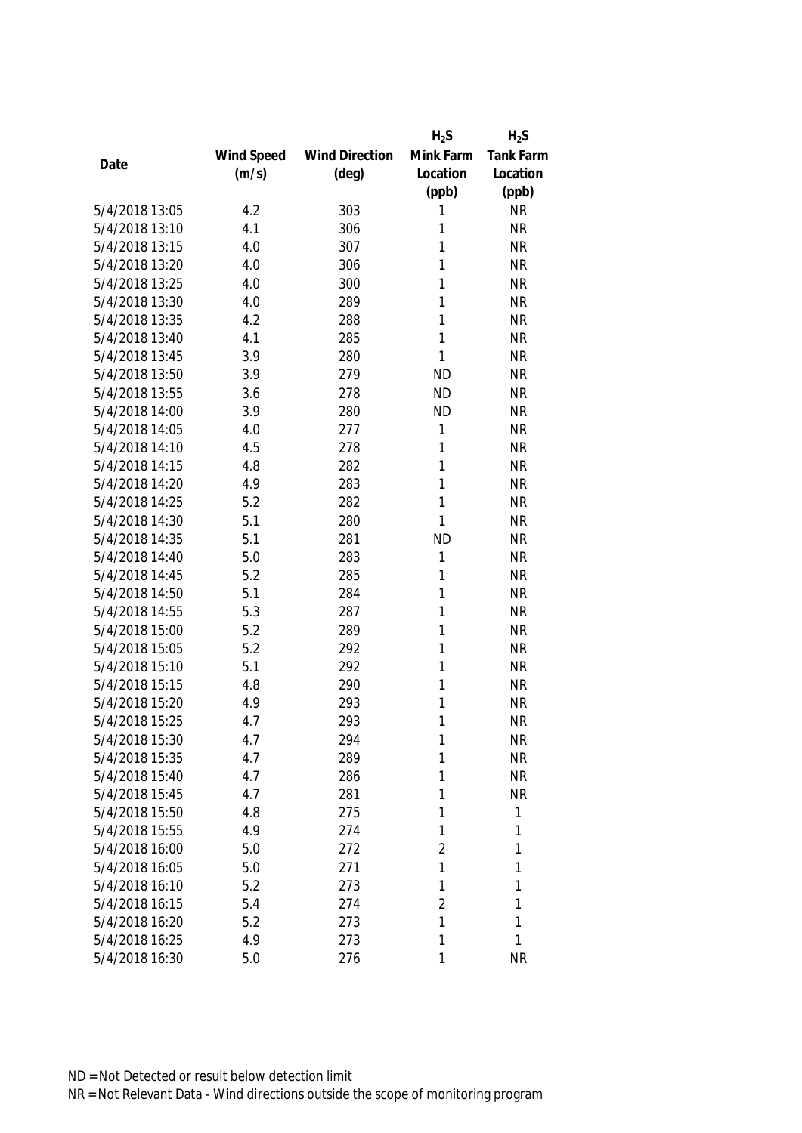|                |            |                       | $H_2S$         | $H_2S$    |
|----------------|------------|-----------------------|----------------|-----------|
|                | Wind Speed | <b>Wind Direction</b> | Mink Farm      | Tank Farm |
| Date           | (m/s)      | $(\text{deg})$        | Location       | Location  |
|                |            |                       | (ppb)          | (ppb)     |
| 5/4/2018 13:05 | 4.2        | 303                   | 1              | <b>NR</b> |
| 5/4/2018 13:10 | 4.1        | 306                   | 1              | <b>NR</b> |
| 5/4/2018 13:15 | 4.0        | 307                   | 1              | <b>NR</b> |
| 5/4/2018 13:20 | 4.0        | 306                   | 1              | <b>NR</b> |
| 5/4/2018 13:25 | 4.0        | 300                   | 1              | <b>NR</b> |
| 5/4/2018 13:30 | 4.0        | 289                   | 1              | <b>NR</b> |
| 5/4/2018 13:35 | 4.2        | 288                   | 1              | <b>NR</b> |
| 5/4/2018 13:40 | 4.1        | 285                   | $\mathbf{1}$   | <b>NR</b> |
| 5/4/2018 13:45 | 3.9        | 280                   | 1              | <b>NR</b> |
| 5/4/2018 13:50 | 3.9        | 279                   | <b>ND</b>      | <b>NR</b> |
| 5/4/2018 13:55 | 3.6        | 278                   | <b>ND</b>      | <b>NR</b> |
| 5/4/2018 14:00 | 3.9        | 280                   | <b>ND</b>      | <b>NR</b> |
| 5/4/2018 14:05 | 4.0        | 277                   | 1              | <b>NR</b> |
| 5/4/2018 14:10 | 4.5        | 278                   | 1              | <b>NR</b> |
| 5/4/2018 14:15 | 4.8        | 282                   | 1              | <b>NR</b> |
| 5/4/2018 14:20 | 4.9        | 283                   | $\mathbf{1}$   | <b>NR</b> |
| 5/4/2018 14:25 | 5.2        | 282                   | 1              | <b>NR</b> |
| 5/4/2018 14:30 | 5.1        | 280                   | 1              | <b>NR</b> |
| 5/4/2018 14:35 | 5.1        | 281                   | <b>ND</b>      | <b>NR</b> |
| 5/4/2018 14:40 | 5.0        | 283                   | 1              | <b>NR</b> |
| 5/4/2018 14:45 | 5.2        | 285                   | 1              | <b>NR</b> |
| 5/4/2018 14:50 | 5.1        | 284                   | 1              | <b>NR</b> |
| 5/4/2018 14:55 | 5.3        | 287                   | 1              | <b>NR</b> |
| 5/4/2018 15:00 | 5.2        | 289                   | 1              | <b>NR</b> |
| 5/4/2018 15:05 | 5.2        | 292                   | 1              | <b>NR</b> |
| 5/4/2018 15:10 | 5.1        | 292                   | 1              | <b>NR</b> |
| 5/4/2018 15:15 | 4.8        | 290                   | 1              | <b>NR</b> |
| 5/4/2018 15:20 | 4.9        | 293                   | 1              | <b>NR</b> |
| 5/4/2018 15:25 | 4.7        | 293                   | 1              | <b>NR</b> |
| 5/4/2018 15:30 | 4.7        | 294                   | 1              | <b>NR</b> |
| 5/4/2018 15:35 | 4.7        | 289                   | 1              | <b>NR</b> |
| 5/4/2018 15:40 | 4.7        | 286                   | 1              | <b>NR</b> |
| 5/4/2018 15:45 | 4.7        | 281                   | 1              | <b>NR</b> |
| 5/4/2018 15:50 | 4.8        | 275                   | 1              | 1         |
| 5/4/2018 15:55 | 4.9        | 274                   | 1              | 1         |
| 5/4/2018 16:00 | 5.0        | 272                   | $\overline{2}$ | 1         |
| 5/4/2018 16:05 | 5.0        | 271                   | 1              | 1         |
| 5/4/2018 16:10 | 5.2        | 273                   | 1              | 1         |
| 5/4/2018 16:15 | 5.4        | 274                   | $\overline{2}$ | 1         |
| 5/4/2018 16:20 | 5.2        | 273                   | 1              | 1         |
| 5/4/2018 16:25 | 4.9        | 273                   | 1              | 1         |
| 5/4/2018 16:30 | 5.0        | 276                   | 1              | <b>NR</b> |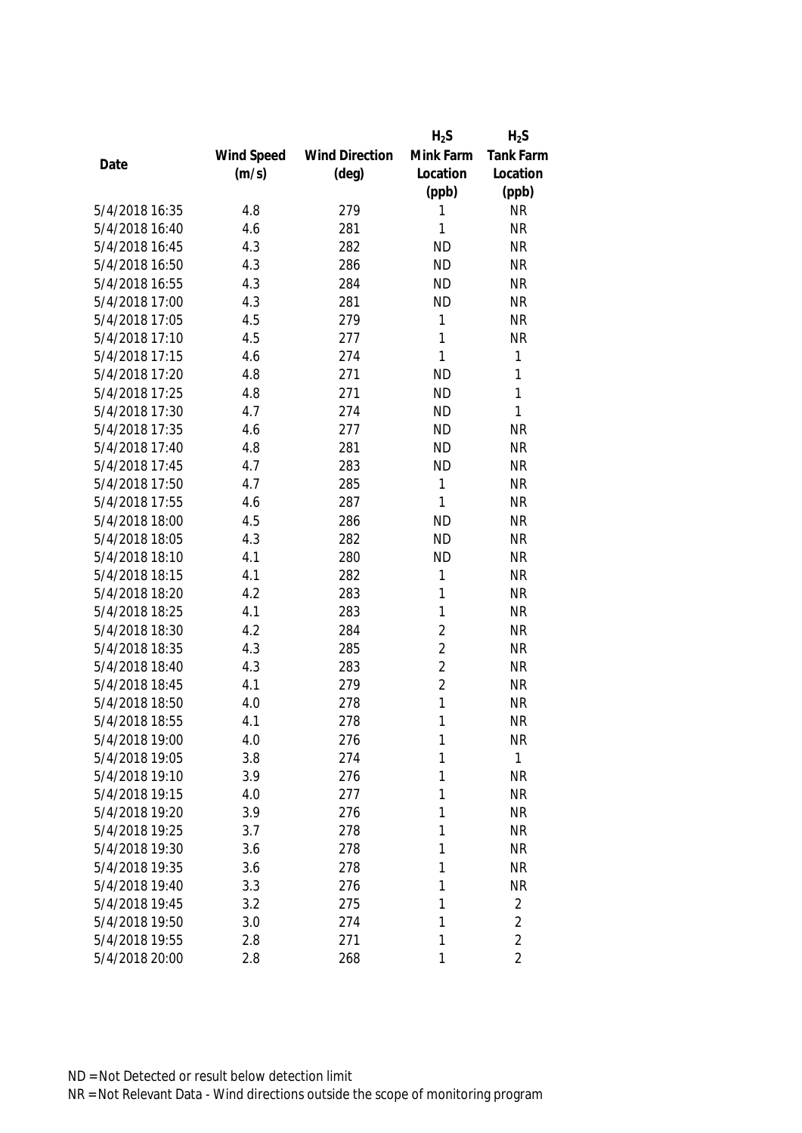|                |            |                       | $H_2S$         | $H_2S$         |
|----------------|------------|-----------------------|----------------|----------------|
|                | Wind Speed | <b>Wind Direction</b> | Mink Farm      | Tank Farm      |
| Date           | (m/s)      | $(\text{deg})$        | Location       | Location       |
|                |            |                       | (ppb)          | (ppb)          |
| 5/4/2018 16:35 | 4.8        | 279                   | 1              | <b>NR</b>      |
| 5/4/2018 16:40 | 4.6        | 281                   | 1              | <b>NR</b>      |
| 5/4/2018 16:45 | 4.3        | 282                   | <b>ND</b>      | <b>NR</b>      |
| 5/4/2018 16:50 | 4.3        | 286                   | <b>ND</b>      | <b>NR</b>      |
| 5/4/2018 16:55 | 4.3        | 284                   | <b>ND</b>      | <b>NR</b>      |
| 5/4/2018 17:00 | 4.3        | 281                   | <b>ND</b>      | <b>NR</b>      |
| 5/4/2018 17:05 | 4.5        | 279                   | 1              | <b>NR</b>      |
| 5/4/2018 17:10 | 4.5        | 277                   | $\mathbf{1}$   | <b>NR</b>      |
| 5/4/2018 17:15 | 4.6        | 274                   | $\mathbf{1}$   | 1              |
| 5/4/2018 17:20 | 4.8        | 271                   | <b>ND</b>      | 1              |
| 5/4/2018 17:25 | 4.8        | 271                   | <b>ND</b>      | 1              |
| 5/4/2018 17:30 | 4.7        | 274                   | <b>ND</b>      | 1              |
| 5/4/2018 17:35 | 4.6        | 277                   | <b>ND</b>      | <b>NR</b>      |
| 5/4/2018 17:40 | 4.8        | 281                   | <b>ND</b>      | <b>NR</b>      |
| 5/4/2018 17:45 | 4.7        | 283                   | <b>ND</b>      | <b>NR</b>      |
| 5/4/2018 17:50 | 4.7        | 285                   | 1              | <b>NR</b>      |
| 5/4/2018 17:55 | 4.6        | 287                   | 1              | <b>NR</b>      |
| 5/4/2018 18:00 | 4.5        | 286                   | <b>ND</b>      | <b>NR</b>      |
| 5/4/2018 18:05 | 4.3        | 282                   | <b>ND</b>      | <b>NR</b>      |
| 5/4/2018 18:10 | 4.1        | 280                   | <b>ND</b>      | <b>NR</b>      |
| 5/4/2018 18:15 | 4.1        | 282                   | 1              | <b>NR</b>      |
| 5/4/2018 18:20 | 4.2        | 283                   | 1              | <b>NR</b>      |
| 5/4/2018 18:25 | 4.1        | 283                   | 1              | <b>NR</b>      |
| 5/4/2018 18:30 | 4.2        | 284                   | $\overline{2}$ | <b>NR</b>      |
| 5/4/2018 18:35 | 4.3        | 285                   | $\overline{2}$ | <b>NR</b>      |
| 5/4/2018 18:40 | 4.3        | 283                   | $\overline{2}$ | <b>NR</b>      |
| 5/4/2018 18:45 | 4.1        | 279                   | $\overline{2}$ | <b>NR</b>      |
| 5/4/2018 18:50 | 4.0        | 278                   | 1              | <b>NR</b>      |
| 5/4/2018 18:55 | 4.1        | 278                   | 1              | <b>NR</b>      |
| 5/4/2018 19:00 | 4.0        | 276                   | 1              | <b>NR</b>      |
| 5/4/2018 19:05 | 3.8        | 274                   | 1              | 1              |
| 5/4/2018 19:10 | 3.9        | 276                   | 1              | <b>NR</b>      |
| 5/4/2018 19:15 | 4.0        | 277                   | 1              | <b>NR</b>      |
| 5/4/2018 19:20 | 3.9        | 276                   | 1              | <b>NR</b>      |
| 5/4/2018 19:25 | 3.7        | 278                   | 1              | <b>NR</b>      |
| 5/4/2018 19:30 | 3.6        | 278                   | 1              | <b>NR</b>      |
| 5/4/2018 19:35 | 3.6        | 278                   | 1              | <b>NR</b>      |
| 5/4/2018 19:40 | 3.3        | 276                   | 1              | <b>NR</b>      |
| 5/4/2018 19:45 | 3.2        | 275                   | 1              | 2              |
| 5/4/2018 19:50 | 3.0        | 274                   | 1              | $\overline{2}$ |
| 5/4/2018 19:55 | 2.8        | 271                   | 1              | $\overline{2}$ |
| 5/4/2018 20:00 | 2.8        | 268                   | 1              | $\overline{2}$ |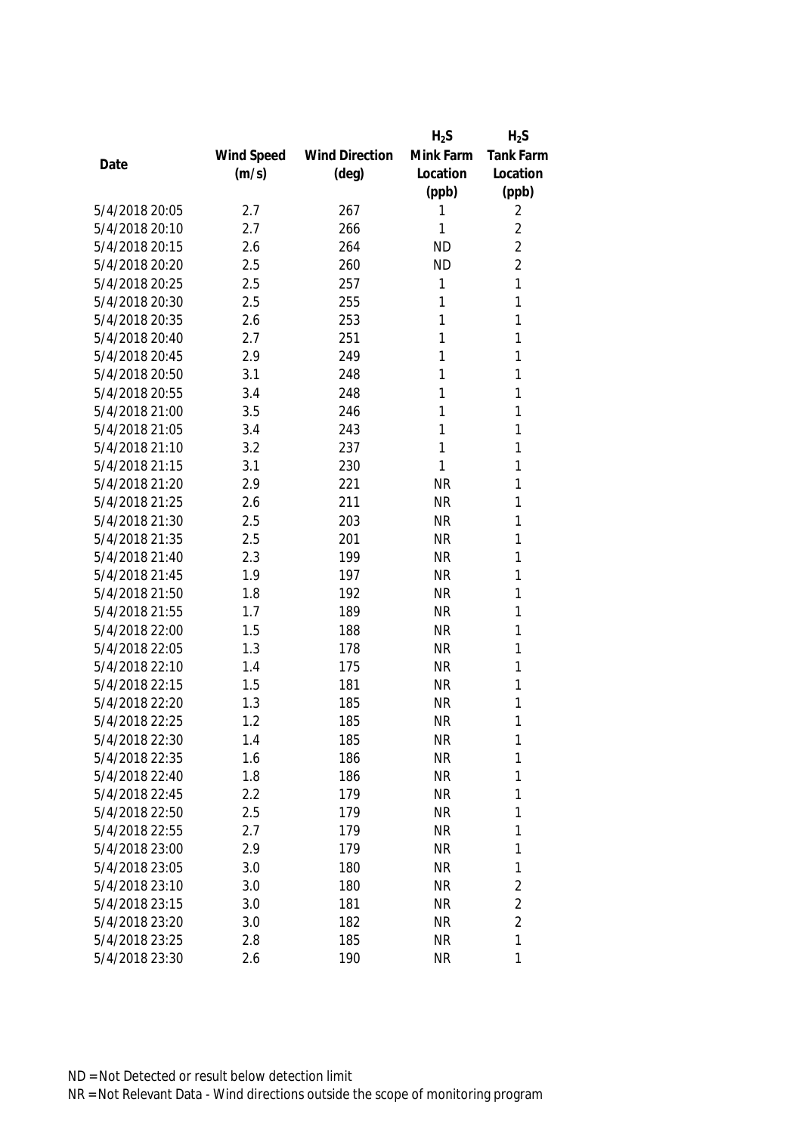|                |            |                       | $H_2S$    | $H_2S$           |
|----------------|------------|-----------------------|-----------|------------------|
|                | Wind Speed | <b>Wind Direction</b> | Mink Farm | <b>Tank Farm</b> |
| Date           | (m/s)      | $(\text{deg})$        | Location  | Location         |
|                |            |                       | (ppb)     | (ppb)            |
| 5/4/2018 20:05 | 2.7        | 267                   | 1         | 2                |
| 5/4/2018 20:10 | 2.7        | 266                   | 1         | $\overline{2}$   |
| 5/4/2018 20:15 | 2.6        | 264                   | <b>ND</b> | $\overline{2}$   |
| 5/4/2018 20:20 | 2.5        | 260                   | <b>ND</b> | $\overline{2}$   |
| 5/4/2018 20:25 | 2.5        | 257                   | 1         | 1                |
| 5/4/2018 20:30 | 2.5        | 255                   | 1         | 1                |
| 5/4/2018 20:35 | 2.6        | 253                   | 1         | 1                |
| 5/4/2018 20:40 | 2.7        | 251                   | 1         | 1                |
| 5/4/2018 20:45 | 2.9        | 249                   | 1         | 1                |
| 5/4/2018 20:50 | 3.1        | 248                   | 1         | 1                |
| 5/4/2018 20:55 | 3.4        | 248                   | 1         | 1                |
| 5/4/2018 21:00 | 3.5        | 246                   | 1         | 1                |
| 5/4/2018 21:05 | 3.4        | 243                   | 1         | 1                |
| 5/4/2018 21:10 | 3.2        | 237                   | 1         | 1                |
| 5/4/2018 21:15 | 3.1        | 230                   | 1         | 1                |
| 5/4/2018 21:20 | 2.9        | 221                   | <b>NR</b> | 1                |
| 5/4/2018 21:25 | 2.6        | 211                   | <b>NR</b> | 1                |
| 5/4/2018 21:30 | 2.5        | 203                   | <b>NR</b> | 1                |
| 5/4/2018 21:35 | 2.5        | 201                   | <b>NR</b> | 1                |
| 5/4/2018 21:40 | 2.3        | 199                   | <b>NR</b> | 1                |
| 5/4/2018 21:45 | 1.9        | 197                   | <b>NR</b> | 1                |
| 5/4/2018 21:50 | 1.8        | 192                   | <b>NR</b> | 1                |
| 5/4/2018 21:55 | 1.7        | 189                   | <b>NR</b> | 1                |
| 5/4/2018 22:00 | 1.5        | 188                   | <b>NR</b> | 1                |
| 5/4/2018 22:05 | 1.3        | 178                   | <b>NR</b> | 1                |
| 5/4/2018 22:10 | 1.4        | 175                   | <b>NR</b> | 1                |
| 5/4/2018 22:15 | 1.5        | 181                   | <b>NR</b> | 1                |
| 5/4/2018 22:20 | 1.3        | 185                   | <b>NR</b> | 1                |
| 5/4/2018 22:25 | 1.2        | 185                   | <b>NR</b> | 1                |
| 5/4/2018 22:30 | 1.4        | 185                   | <b>NR</b> | 1                |
| 5/4/2018 22:35 | 1.6        | 186                   | <b>NR</b> | 1                |
| 5/4/2018 22:40 | 1.8        | 186                   | <b>NR</b> | 1                |
| 5/4/2018 22:45 | 2.2        | 179                   | <b>NR</b> | 1                |
| 5/4/2018 22:50 | 2.5        | 179                   | <b>NR</b> | 1                |
| 5/4/2018 22:55 | 2.7        | 179                   | <b>NR</b> | 1                |
| 5/4/2018 23:00 | 2.9        | 179                   | <b>NR</b> | 1                |
| 5/4/2018 23:05 | 3.0        | 180                   | <b>NR</b> | 1                |
| 5/4/2018 23:10 | 3.0        | 180                   | <b>NR</b> | $\overline{2}$   |
| 5/4/2018 23:15 | 3.0        | 181                   | <b>NR</b> | $\overline{2}$   |
| 5/4/2018 23:20 | 3.0        | 182                   | <b>NR</b> | $\overline{2}$   |
| 5/4/2018 23:25 | 2.8        | 185                   | <b>NR</b> | 1                |
| 5/4/2018 23:30 | 2.6        | 190                   | <b>NR</b> | 1                |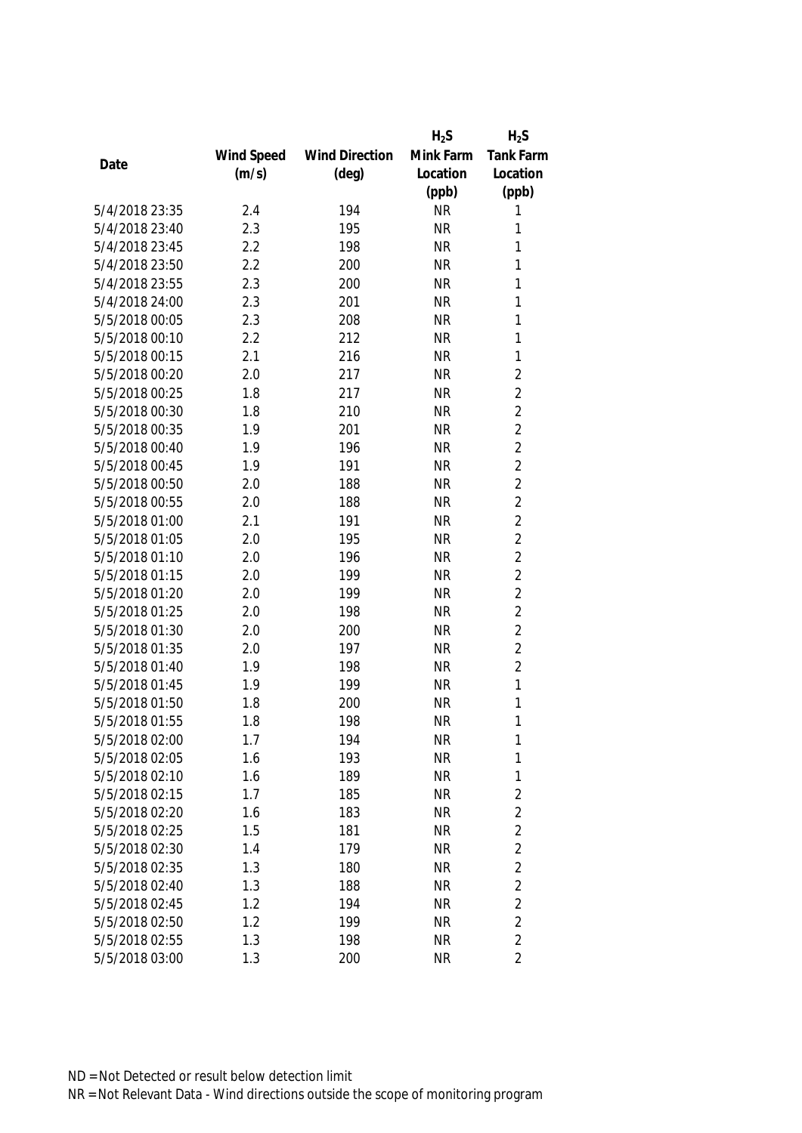|                |            |                       | $H_2S$    | $H_2S$           |
|----------------|------------|-----------------------|-----------|------------------|
|                | Wind Speed | <b>Wind Direction</b> | Mink Farm | <b>Tank Farm</b> |
| Date           | (m/s)      | $(\text{deg})$        | Location  | Location         |
|                |            |                       | (ppb)     | (ppb)            |
| 5/4/2018 23:35 | 2.4        | 194                   | <b>NR</b> | 1                |
| 5/4/2018 23:40 | 2.3        | 195                   | <b>NR</b> | 1                |
| 5/4/2018 23:45 | 2.2        | 198                   | <b>NR</b> | 1                |
| 5/4/2018 23:50 | 2.2        | 200                   | <b>NR</b> | 1                |
| 5/4/2018 23:55 | 2.3        | 200                   | <b>NR</b> | 1                |
| 5/4/2018 24:00 | 2.3        | 201                   | <b>NR</b> | 1                |
| 5/5/2018 00:05 | 2.3        | 208                   | <b>NR</b> | 1                |
| 5/5/2018 00:10 | 2.2        | 212                   | <b>NR</b> | 1                |
| 5/5/2018 00:15 | 2.1        | 216                   | <b>NR</b> | $\mathbf{1}$     |
| 5/5/2018 00:20 | 2.0        | 217                   | <b>NR</b> | $\overline{2}$   |
| 5/5/2018 00:25 | 1.8        | 217                   | <b>NR</b> | $\overline{2}$   |
| 5/5/2018 00:30 | 1.8        | 210                   | <b>NR</b> | $\overline{2}$   |
| 5/5/2018 00:35 | 1.9        | 201                   | <b>NR</b> | $\overline{2}$   |
| 5/5/2018 00:40 | 1.9        | 196                   | <b>NR</b> | $\overline{2}$   |
| 5/5/2018 00:45 | 1.9        | 191                   | <b>NR</b> | $\overline{2}$   |
| 5/5/2018 00:50 | 2.0        | 188                   | <b>NR</b> | $\overline{2}$   |
| 5/5/2018 00:55 | 2.0        | 188                   | <b>NR</b> | $\overline{2}$   |
| 5/5/2018 01:00 | 2.1        | 191                   | <b>NR</b> | $\overline{2}$   |
| 5/5/2018 01:05 | 2.0        | 195                   | <b>NR</b> | $\overline{2}$   |
| 5/5/2018 01:10 | 2.0        | 196                   | <b>NR</b> | $\overline{2}$   |
| 5/5/2018 01:15 | 2.0        | 199                   | <b>NR</b> | $\overline{2}$   |
| 5/5/2018 01:20 | 2.0        | 199                   | <b>NR</b> | $\overline{2}$   |
| 5/5/2018 01:25 | 2.0        | 198                   | <b>NR</b> | $\overline{2}$   |
| 5/5/2018 01:30 | 2.0        | 200                   | <b>NR</b> | $\overline{2}$   |
| 5/5/2018 01:35 | 2.0        | 197                   | <b>NR</b> | $\overline{2}$   |
| 5/5/2018 01:40 | 1.9        | 198                   | <b>NR</b> | $\overline{2}$   |
| 5/5/2018 01:45 | 1.9        | 199                   | <b>NR</b> | 1                |
| 5/5/2018 01:50 | 1.8        | 200                   | <b>NR</b> | 1                |
| 5/5/2018 01:55 | 1.8        | 198                   | <b>NR</b> | 1                |
| 5/5/2018 02:00 | 1.7        | 194                   | <b>NR</b> | 1                |
| 5/5/2018 02:05 | 1.6        | 193                   | <b>NR</b> | 1                |
| 5/5/2018 02:10 | 1.6        | 189                   | <b>NR</b> | 1                |
| 5/5/2018 02:15 | 1.7        | 185                   | <b>NR</b> | $\overline{2}$   |
| 5/5/2018 02:20 | 1.6        | 183                   | <b>NR</b> | $\overline{2}$   |
| 5/5/2018 02:25 | 1.5        | 181                   | <b>NR</b> | $\overline{2}$   |
| 5/5/2018 02:30 | 1.4        | 179                   | <b>NR</b> | $\overline{2}$   |
| 5/5/2018 02:35 | 1.3        | 180                   | <b>NR</b> | $\overline{2}$   |
| 5/5/2018 02:40 | 1.3        | 188                   | <b>NR</b> | $\overline{2}$   |
| 5/5/2018 02:45 | 1.2        | 194                   | <b>NR</b> | $\overline{2}$   |
| 5/5/2018 02:50 | 1.2        | 199                   | <b>NR</b> | $\overline{2}$   |
| 5/5/2018 02:55 | 1.3        | 198                   | <b>NR</b> | $\overline{2}$   |
| 5/5/2018 03:00 | 1.3        | 200                   | <b>NR</b> | $\overline{2}$   |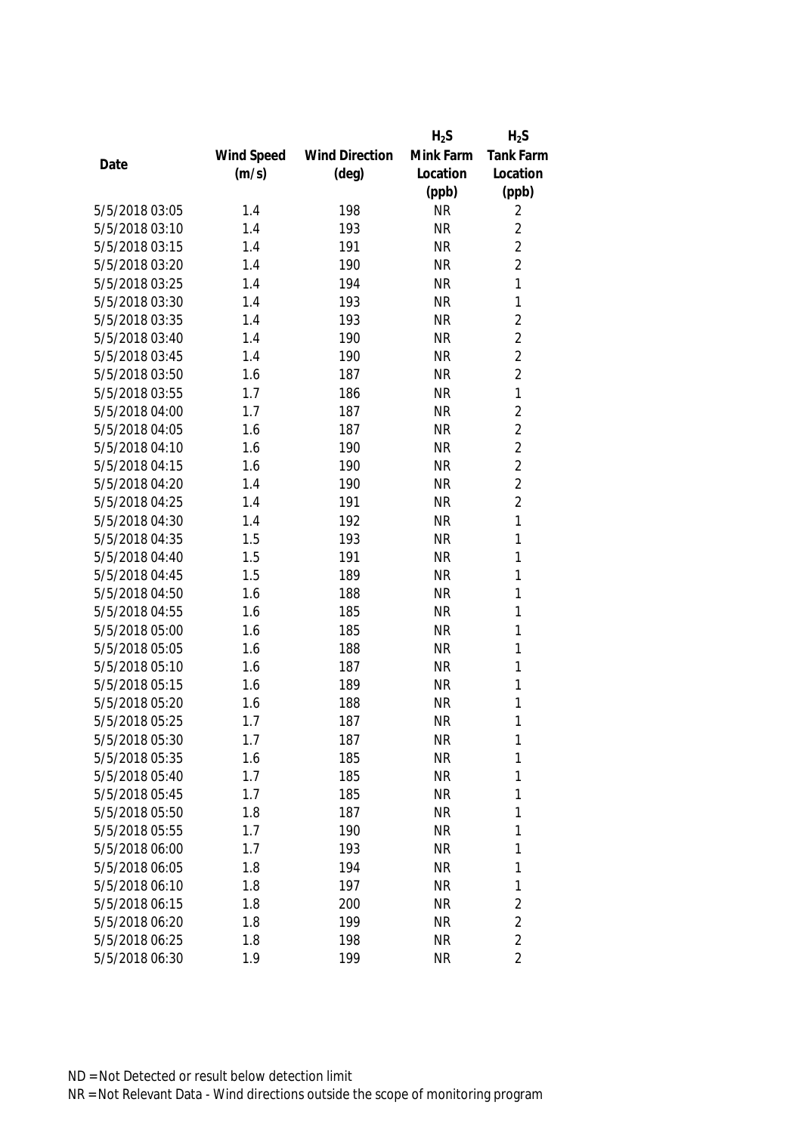|                |            |                       | $H_2S$    | $H_2S$           |
|----------------|------------|-----------------------|-----------|------------------|
|                | Wind Speed | <b>Wind Direction</b> | Mink Farm | <b>Tank Farm</b> |
| Date           | (m/s)      | $(\text{deg})$        | Location  | Location         |
|                |            |                       | (ppb)     | (ppb)            |
| 5/5/2018 03:05 | 1.4        | 198                   | <b>NR</b> | 2                |
| 5/5/2018 03:10 | 1.4        | 193                   | <b>NR</b> | $\overline{2}$   |
| 5/5/2018 03:15 | 1.4        | 191                   | <b>NR</b> | $\overline{2}$   |
| 5/5/2018 03:20 | 1.4        | 190                   | <b>NR</b> | $\overline{2}$   |
| 5/5/2018 03:25 | 1.4        | 194                   | <b>NR</b> | $\mathbf{1}$     |
| 5/5/2018 03:30 | 1.4        | 193                   | <b>NR</b> | 1                |
| 5/5/2018 03:35 | 1.4        | 193                   | <b>NR</b> | $\overline{2}$   |
| 5/5/2018 03:40 | 1.4        | 190                   | <b>NR</b> | $\overline{2}$   |
| 5/5/2018 03:45 | 1.4        | 190                   | <b>NR</b> | $\overline{2}$   |
| 5/5/2018 03:50 | 1.6        | 187                   | <b>NR</b> | $\overline{2}$   |
| 5/5/2018 03:55 | 1.7        | 186                   | <b>NR</b> | $\mathbf{1}$     |
| 5/5/2018 04:00 | 1.7        | 187                   | <b>NR</b> | $\overline{2}$   |
| 5/5/2018 04:05 | 1.6        | 187                   | <b>NR</b> | $\overline{2}$   |
| 5/5/2018 04:10 | 1.6        | 190                   | <b>NR</b> | $\overline{2}$   |
| 5/5/2018 04:15 | 1.6        | 190                   | <b>NR</b> | $\overline{2}$   |
| 5/5/2018 04:20 | 1.4        | 190                   | <b>NR</b> | $\overline{2}$   |
| 5/5/2018 04:25 | 1.4        | 191                   | <b>NR</b> | $\overline{2}$   |
| 5/5/2018 04:30 | 1.4        | 192                   | <b>NR</b> | $\mathbf{1}$     |
| 5/5/2018 04:35 | 1.5        | 193                   | <b>NR</b> | 1                |
| 5/5/2018 04:40 | 1.5        | 191                   | <b>NR</b> | 1                |
| 5/5/2018 04:45 | 1.5        | 189                   | <b>NR</b> | $\mathbf{1}$     |
| 5/5/2018 04:50 | 1.6        | 188                   | <b>NR</b> | $\mathbf{1}$     |
| 5/5/2018 04:55 | 1.6        | 185                   | <b>NR</b> | $\mathbf{1}$     |
| 5/5/2018 05:00 | 1.6        | 185                   | <b>NR</b> | 1                |
| 5/5/2018 05:05 | 1.6        | 188                   | <b>NR</b> | 1                |
| 5/5/2018 05:10 | 1.6        | 187                   | <b>NR</b> | 1                |
| 5/5/2018 05:15 | 1.6        | 189                   | <b>NR</b> | 1                |
| 5/5/2018 05:20 | 1.6        | 188                   | <b>NR</b> | 1                |
| 5/5/2018 05:25 | 1.7        | 187                   | <b>NR</b> | 1                |
| 5/5/2018 05:30 | 1.7        | 187                   | <b>NR</b> | 1                |
| 5/5/2018 05:35 | 1.6        | 185                   | <b>NR</b> | 1                |
| 5/5/2018 05:40 | 1.7        | 185                   | <b>NR</b> | 1                |
| 5/5/2018 05:45 | 1.7        | 185                   | <b>NR</b> | 1                |
| 5/5/2018 05:50 | 1.8        | 187                   | <b>NR</b> | 1                |
| 5/5/2018 05:55 | 1.7        | 190                   | <b>NR</b> | 1                |
| 5/5/2018 06:00 | 1.7        | 193                   | <b>NR</b> | 1                |
| 5/5/2018 06:05 | 1.8        | 194                   | <b>NR</b> | 1                |
| 5/5/2018 06:10 | 1.8        | 197                   | <b>NR</b> | 1                |
| 5/5/2018 06:15 | 1.8        | 200                   | <b>NR</b> | $\sqrt{2}$       |
| 5/5/2018 06:20 | 1.8        | 199                   | <b>NR</b> | $\overline{2}$   |
| 5/5/2018 06:25 | 1.8        | 198                   | <b>NR</b> | $\overline{2}$   |
| 5/5/2018 06:30 | 1.9        | 199                   | <b>NR</b> | $\overline{2}$   |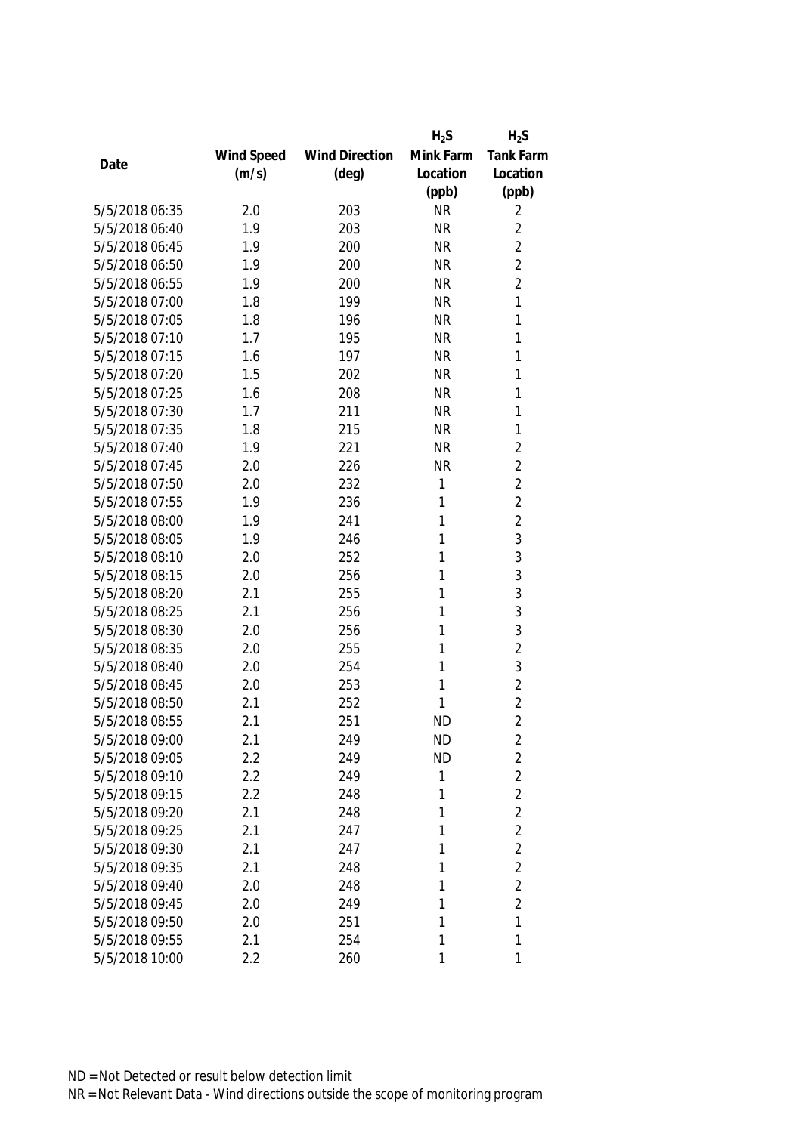|                |            |                       | $H_2S$    | $H_2S$           |
|----------------|------------|-----------------------|-----------|------------------|
|                | Wind Speed | <b>Wind Direction</b> | Mink Farm | <b>Tank Farm</b> |
| Date           | (m/s)      | $(\text{deg})$        | Location  | Location         |
|                |            |                       | (ppb)     | (ppb)            |
| 5/5/2018 06:35 | 2.0        | 203                   | <b>NR</b> | 2                |
| 5/5/2018 06:40 | 1.9        | 203                   | <b>NR</b> | $\overline{2}$   |
| 5/5/2018 06:45 | 1.9        | 200                   | <b>NR</b> | $\overline{2}$   |
| 5/5/2018 06:50 | 1.9        | 200                   | <b>NR</b> | $\overline{2}$   |
| 5/5/2018 06:55 | 1.9        | 200                   | <b>NR</b> | $\overline{2}$   |
| 5/5/2018 07:00 | 1.8        | 199                   | <b>NR</b> | 1                |
| 5/5/2018 07:05 | 1.8        | 196                   | <b>NR</b> | 1                |
| 5/5/2018 07:10 | 1.7        | 195                   | <b>NR</b> | 1                |
| 5/5/2018 07:15 | 1.6        | 197                   | <b>NR</b> | 1                |
| 5/5/2018 07:20 | 1.5        | 202                   | <b>NR</b> | 1                |
| 5/5/2018 07:25 | 1.6        | 208                   | <b>NR</b> | 1                |
| 5/5/2018 07:30 | 1.7        | 211                   | <b>NR</b> | 1                |
| 5/5/2018 07:35 | 1.8        | 215                   | <b>NR</b> | 1                |
| 5/5/2018 07:40 | 1.9        | 221                   | <b>NR</b> | $\overline{2}$   |
| 5/5/2018 07:45 | 2.0        | 226                   | <b>NR</b> | $\overline{2}$   |
| 5/5/2018 07:50 | 2.0        | 232                   | 1         | $\overline{2}$   |
| 5/5/2018 07:55 | 1.9        | 236                   | 1         | $\overline{2}$   |
| 5/5/2018 08:00 | 1.9        | 241                   | 1         | $\overline{2}$   |
| 5/5/2018 08:05 | 1.9        | 246                   | 1         | 3                |
| 5/5/2018 08:10 | 2.0        | 252                   | 1         | 3                |
| 5/5/2018 08:15 | 2.0        | 256                   | 1         | 3                |
| 5/5/2018 08:20 | 2.1        | 255                   | 1         | 3                |
| 5/5/2018 08:25 | 2.1        | 256                   | 1         | 3                |
| 5/5/2018 08:30 | 2.0        | 256                   | 1         | 3                |
| 5/5/2018 08:35 | 2.0        | 255                   | 1         | $\overline{2}$   |
| 5/5/2018 08:40 | 2.0        | 254                   | 1         | 3                |
| 5/5/2018 08:45 | 2.0        | 253                   | 1         | $\overline{2}$   |
| 5/5/2018 08:50 | 2.1        | 252                   | 1         | $\overline{2}$   |
| 5/5/2018 08:55 | 2.1        | 251                   | <b>ND</b> | $\overline{2}$   |
| 5/5/2018 09:00 | 2.1        | 249                   | <b>ND</b> | 2                |
| 5/5/2018 09:05 | 2.2        | 249                   | <b>ND</b> | $\overline{2}$   |
| 5/5/2018 09:10 | 2.2        | 249                   | 1         | $\overline{2}$   |
| 5/5/2018 09:15 | 2.2        | 248                   | 1         | $\overline{2}$   |
| 5/5/2018 09:20 | 2.1        | 248                   | 1         | $\overline{2}$   |
| 5/5/2018 09:25 | 2.1        | 247                   | 1         | $\overline{2}$   |
| 5/5/2018 09:30 | 2.1        | 247                   | 1         | $\overline{2}$   |
| 5/5/2018 09:35 | 2.1        | 248                   | 1         | $\overline{2}$   |
| 5/5/2018 09:40 | 2.0        | 248                   | 1         | $\overline{2}$   |
| 5/5/2018 09:45 | 2.0        | 249                   | 1         | $\overline{2}$   |
| 5/5/2018 09:50 | 2.0        | 251                   | 1         | 1                |
| 5/5/2018 09:55 | 2.1        | 254                   | 1         | 1                |
| 5/5/2018 10:00 | 2.2        | 260                   | 1         | 1                |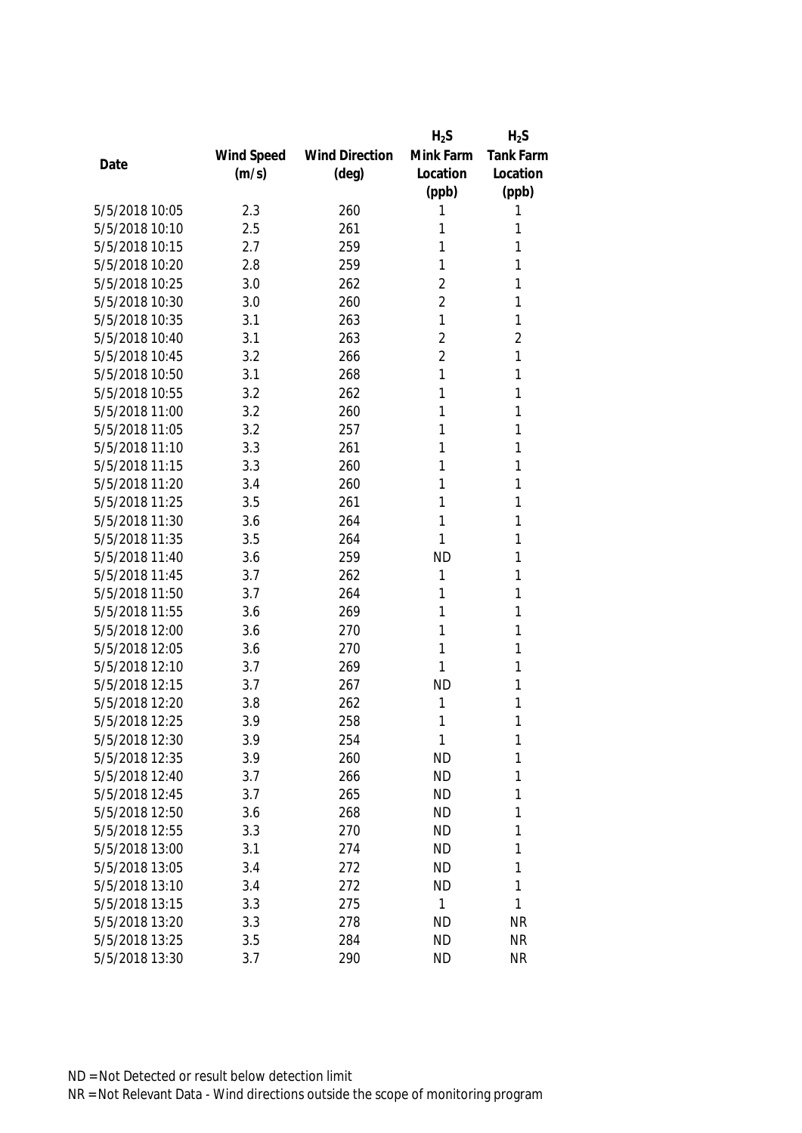|                |            |                       | $H_2S$         | $H_2S$           |
|----------------|------------|-----------------------|----------------|------------------|
|                | Wind Speed | <b>Wind Direction</b> | Mink Farm      | <b>Tank Farm</b> |
| Date           | (m/s)      | $(\text{deg})$        | Location       | Location         |
|                |            |                       | (ppb)          | (ppb)            |
| 5/5/2018 10:05 | 2.3        | 260                   | 1              | 1                |
| 5/5/2018 10:10 | 2.5        | 261                   | 1              | 1                |
| 5/5/2018 10:15 | 2.7        | 259                   | 1              | 1                |
| 5/5/2018 10:20 | 2.8        | 259                   | 1              | 1                |
| 5/5/2018 10:25 | 3.0        | 262                   | $\overline{2}$ | 1                |
| 5/5/2018 10:30 | 3.0        | 260                   | $\overline{2}$ | 1                |
| 5/5/2018 10:35 | 3.1        | 263                   | 1              | 1                |
| 5/5/2018 10:40 | 3.1        | 263                   | $\overline{2}$ | $\overline{2}$   |
| 5/5/2018 10:45 | 3.2        | 266                   | $\overline{2}$ | 1                |
| 5/5/2018 10:50 | 3.1        | 268                   | 1              | 1                |
| 5/5/2018 10:55 | 3.2        | 262                   | 1              | 1                |
| 5/5/2018 11:00 | 3.2        | 260                   | 1              | 1                |
| 5/5/2018 11:05 | 3.2        | 257                   | 1              | 1                |
| 5/5/2018 11:10 | 3.3        | 261                   | 1              | 1                |
| 5/5/2018 11:15 | 3.3        | 260                   | 1              | 1                |
| 5/5/2018 11:20 | 3.4        | 260                   | 1              | 1                |
| 5/5/2018 11:25 | 3.5        | 261                   | 1              | 1                |
| 5/5/2018 11:30 | 3.6        | 264                   | 1              | 1                |
| 5/5/2018 11:35 | 3.5        | 264                   | 1              | 1                |
| 5/5/2018 11:40 | 3.6        | 259                   | <b>ND</b>      | 1                |
| 5/5/2018 11:45 | 3.7        | 262                   | 1              | 1                |
| 5/5/2018 11:50 | 3.7        | 264                   | 1              | 1                |
| 5/5/2018 11:55 | 3.6        | 269                   | 1              | 1                |
| 5/5/2018 12:00 | 3.6        | 270                   | 1              | 1                |
| 5/5/2018 12:05 | 3.6        | 270                   | 1              | 1                |
| 5/5/2018 12:10 | 3.7        | 269                   | 1              | 1                |
| 5/5/2018 12:15 | 3.7        | 267                   | <b>ND</b>      | 1                |
| 5/5/2018 12:20 | 3.8        | 262                   | 1              | 1                |
| 5/5/2018 12:25 | 3.9        | 258                   | 1              | 1                |
| 5/5/2018 12:30 | 3.9        | 254                   | 1              | 1                |
| 5/5/2018 12:35 | 3.9        | 260                   | <b>ND</b>      | 1                |
| 5/5/2018 12:40 | 3.7        | 266                   | <b>ND</b>      | 1                |
| 5/5/2018 12:45 | 3.7        | 265                   | <b>ND</b>      | 1                |
| 5/5/2018 12:50 | 3.6        | 268                   | <b>ND</b>      | 1                |
| 5/5/2018 12:55 | 3.3        | 270                   | <b>ND</b>      | 1                |
| 5/5/2018 13:00 | 3.1        | 274                   | <b>ND</b>      | 1                |
| 5/5/2018 13:05 | 3.4        | 272                   | <b>ND</b>      | 1                |
| 5/5/2018 13:10 | 3.4        | 272                   | <b>ND</b>      | 1                |
| 5/5/2018 13:15 | 3.3        | 275                   | 1              | 1                |
| 5/5/2018 13:20 | 3.3        | 278                   | <b>ND</b>      | <b>NR</b>        |
| 5/5/2018 13:25 | 3.5        | 284                   | <b>ND</b>      | <b>NR</b>        |
| 5/5/2018 13:30 | 3.7        | 290                   | <b>ND</b>      | <b>NR</b>        |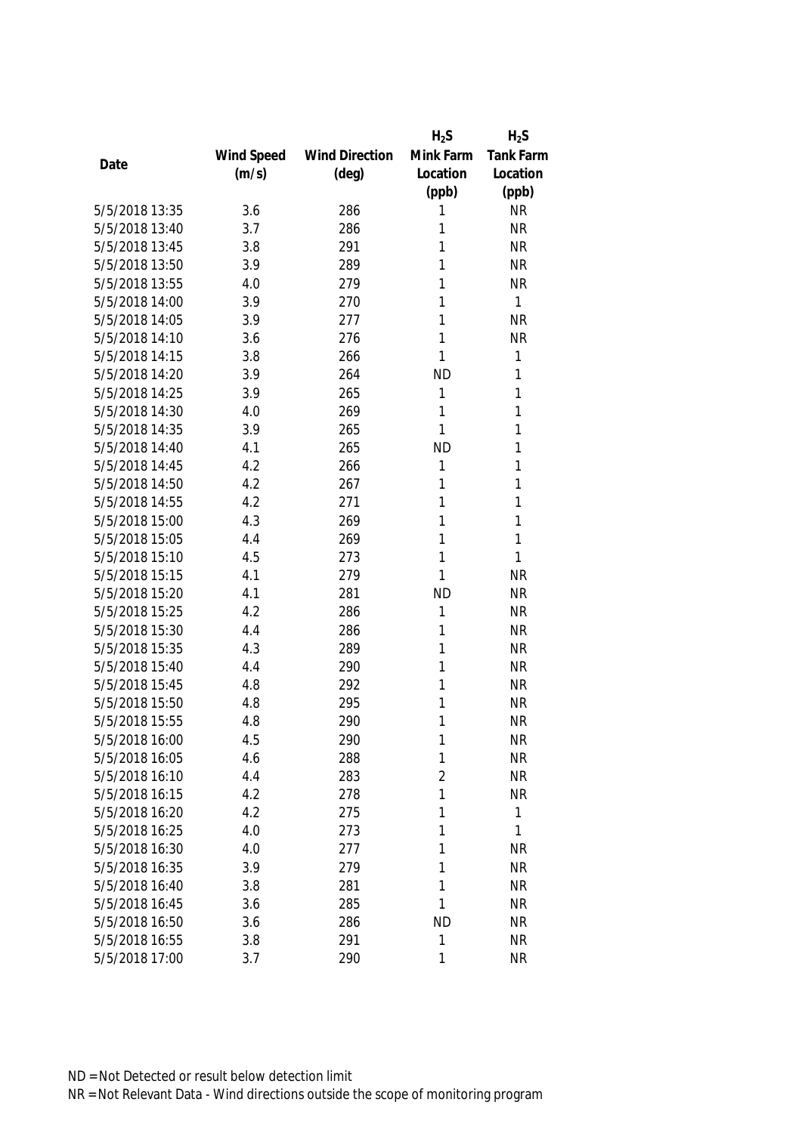|                |            |                       | $H_2S$         | $H_2S$    |
|----------------|------------|-----------------------|----------------|-----------|
|                | Wind Speed | <b>Wind Direction</b> | Mink Farm      | Tank Farm |
| Date           | (m/s)      | $(\text{deg})$        | Location       | Location  |
|                |            |                       | (ppb)          | (ppb)     |
| 5/5/2018 13:35 | 3.6        | 286                   | 1              | <b>NR</b> |
| 5/5/2018 13:40 | 3.7        | 286                   | 1              | <b>NR</b> |
| 5/5/2018 13:45 | 3.8        | 291                   | 1              | <b>NR</b> |
| 5/5/2018 13:50 | 3.9        | 289                   | 1              | <b>NR</b> |
| 5/5/2018 13:55 | 4.0        | 279                   | 1              | <b>NR</b> |
| 5/5/2018 14:00 | 3.9        | 270                   | 1              | 1         |
| 5/5/2018 14:05 | 3.9        | 277                   | 1              | <b>NR</b> |
| 5/5/2018 14:10 | 3.6        | 276                   | 1              | <b>NR</b> |
| 5/5/2018 14:15 | 3.8        | 266                   | 1              | 1         |
| 5/5/2018 14:20 | 3.9        | 264                   | <b>ND</b>      | 1         |
| 5/5/2018 14:25 | 3.9        | 265                   | 1              | 1         |
| 5/5/2018 14:30 | 4.0        | 269                   | 1              | 1         |
| 5/5/2018 14:35 | 3.9        | 265                   | 1              | 1         |
| 5/5/2018 14:40 | 4.1        | 265                   | <b>ND</b>      | 1         |
| 5/5/2018 14:45 | 4.2        | 266                   | 1              | 1         |
| 5/5/2018 14:50 | 4.2        | 267                   | 1              | 1         |
| 5/5/2018 14:55 | 4.2        | 271                   | 1              | 1         |
| 5/5/2018 15:00 | 4.3        | 269                   | 1              | 1         |
| 5/5/2018 15:05 | 4.4        | 269                   | 1              | 1         |
| 5/5/2018 15:10 | 4.5        | 273                   | 1              | 1         |
| 5/5/2018 15:15 | 4.1        | 279                   | 1              | <b>NR</b> |
| 5/5/2018 15:20 | 4.1        | 281                   | <b>ND</b>      | <b>NR</b> |
| 5/5/2018 15:25 | 4.2        | 286                   | 1              | <b>NR</b> |
| 5/5/2018 15:30 | 4.4        | 286                   | 1              | <b>NR</b> |
| 5/5/2018 15:35 | 4.3        | 289                   | 1              | <b>NR</b> |
| 5/5/2018 15:40 | 4.4        | 290                   | 1              | <b>NR</b> |
| 5/5/2018 15:45 | 4.8        | 292                   | 1              | <b>NR</b> |
| 5/5/2018 15:50 | 4.8        | 295                   | 1              | <b>NR</b> |
| 5/5/2018 15:55 | 4.8        | 290                   | 1              | <b>NR</b> |
| 5/5/2018 16:00 | 4.5        | 290                   | 1              | <b>NR</b> |
| 5/5/2018 16:05 | 4.6        | 288                   | 1              | <b>NR</b> |
| 5/5/2018 16:10 | 4.4        | 283                   | $\overline{2}$ | <b>NR</b> |
| 5/5/2018 16:15 | 4.2        | 278                   | 1              | <b>NR</b> |
| 5/5/2018 16:20 | 4.2        | 275                   | 1              | 1         |
| 5/5/2018 16:25 | 4.0        | 273                   | 1              | 1         |
| 5/5/2018 16:30 | 4.0        | 277                   | 1              | <b>NR</b> |
| 5/5/2018 16:35 | 3.9        | 279                   | 1              | <b>NR</b> |
| 5/5/2018 16:40 | 3.8        | 281                   | 1              | <b>NR</b> |
| 5/5/2018 16:45 | 3.6        | 285                   | 1              | <b>NR</b> |
| 5/5/2018 16:50 | 3.6        | 286                   | <b>ND</b>      | <b>NR</b> |
| 5/5/2018 16:55 | 3.8        | 291                   | 1              | <b>NR</b> |
| 5/5/2018 17:00 | 3.7        | 290                   | 1              | <b>NR</b> |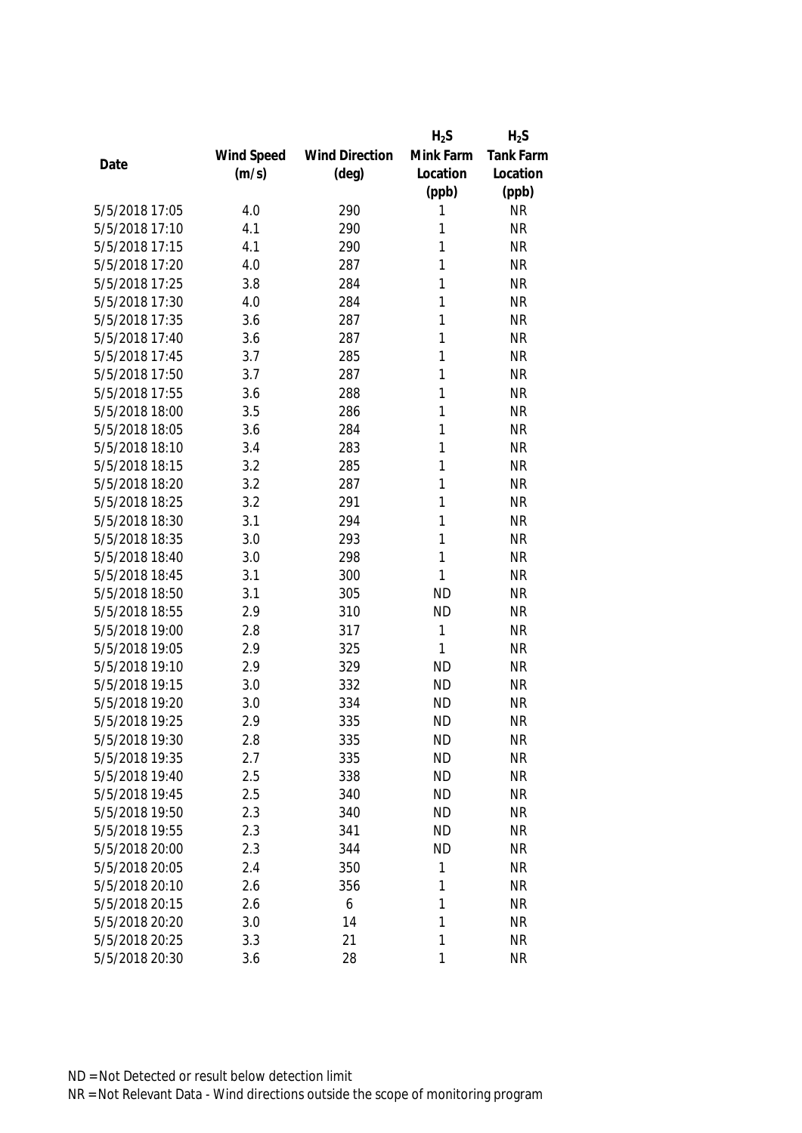|                |            |                       | $H_2S$    | $H_2S$           |
|----------------|------------|-----------------------|-----------|------------------|
|                | Wind Speed | <b>Wind Direction</b> | Mink Farm | <b>Tank Farm</b> |
| Date           | (m/s)      | $(\text{deg})$        | Location  | Location         |
|                |            |                       | (ppb)     | (ppb)            |
| 5/5/2018 17:05 | 4.0        | 290                   | 1         | <b>NR</b>        |
| 5/5/2018 17:10 | 4.1        | 290                   | 1         | <b>NR</b>        |
| 5/5/2018 17:15 | 4.1        | 290                   | 1         | <b>NR</b>        |
| 5/5/2018 17:20 | 4.0        | 287                   | 1         | <b>NR</b>        |
| 5/5/2018 17:25 | 3.8        | 284                   | 1         | <b>NR</b>        |
| 5/5/2018 17:30 | 4.0        | 284                   | 1         | <b>NR</b>        |
| 5/5/2018 17:35 | 3.6        | 287                   | 1         | <b>NR</b>        |
| 5/5/2018 17:40 | 3.6        | 287                   | 1         | <b>NR</b>        |
| 5/5/2018 17:45 | 3.7        | 285                   | 1         | <b>NR</b>        |
| 5/5/2018 17:50 | 3.7        | 287                   | 1         | <b>NR</b>        |
| 5/5/2018 17:55 | 3.6        | 288                   | 1         | <b>NR</b>        |
| 5/5/2018 18:00 | 3.5        | 286                   | 1         | <b>NR</b>        |
| 5/5/2018 18:05 | 3.6        | 284                   | 1         | <b>NR</b>        |
| 5/5/2018 18:10 | 3.4        | 283                   | 1         | <b>NR</b>        |
| 5/5/2018 18:15 | 3.2        | 285                   | 1         | <b>NR</b>        |
| 5/5/2018 18:20 | 3.2        | 287                   | 1         | <b>NR</b>        |
| 5/5/2018 18:25 | 3.2        | 291                   | 1         | <b>NR</b>        |
| 5/5/2018 18:30 | 3.1        | 294                   | 1         | <b>NR</b>        |
| 5/5/2018 18:35 | 3.0        | 293                   | 1         | <b>NR</b>        |
| 5/5/2018 18:40 | 3.0        | 298                   | 1         | <b>NR</b>        |
| 5/5/2018 18:45 | 3.1        | 300                   | 1         | <b>NR</b>        |
| 5/5/2018 18:50 | 3.1        | 305                   | <b>ND</b> | <b>NR</b>        |
| 5/5/2018 18:55 | 2.9        | 310                   | <b>ND</b> | <b>NR</b>        |
| 5/5/2018 19:00 | 2.8        | 317                   | 1         | <b>NR</b>        |
| 5/5/2018 19:05 | 2.9        | 325                   | 1         | <b>NR</b>        |
| 5/5/2018 19:10 | 2.9        | 329                   | <b>ND</b> | <b>NR</b>        |
| 5/5/2018 19:15 | 3.0        | 332                   | <b>ND</b> | <b>NR</b>        |
| 5/5/2018 19:20 | 3.0        | 334                   | <b>ND</b> | <b>NR</b>        |
| 5/5/2018 19:25 | 2.9        | 335                   | <b>ND</b> | <b>NR</b>        |
| 5/5/2018 19:30 | 2.8        | 335                   | <b>ND</b> | <b>NR</b>        |
| 5/5/2018 19:35 | 2.7        | 335                   | <b>ND</b> | <b>NR</b>        |
| 5/5/2018 19:40 | 2.5        | 338                   | <b>ND</b> | <b>NR</b>        |
| 5/5/2018 19:45 | 2.5        | 340                   | <b>ND</b> | <b>NR</b>        |
| 5/5/2018 19:50 | 2.3        | 340                   | <b>ND</b> | <b>NR</b>        |
| 5/5/2018 19:55 | 2.3        | 341                   | <b>ND</b> | <b>NR</b>        |
| 5/5/2018 20:00 | 2.3        | 344                   | <b>ND</b> | <b>NR</b>        |
| 5/5/2018 20:05 | 2.4        | 350                   | 1         | <b>NR</b>        |
| 5/5/2018 20:10 | 2.6        | 356                   | 1         | <b>NR</b>        |
| 5/5/2018 20:15 | 2.6        | 6                     | 1         | <b>NR</b>        |
| 5/5/2018 20:20 | 3.0        | 14                    | 1         | <b>NR</b>        |
| 5/5/2018 20:25 | 3.3        | 21                    | 1         | <b>NR</b>        |
| 5/5/2018 20:30 | 3.6        | 28                    | 1         | <b>NR</b>        |
|                |            |                       |           |                  |